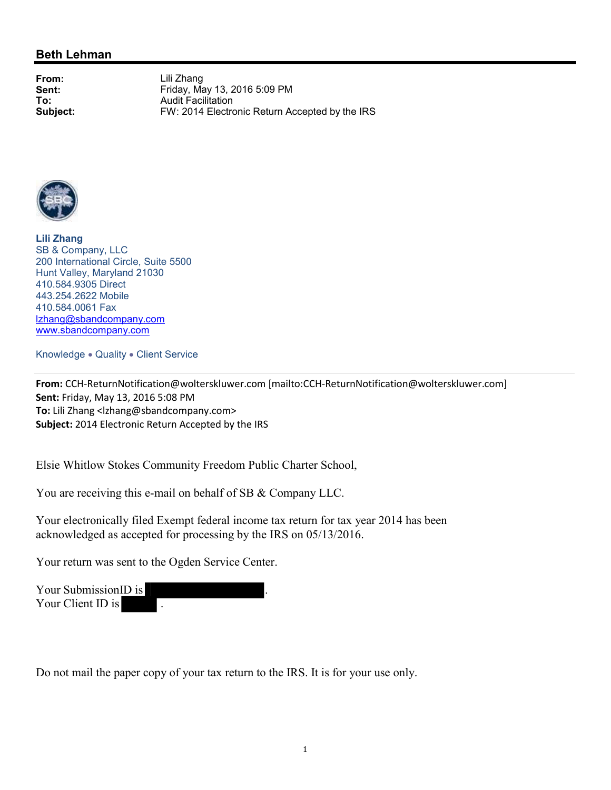### **Beth Lehman**

**From:** Lili Zhang **Sent:** Friday, May 13, 2016 5:09 PM<br> **To:** Audit Facilitation **To:** Audit Facilitation<br> **Subject:** FW: 2014 Electro FW: 2014 Electronic Return Accepted by the IRS



**Lili Zhang** SB & Company, LLC 200 International Circle, Suite 5500 Hunt Valley, Maryland 21030 410.584.9305 Direct 443.254.2622 Mobile 410.584.0061 Fax lzhang@sbandcompany.com www.sbandcompany.com

Knowledge . Quality . Client Service

**From:** CCH-ReturnNotification@wolterskluwer.com [mailto:CCH-ReturnNotification@wolterskluwer.com] **Sent:** Friday, May 13, 2016 5:08 PM **To:** Lili Zhang <lzhang@sbandcompany.com> **Subject:** 2014 Electronic Return Accepted by the IRS

Elsie Whitlow Stokes Community Freedom Public Charter School,

You are receiving this e-mail on behalf of SB & Company LLC.

Your electronically filed Exempt federal income tax return for tax year 2014 has been acknowledged as accepted for processing by the IRS on 05/13/2016.

Your return was sent to the Ogden Service Center.

Your Submission<sub>ID</sub> is Your Client ID is

Do not mail the paper copy of your tax return to the IRS. It is for your use only.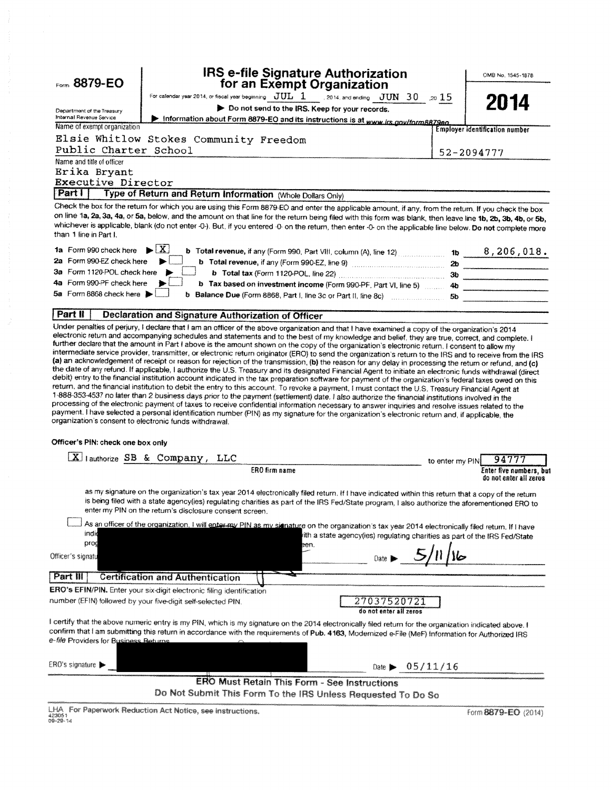| Form 8879-EO                                                                                | IRS e-file Signature Authorization<br>for an Exempt Organization                                                                                                                                                                                                                                                                                                                                                                                                                                                                                                                                                                                                                                                                                                            |                 | OMB No. 1545-1878                                 |
|---------------------------------------------------------------------------------------------|-----------------------------------------------------------------------------------------------------------------------------------------------------------------------------------------------------------------------------------------------------------------------------------------------------------------------------------------------------------------------------------------------------------------------------------------------------------------------------------------------------------------------------------------------------------------------------------------------------------------------------------------------------------------------------------------------------------------------------------------------------------------------------|-----------------|---------------------------------------------------|
|                                                                                             | For calendar year 2014, or fiscal year beginning $JUL-1$ 2014, and ending $-JUN-30$ 20 $15$                                                                                                                                                                                                                                                                                                                                                                                                                                                                                                                                                                                                                                                                                 |                 |                                                   |
|                                                                                             | Do not send to the IRS. Keep for your records.                                                                                                                                                                                                                                                                                                                                                                                                                                                                                                                                                                                                                                                                                                                              |                 | 2014                                              |
| Department of the Treasury<br>Internal Revenue Service                                      | Information about Form 8879-EO and its instructions is at www.irs.gov/form8879eo.                                                                                                                                                                                                                                                                                                                                                                                                                                                                                                                                                                                                                                                                                           |                 |                                                   |
| Name of exempt organization                                                                 |                                                                                                                                                                                                                                                                                                                                                                                                                                                                                                                                                                                                                                                                                                                                                                             |                 | <b>Employer identification number</b>             |
|                                                                                             | Elsie Whitlow Stokes Community Freedom                                                                                                                                                                                                                                                                                                                                                                                                                                                                                                                                                                                                                                                                                                                                      |                 |                                                   |
| Public Charter School                                                                       |                                                                                                                                                                                                                                                                                                                                                                                                                                                                                                                                                                                                                                                                                                                                                                             |                 | 52-2094777                                        |
| Name and title of officer                                                                   |                                                                                                                                                                                                                                                                                                                                                                                                                                                                                                                                                                                                                                                                                                                                                                             |                 |                                                   |
| Erika Bryant                                                                                |                                                                                                                                                                                                                                                                                                                                                                                                                                                                                                                                                                                                                                                                                                                                                                             |                 |                                                   |
| <b>Executive Director</b>                                                                   |                                                                                                                                                                                                                                                                                                                                                                                                                                                                                                                                                                                                                                                                                                                                                                             |                 |                                                   |
| Part I                                                                                      | Type of Return and Return Information (Whole Dollars Only)                                                                                                                                                                                                                                                                                                                                                                                                                                                                                                                                                                                                                                                                                                                  |                 |                                                   |
| than 1 line in Part I.                                                                      | Check the box for the return for which you are using this Form 8879-EO and enter the applicable amount, if any, from the return. If you check the box<br>on line 1a, 2a, 3a, 4a, or 5a, below, and the amount on that line for the return being filed with this form was blank, then leave line 1b, 2b, 3b, 4b, or 5b,<br>whichever is applicable, blank (do not enter -0-). But, if you entered -0- on the return, then enter -0- on the applicable line below. Do not complete more                                                                                                                                                                                                                                                                                       |                 |                                                   |
| 1a Form 990 check here $\blacktriangleright \boxed{X}$                                      | <b>b</b> Total revenue, if any (Form 990, Part VIII, column (A), line 12) $\ldots$ 15 $\ldots$ 15 $\ldots$ 8, 206, 018.                                                                                                                                                                                                                                                                                                                                                                                                                                                                                                                                                                                                                                                     |                 |                                                   |
| 2a Form 990-EZ check here                                                                   |                                                                                                                                                                                                                                                                                                                                                                                                                                                                                                                                                                                                                                                                                                                                                                             |                 |                                                   |
| 3a Form 1120-POL check here                                                                 |                                                                                                                                                                                                                                                                                                                                                                                                                                                                                                                                                                                                                                                                                                                                                                             |                 |                                                   |
| 4a Form 990-PF check here                                                                   | b Tax based on investment income (Form 990-PF, Part VI, line 5)  4b                                                                                                                                                                                                                                                                                                                                                                                                                                                                                                                                                                                                                                                                                                         |                 |                                                   |
| 5a Form 8868 check here                                                                     | b Balance Due (Form 8868, Part I, line 3c or Part II, line 8c) 5b                                                                                                                                                                                                                                                                                                                                                                                                                                                                                                                                                                                                                                                                                                           |                 |                                                   |
|                                                                                             |                                                                                                                                                                                                                                                                                                                                                                                                                                                                                                                                                                                                                                                                                                                                                                             |                 |                                                   |
| Part II                                                                                     | <b>Declaration and Signature Authorization of Officer</b><br>Under penalties of perjury, I declare that I am an officer of the above organization and that I have examined a copy of the organization's 2014                                                                                                                                                                                                                                                                                                                                                                                                                                                                                                                                                                |                 |                                                   |
| organization's consent to electronic funds withdrawal.<br>Officer's PIN: check one box only | debit) entry to the financial institution account indicated in the tax preparation software for payment of the organization's federal taxes owed on this<br>return, and the financial institution to debit the entry to this account. To revoke a payment, I must contact the U.S. Treasury Financial Agent at<br>1-888-353-4537 no later than 2 business days prior to the payment (settlement) date. I also authorize the financial institutions involved in the<br>processing of the electronic payment of taxes to receive confidential information necessary to answer inquiries and resolve issues related to the<br>payment. I have selected a personal identification number (PIN) as my signature for the organization's electronic return and, if applicable, the |                 |                                                   |
|                                                                                             |                                                                                                                                                                                                                                                                                                                                                                                                                                                                                                                                                                                                                                                                                                                                                                             |                 |                                                   |
|                                                                                             | $[X]$ lauthorize SB & Company, LLC                                                                                                                                                                                                                                                                                                                                                                                                                                                                                                                                                                                                                                                                                                                                          | to enter my PIN | 94777                                             |
|                                                                                             | ERO firm name                                                                                                                                                                                                                                                                                                                                                                                                                                                                                                                                                                                                                                                                                                                                                               |                 | Enter five numbers, but<br>do not enter all zeros |
|                                                                                             | as my signature on the organization's tax year 2014 electronically filed return. If I have indicated within this return that a copy of the return<br>is being filed with a state agency(ies) regulating charities as part of the IRS Fed/State program, I also authorize the aforementioned ERO to<br>enter my PIN on the return's disclosure consent screen.                                                                                                                                                                                                                                                                                                                                                                                                               |                 |                                                   |
| indio<br>prog                                                                               | As an officer of the organization, I will enter my PIN as my signature on the organization's tax year 2014 electronically filed return. If I have<br>rith a state agency(ies) regulating charities as part of the IRS Fed/State<br>een.                                                                                                                                                                                                                                                                                                                                                                                                                                                                                                                                     |                 |                                                   |
| Officer's signatu                                                                           |                                                                                                                                                                                                                                                                                                                                                                                                                                                                                                                                                                                                                                                                                                                                                                             |                 |                                                   |
| Part III                                                                                    |                                                                                                                                                                                                                                                                                                                                                                                                                                                                                                                                                                                                                                                                                                                                                                             |                 |                                                   |
|                                                                                             | <b>Certification and Authentication</b>                                                                                                                                                                                                                                                                                                                                                                                                                                                                                                                                                                                                                                                                                                                                     |                 |                                                   |
|                                                                                             | ERO's EFIN/PIN. Enter your six-digit electronic filing identification<br>number (EFIN) followed by your five-digit self-selected PIN.<br>27037520721<br>do not enter all zeros                                                                                                                                                                                                                                                                                                                                                                                                                                                                                                                                                                                              |                 |                                                   |
| e- <i>file</i> Providers for B <u>usiness Beturns</u> .                                     | I certify that the above numeric entry is my PIN, which is my signature on the 2014 electronically filed return for the organization indicated above. I<br>confirm that I am submitting this return in accordance with the requirements of Pub. 4163, Modernized e-File (MeF) Information for Authorized IRS                                                                                                                                                                                                                                                                                                                                                                                                                                                                |                 |                                                   |
| ERO's signature ▶                                                                           | 05/11/16<br>Date $\blacktriangleright$                                                                                                                                                                                                                                                                                                                                                                                                                                                                                                                                                                                                                                                                                                                                      |                 |                                                   |
|                                                                                             | <b>ERO Must Retain This Form - See Instructions</b><br>Do Not Submit This Form To the IRS Unless Requested To Do So                                                                                                                                                                                                                                                                                                                                                                                                                                                                                                                                                                                                                                                         |                 |                                                   |

LHA For Paperwork Reduction Act Notice, see instructions.<br>423051<br>09-29-14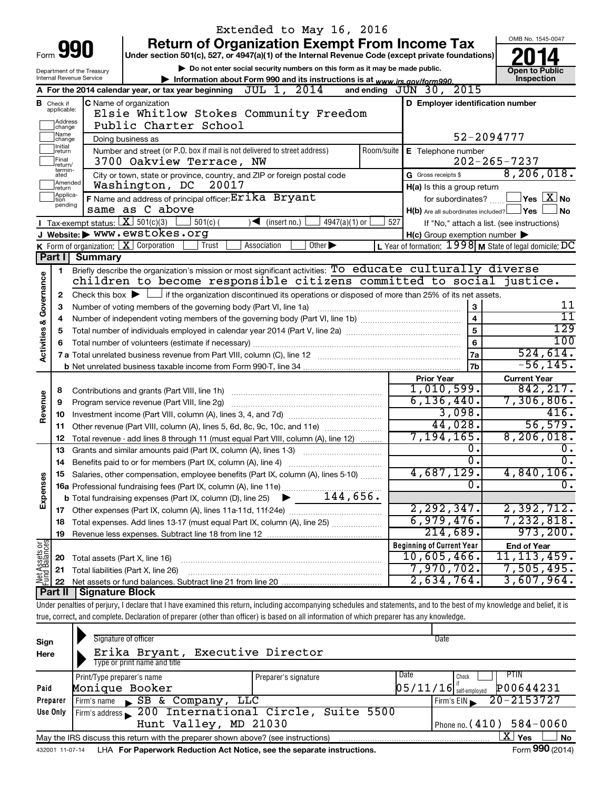|                         |                               |                                          | Extended to May 16, 2016                                                                                                                                                   |            |                                                     |                                                         |  |  |  |  |
|-------------------------|-------------------------------|------------------------------------------|----------------------------------------------------------------------------------------------------------------------------------------------------------------------------|------------|-----------------------------------------------------|---------------------------------------------------------|--|--|--|--|
|                         |                               |                                          | <b>Return of Organization Exempt From Income Tax</b>                                                                                                                       |            |                                                     | OMB No. 1545-0047                                       |  |  |  |  |
|                         |                               | Form 990                                 | Under section 501(c), 527, or 4947(a)(1) of the Internal Revenue Code (except private foundations)                                                                         |            |                                                     |                                                         |  |  |  |  |
|                         |                               | Department of the Treasury               | Do not enter social security numbers on this form as it may be made public.                                                                                                |            |                                                     | <b>Open to Public</b>                                   |  |  |  |  |
|                         |                               | <b>Internal Revenue Service</b>          | Information about Form 990 and its instructions is at www.irs.gov/form990.                                                                                                 |            |                                                     | Inspection                                              |  |  |  |  |
|                         |                               |                                          | A For the 2014 calendar year, or tax year beginning $JUL$ 1, $2014$                                                                                                        |            | 2015<br>and ending $JUN$ 30,                        |                                                         |  |  |  |  |
|                         | <b>B</b> Check if applicable: |                                          | C Name of organization                                                                                                                                                     |            | D Employer identification number                    |                                                         |  |  |  |  |
|                         |                               |                                          | Elsie Whitlow Stokes Community Freedom                                                                                                                                     |            |                                                     |                                                         |  |  |  |  |
|                         | Address<br> change<br>Name    |                                          | Public Charter School                                                                                                                                                      |            |                                                     |                                                         |  |  |  |  |
|                         | change<br>Initial             |                                          | Doing business as                                                                                                                                                          |            |                                                     | 52-2094777                                              |  |  |  |  |
|                         | return<br>Final               |                                          | Number and street (or P.O. box if mail is not delivered to street address)                                                                                                 | Room/suite | E Telephone number                                  | $202 - 265 - 7237$                                      |  |  |  |  |
|                         | return/<br>termin-            |                                          | 3700 Oakview Terrace, NW                                                                                                                                                   |            |                                                     | 8, 206, 018.                                            |  |  |  |  |
|                         | ated<br>Amended               |                                          | City or town, state or province, country, and ZIP or foreign postal code<br>Washington, DC<br>20017                                                                        |            | G Gross receipts \$                                 |                                                         |  |  |  |  |
|                         | Ireturn<br>Applica-<br>Ition  |                                          | F Name and address of principal officer: Erika Bryant                                                                                                                      |            | H(a) Is this a group return<br>for subordinates?    | $\,$ Yes $\,$ $\rm X$ No $\,$                           |  |  |  |  |
|                         | pending                       |                                          | same as C above                                                                                                                                                            |            | $H(b)$ Are all subordinates included? $\Box$ Yes    | No                                                      |  |  |  |  |
|                         |                               | Tax-exempt status: $X \over 3$ 501(c)(3) | $501(c)$ (<br>$\sqrt{\frac{1}{1}}$ (insert no.)<br>$4947(a)(1)$ or                                                                                                         | 527        |                                                     | If "No," attach a list. (see instructions)              |  |  |  |  |
|                         |                               |                                          | Website: WWW.ewstokes.org                                                                                                                                                  |            | $H(c)$ Group exemption number $\blacktriangleright$ |                                                         |  |  |  |  |
|                         |                               |                                          | K Form of organization: $X$ Corporation<br>Trust<br>Other $\blacktriangleright$<br>Association                                                                             |            |                                                     | L Year of formation: 1998 M State of legal domicile: DC |  |  |  |  |
|                         |                               | Part I Summary                           |                                                                                                                                                                            |            |                                                     |                                                         |  |  |  |  |
|                         | 1.                            |                                          | Briefly describe the organization's mission or most significant activities: To educate culturally diverse                                                                  |            |                                                     |                                                         |  |  |  |  |
| Activities & Governance |                               |                                          | children to become responsible citizens committed to social justice.                                                                                                       |            |                                                     |                                                         |  |  |  |  |
|                         | 2                             |                                          | Check this box $\blacktriangleright$ $\Box$ if the organization discontinued its operations or disposed of more than 25% of its net assets.                                |            |                                                     |                                                         |  |  |  |  |
|                         | 3                             |                                          | Number of voting members of the governing body (Part VI, line 1a)                                                                                                          |            | 3                                                   | 11<br>$\overline{11}$                                   |  |  |  |  |
|                         | 4                             | $\overline{\mathbf{4}}$<br>5             |                                                                                                                                                                            |            |                                                     |                                                         |  |  |  |  |
|                         | 5                             | 129                                      |                                                                                                                                                                            |            |                                                     |                                                         |  |  |  |  |
|                         |                               |                                          |                                                                                                                                                                            |            | 6                                                   | 100<br>524,614.                                         |  |  |  |  |
|                         |                               |                                          |                                                                                                                                                                            |            | 7a<br>7 <sub>b</sub>                                | $-56, 145.$                                             |  |  |  |  |
|                         |                               |                                          |                                                                                                                                                                            |            | <b>Prior Year</b>                                   | <b>Current Year</b>                                     |  |  |  |  |
|                         | 8                             |                                          |                                                                                                                                                                            |            | 1,010,599.                                          | 842, 217.                                               |  |  |  |  |
| Revenue                 | 9                             |                                          | Program service revenue (Part VIII, line 2g)                                                                                                                               |            | 6, 136, 440.                                        | 7,306,806.                                              |  |  |  |  |
|                         | 10                            |                                          |                                                                                                                                                                            |            | 3,098.                                              | 416.                                                    |  |  |  |  |
|                         | 11                            |                                          | Other revenue (Part VIII, column (A), lines 5, 6d, 8c, 9c, 10c, and 11e)                                                                                                   |            | 44,028.                                             | 56,579.                                                 |  |  |  |  |
|                         | 12                            |                                          | Total revenue - add lines 8 through 11 (must equal Part VIII, column (A), line 12)                                                                                         |            | 7,194,165.                                          | 8, 206, 018.                                            |  |  |  |  |
|                         | 13                            |                                          | Grants and similar amounts paid (Part IX, column (A), lines 1-3) <i></i>                                                                                                   |            | о.                                                  | υ.                                                      |  |  |  |  |
|                         | 14                            |                                          |                                                                                                                                                                            |            | σ.                                                  | σ.                                                      |  |  |  |  |
|                         |                               |                                          | 15 Salaries, other compensation, employee benefits (Part IX, column (A), lines 5-10)                                                                                       |            | 4,687,129.                                          | 4,840,106.                                              |  |  |  |  |
| Expenses                |                               |                                          |                                                                                                                                                                            |            | 0.                                                  | Ο.                                                      |  |  |  |  |
|                         |                               |                                          |                                                                                                                                                                            |            |                                                     |                                                         |  |  |  |  |
|                         |                               |                                          |                                                                                                                                                                            |            | 2, 292, 347.                                        | 2,392,712.                                              |  |  |  |  |
|                         | 18                            |                                          | Total expenses. Add lines 13-17 (must equal Part IX, column (A), line 25)                                                                                                  |            | 6,979,476.                                          | 7,232,818.<br>973, 200.                                 |  |  |  |  |
|                         | 19                            |                                          |                                                                                                                                                                            |            | 214,689.                                            |                                                         |  |  |  |  |
| Net Assets or           |                               |                                          |                                                                                                                                                                            |            | <b>Beginning of Current Year</b><br>10,605,466.     | <b>End of Year</b><br>11, 113, 459.                     |  |  |  |  |
|                         | 20<br>21                      | Total assets (Part X, line 16)           | Total liabilities (Part X, line 26)                                                                                                                                        |            | 7,970,702.                                          | 7,505,495.                                              |  |  |  |  |
|                         | 22                            |                                          |                                                                                                                                                                            |            | 2,634,764.                                          | 3,607,964.                                              |  |  |  |  |
|                         | Part II                       | <b>Signature Block</b>                   |                                                                                                                                                                            |            |                                                     |                                                         |  |  |  |  |
|                         |                               |                                          | Under penalties of perjury, I declare that I have examined this return, including accompanying schedules and statements, and to the best of my knowledge and belief, it is |            |                                                     |                                                         |  |  |  |  |
|                         |                               |                                          | true, correct, and complete. Declaration of preparer (other than officer) is based on all information of which preparer has any knowledge.                                 |            |                                                     |                                                         |  |  |  |  |
|                         |                               |                                          |                                                                                                                                                                            |            |                                                     |                                                         |  |  |  |  |
| Sign                    |                               |                                          | Signature of officer                                                                                                                                                       |            | Date                                                |                                                         |  |  |  |  |
| Here                    |                               |                                          | Erika Bryant, Executive Director                                                                                                                                           |            |                                                     |                                                         |  |  |  |  |

| Here     | Erika Bryant, Executive Director                                                  |                      |                                                                                                                                                                                                                                                                                                                                                                                                                                                                                                                        |  |  |  |  |  |
|----------|-----------------------------------------------------------------------------------|----------------------|------------------------------------------------------------------------------------------------------------------------------------------------------------------------------------------------------------------------------------------------------------------------------------------------------------------------------------------------------------------------------------------------------------------------------------------------------------------------------------------------------------------------|--|--|--|--|--|
|          | Type or print name and title                                                      |                      |                                                                                                                                                                                                                                                                                                                                                                                                                                                                                                                        |  |  |  |  |  |
|          | Print/Type preparer's name                                                        | Preparer's signature | Date<br>PTIN<br>Check                                                                                                                                                                                                                                                                                                                                                                                                                                                                                                  |  |  |  |  |  |
| Paid     | Monique Booker                                                                    |                      | P00644231<br>$05/11/16$ self-employed                                                                                                                                                                                                                                                                                                                                                                                                                                                                                  |  |  |  |  |  |
| Preparer | SB & Company, LLC<br>Firm's name                                                  |                      | $\sqrt{5 \text{ Tr} \cdot \text{Tr} \cdot \text{Tr} \cdot \text{Tr} \cdot \text{Tr} \cdot \text{Tr} \cdot \text{Tr} \cdot \text{Tr} \cdot \text{Tr} \cdot \text{Tr} \cdot \text{Tr} \cdot \text{Tr} \cdot \text{Tr} \cdot \text{Tr} \cdot \text{Tr} \cdot \text{Tr} \cdot \text{Tr} \cdot \text{Tr} \cdot \text{Tr} \cdot \text{Tr} \cdot \text{Tr} \cdot \text{Tr} \cdot \text{Tr} \cdot \text{Tr} \cdot \text{Tr} \cdot \text{Tr} \cdot \text{Tr} \cdot \text{Tr} \cdot \text{Tr} \cdot \text{Tr} \cdot \text{Tr} \$ |  |  |  |  |  |
| Use Only | Firm's address 200 International Circle, Suite 5500                               |                      |                                                                                                                                                                                                                                                                                                                                                                                                                                                                                                                        |  |  |  |  |  |
|          | Hunt Valley, MD 21030<br>Phone no. $(410)$ 584-0060                               |                      |                                                                                                                                                                                                                                                                                                                                                                                                                                                                                                                        |  |  |  |  |  |
|          | May the IRS discuss this return with the preparer shown above? (see instructions) |                      | $X \mid$<br><b>No</b><br>Yes                                                                                                                                                                                                                                                                                                                                                                                                                                                                                           |  |  |  |  |  |
|          |                                                                                   |                      | $\mathbf{A}$<br>$\overline{\phantom{a}}$                                                                                                                                                                                                                                                                                                                                                                                                                                                                               |  |  |  |  |  |

432001 11-07-14 **For Paperwork Reduction Act Notice, see the separate instructions.** LHA Form (2014)

Form **990** (2014)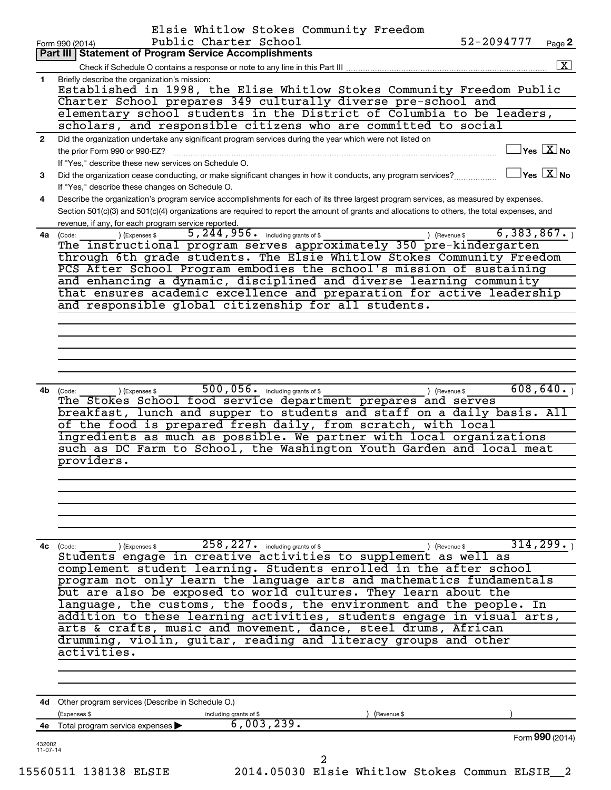|                          | Elsie Whitlow Stokes Community Freedom<br>Public Charter School<br>Form 990 (2014)                                                                                                      | 52-2094777                             | Page 2                                                     |
|--------------------------|-----------------------------------------------------------------------------------------------------------------------------------------------------------------------------------------|----------------------------------------|------------------------------------------------------------|
|                          | Part III   Statement of Program Service Accomplishments                                                                                                                                 |                                        |                                                            |
|                          |                                                                                                                                                                                         |                                        | $\boxed{\text{X}}$                                         |
| 1.                       | Briefly describe the organization's mission:                                                                                                                                            |                                        |                                                            |
|                          | Established in 1998, the Elise Whitlow Stokes Community Freedom Public                                                                                                                  |                                        |                                                            |
|                          | Charter School prepares 349 culturally diverse pre-school and                                                                                                                           |                                        |                                                            |
|                          | elementary school students in the District of Columbia to be leaders,                                                                                                                   |                                        |                                                            |
|                          | scholars, and responsible citizens who are committed to social                                                                                                                          |                                        |                                                            |
| $\mathbf{2}$             | Did the organization undertake any significant program services during the year which were not listed on                                                                                |                                        |                                                            |
|                          | the prior Form 990 or 990-EZ?                                                                                                                                                           |                                        | $\overline{\ }$ Yes $\overline{\phantom{a} \mathrm{X}}$ No |
|                          | If "Yes," describe these new services on Schedule O.                                                                                                                                    | $\Box$ Yes $~\boxtimes~$ No            |                                                            |
| 3                        | Did the organization cease conducting, or make significant changes in how it conducts, any program services?                                                                            |                                        |                                                            |
|                          | If "Yes," describe these changes on Schedule O.<br>Describe the organization's program service accomplishments for each of its three largest program services, as measured by expenses. |                                        |                                                            |
| 4                        | Section 501(c)(3) and 501(c)(4) organizations are required to report the amount of grants and allocations to others, the total expenses, and                                            |                                        |                                                            |
|                          | revenue, if any, for each program service reported.                                                                                                                                     |                                        |                                                            |
|                          | $5,244,956$ $\frac{1}{2}$ including grants of \$<br>) (Expenses \$<br>4a (Code:                                                                                                         | 6,383,867.<br>) (Revenue \$            |                                                            |
|                          | The instructional program serves approximately 350 pre-kindergarten                                                                                                                     |                                        |                                                            |
|                          | through 6th grade students. The Elsie Whitlow Stokes Community Freedom                                                                                                                  |                                        |                                                            |
|                          | PCS After School Program embodies the school's mission of sustaining                                                                                                                    |                                        |                                                            |
|                          | and enhancing a dynamic, disciplined and diverse learning community                                                                                                                     |                                        |                                                            |
|                          | that ensures academic excellence and preparation for active leadership                                                                                                                  |                                        |                                                            |
|                          | and responsible global citizenship for all students.                                                                                                                                    |                                        |                                                            |
|                          |                                                                                                                                                                                         |                                        |                                                            |
|                          |                                                                                                                                                                                         |                                        |                                                            |
|                          |                                                                                                                                                                                         |                                        |                                                            |
|                          |                                                                                                                                                                                         |                                        |                                                            |
|                          |                                                                                                                                                                                         |                                        |                                                            |
|                          |                                                                                                                                                                                         |                                        |                                                            |
|                          | $500, 056$ . including grants of \$<br>4b (Code:<br>) (Expenses \$<br>The Stokes School food service department prepares and serves                                                     | 608,640.<br>) (Revenue \$              |                                                            |
|                          | breakfast, lunch and supper to students and staff on a daily basis. All                                                                                                                 |                                        |                                                            |
|                          | of the food is prepared fresh daily, from scratch, with local                                                                                                                           |                                        |                                                            |
|                          | ingredients as much as possible. We partner with local organizations                                                                                                                    |                                        |                                                            |
|                          | such as DC Farm to School, the Washington Youth Garden and local meat                                                                                                                   |                                        |                                                            |
|                          | providers.                                                                                                                                                                              |                                        |                                                            |
|                          |                                                                                                                                                                                         |                                        |                                                            |
|                          |                                                                                                                                                                                         |                                        |                                                            |
|                          |                                                                                                                                                                                         |                                        |                                                            |
|                          |                                                                                                                                                                                         |                                        |                                                            |
|                          |                                                                                                                                                                                         |                                        |                                                            |
|                          |                                                                                                                                                                                         |                                        |                                                            |
|                          | $\overline{258,227}$ including grants of \$<br>4c (Code:<br>(Expenses \$                                                                                                                | $31\overline{4}$ , 299.<br>(Revenue \$ |                                                            |
|                          | Students engage in creative activities to supplement as well as                                                                                                                         |                                        |                                                            |
|                          | complement student learning. Students enrolled in the after school                                                                                                                      |                                        |                                                            |
|                          | program not only learn the language arts and mathematics fundamentals                                                                                                                   |                                        |                                                            |
|                          | but are also be exposed to world cultures. They learn about the                                                                                                                         |                                        |                                                            |
|                          | language, the customs, the foods, the environment and the people. In                                                                                                                    |                                        |                                                            |
|                          | addition to these learning activities, students engage in visual arts,                                                                                                                  |                                        |                                                            |
|                          | arts & crafts, music and movement, dance, steel drums, African                                                                                                                          |                                        |                                                            |
|                          | drumming, violin, guitar, reading and literacy groups and other                                                                                                                         |                                        |                                                            |
|                          | activities.                                                                                                                                                                             |                                        |                                                            |
|                          |                                                                                                                                                                                         |                                        |                                                            |
|                          |                                                                                                                                                                                         |                                        |                                                            |
|                          |                                                                                                                                                                                         |                                        |                                                            |
|                          | 4d Other program services (Describe in Schedule O.)                                                                                                                                     |                                        |                                                            |
|                          | (Expenses \$<br>(Revenue \$<br>including grants of \$                                                                                                                                   |                                        |                                                            |
|                          | 6,003,239.<br>Total program service expenses                                                                                                                                            |                                        |                                                            |
|                          |                                                                                                                                                                                         | Form 990 (2014)                        |                                                            |
| 432002<br>$11 - 07 - 14$ |                                                                                                                                                                                         |                                        |                                                            |
|                          | 2                                                                                                                                                                                       |                                        |                                                            |
|                          | 2014.05030 Elsie Whitlow Stokes Commun ELSIE 2<br>15560511 138138 ELSIE                                                                                                                 |                                        |                                                            |
|                          |                                                                                                                                                                                         |                                        |                                                            |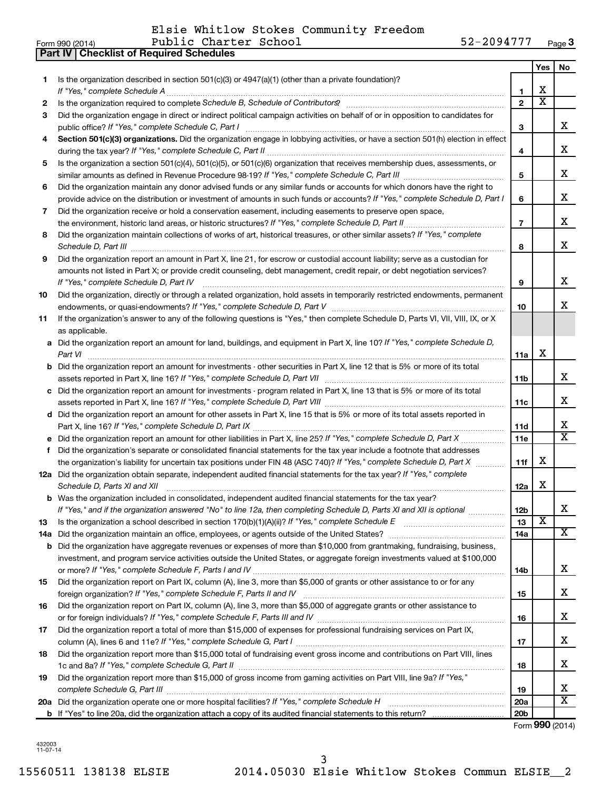|     | 52-2094777<br>Public Charter School<br>Form 990 (2014)                                                                               |                 |                         | Page 3                  |
|-----|--------------------------------------------------------------------------------------------------------------------------------------|-----------------|-------------------------|-------------------------|
|     | <b>Part IV   Checklist of Required Schedules</b>                                                                                     |                 |                         |                         |
|     |                                                                                                                                      |                 | Yes                     | No                      |
| 1.  | Is the organization described in section $501(c)(3)$ or $4947(a)(1)$ (other than a private foundation)?                              |                 |                         |                         |
|     | If "Yes," complete Schedule A                                                                                                        | 1               | х                       |                         |
| 2   |                                                                                                                                      | $\overline{2}$  | $\overline{\texttt{x}}$ |                         |
| 3   | Did the organization engage in direct or indirect political campaign activities on behalf of or in opposition to candidates for      |                 |                         |                         |
|     |                                                                                                                                      | 3               |                         | x                       |
| 4   | Section 501(c)(3) organizations. Did the organization engage in lobbying activities, or have a section 501(h) election in effect     |                 |                         |                         |
|     |                                                                                                                                      | 4               |                         | x                       |
| 5   | Is the organization a section 501(c)(4), 501(c)(5), or 501(c)(6) organization that receives membership dues, assessments, or         |                 |                         |                         |
|     |                                                                                                                                      | 5               |                         | x                       |
| 6   | Did the organization maintain any donor advised funds or any similar funds or accounts for which donors have the right to            |                 |                         |                         |
|     | provide advice on the distribution or investment of amounts in such funds or accounts? If "Yes," complete Schedule D, Part I         | 6               |                         | х                       |
| 7   | Did the organization receive or hold a conservation easement, including easements to preserve open space,                            |                 |                         |                         |
|     | the environment, historic land areas, or historic structures? If "Yes," complete Schedule D, Part II                                 | $\overline{7}$  |                         | х                       |
| 8   | Did the organization maintain collections of works of art, historical treasures, or other similar assets? If "Yes," complete         |                 |                         |                         |
|     |                                                                                                                                      | 8               |                         | x                       |
| 9   | Did the organization report an amount in Part X, line 21, for escrow or custodial account liability; serve as a custodian for        |                 |                         |                         |
|     | amounts not listed in Part X; or provide credit counseling, debt management, credit repair, or debt negotiation services?            |                 |                         |                         |
|     | If "Yes," complete Schedule D, Part IV                                                                                               | 9               |                         | х                       |
| 10  | Did the organization, directly or through a related organization, hold assets in temporarily restricted endowments, permanent        |                 |                         |                         |
|     |                                                                                                                                      | 10              |                         | x                       |
| 11  | If the organization's answer to any of the following questions is "Yes," then complete Schedule D, Parts VI, VII, VIII, IX, or X     |                 |                         |                         |
|     | as applicable.                                                                                                                       |                 |                         |                         |
|     | a Did the organization report an amount for land, buildings, and equipment in Part X, line 10? If "Yes," complete Schedule D,        |                 |                         |                         |
|     | Part VI                                                                                                                              | 11a             | X                       |                         |
|     | <b>b</b> Did the organization report an amount for investments - other securities in Part X, line 12 that is 5% or more of its total |                 |                         |                         |
|     |                                                                                                                                      | 11b             |                         | x                       |
|     | c Did the organization report an amount for investments - program related in Part X, line 13 that is 5% or more of its total         |                 |                         |                         |
|     |                                                                                                                                      | 11c             |                         | x                       |
|     | d Did the organization report an amount for other assets in Part X, line 15 that is 5% or more of its total assets reported in       |                 |                         |                         |
|     |                                                                                                                                      | 11d             |                         | х                       |
|     |                                                                                                                                      | 11e             |                         | $\overline{\mathtt{x}}$ |
|     | f Did the organization's separate or consolidated financial statements for the tax year include a footnote that addresses            |                 |                         |                         |
|     | the organization's liability for uncertain tax positions under FIN 48 (ASC 740)? If "Yes," complete Schedule D, Part X               | 11f             | х                       |                         |
|     | 12a Did the organization obtain separate, independent audited financial statements for the tax year? If "Yes," complete              |                 |                         |                         |
|     | Schedule D, Parts XI and XII                                                                                                         | 12a             | $\mathbf X$             |                         |
|     | <b>b</b> Was the organization included in consolidated, independent audited financial statements for the tax year?                   |                 |                         |                         |
|     | If "Yes," and if the organization answered "No" to line 12a, then completing Schedule D, Parts XI and XII is optional                | 12 <sub>b</sub> |                         | x                       |
| 13  | Is the organization a school described in section 170(b)(1)(A)(ii)? If "Yes," complete Schedule E [[[[[[[[[[[[                       | 13              | $\overline{\text{x}}$   |                         |
| 14a |                                                                                                                                      | 14a             |                         | х                       |
| b   | Did the organization have aggregate revenues or expenses of more than \$10,000 from grantmaking, fundraising, business,              |                 |                         |                         |
|     | investment, and program service activities outside the United States, or aggregate foreign investments valued at \$100,000           |                 |                         |                         |
|     |                                                                                                                                      | 14b             |                         | x                       |
| 15  | Did the organization report on Part IX, column (A), line 3, more than \$5,000 of grants or other assistance to or for any            |                 |                         |                         |
|     |                                                                                                                                      | 15              |                         | x                       |
| 16  | Did the organization report on Part IX, column (A), line 3, more than \$5,000 of aggregate grants or other assistance to             |                 |                         |                         |
|     |                                                                                                                                      | 16              |                         | x                       |
| 17  | Did the organization report a total of more than \$15,000 of expenses for professional fundraising services on Part IX,              |                 |                         |                         |
|     |                                                                                                                                      | 17              |                         | x                       |
| 18  | Did the organization report more than \$15,000 total of fundraising event gross income and contributions on Part VIII, lines         |                 |                         |                         |
|     |                                                                                                                                      | 18              |                         | x.                      |
| 19  | Did the organization report more than \$15,000 of gross income from gaming activities on Part VIII, line 9a? If "Yes,"               |                 |                         |                         |
|     |                                                                                                                                      | 19              |                         | х                       |
|     |                                                                                                                                      | 20a             |                         | $\overline{\textbf{X}}$ |
|     |                                                                                                                                      | 20 <sub>b</sub> |                         |                         |
|     |                                                                                                                                      |                 |                         | Form 990 (2014)         |

432003 11-07-14

#### Elsie Whitlow Stokes Community Freedom

|  | rm 990 (2014) |  |
|--|---------------|--|
|  |               |  |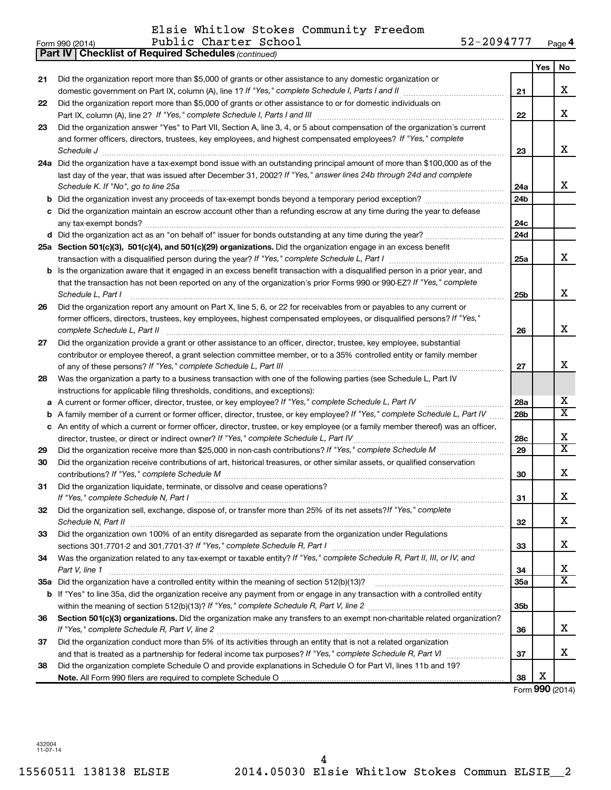Elsie Whitlow Stokes Community Freedom

|    | 52-2094777<br>Public Charter School<br>Form 990 (2014)                                                                          |                 |            | Page 4                   |
|----|---------------------------------------------------------------------------------------------------------------------------------|-----------------|------------|--------------------------|
|    | <b>Part IV</b><br><b>Checklist of Required Schedules (continued)</b>                                                            |                 |            |                          |
|    |                                                                                                                                 |                 | <b>Yes</b> | No                       |
| 21 | Did the organization report more than \$5,000 of grants or other assistance to any domestic organization or                     |                 |            |                          |
|    | domestic government on Part IX, column (A), line 1? If "Yes," complete Schedule I, Parts I and II                               | 21              |            | x                        |
| 22 | Did the organization report more than \$5,000 of grants or other assistance to or for domestic individuals on                   |                 |            |                          |
|    |                                                                                                                                 | 22              |            | x                        |
| 23 | Did the organization answer "Yes" to Part VII, Section A, line 3, 4, or 5 about compensation of the organization's current      |                 |            |                          |
|    | and former officers, directors, trustees, key employees, and highest compensated employees? If "Yes," complete                  |                 |            |                          |
|    | Schedule J                                                                                                                      | 23              |            | x                        |
|    | 24a Did the organization have a tax-exempt bond issue with an outstanding principal amount of more than \$100,000 as of the     |                 |            |                          |
|    | last day of the year, that was issued after December 31, 2002? If "Yes," answer lines 24b through 24d and complete              |                 |            |                          |
|    | Schedule K. If "No", go to line 25a                                                                                             | 24a             |            | x                        |
| b  |                                                                                                                                 | 24 <sub>b</sub> |            |                          |
| с  | Did the organization maintain an escrow account other than a refunding escrow at any time during the year to defease            |                 |            |                          |
|    |                                                                                                                                 | 24 <sub>c</sub> |            |                          |
|    | d Did the organization act as an "on behalf of" issuer for bonds outstanding at any time during the year?                       | 24d             |            |                          |
|    | 25a Section 501(c)(3), 501(c)(4), and 501(c)(29) organizations. Did the organization engage in an excess benefit                |                 |            |                          |
|    |                                                                                                                                 | 25a             |            | x                        |
|    | Is the organization aware that it engaged in an excess benefit transaction with a disqualified person in a prior year, and      |                 |            |                          |
| b  | that the transaction has not been reported on any of the organization's prior Forms 990 or 990-EZ? If "Yes," complete           |                 |            |                          |
|    | Schedule L, Part I                                                                                                              |                 |            | x                        |
|    |                                                                                                                                 | 25b             |            |                          |
| 26 | Did the organization report any amount on Part X, line 5, 6, or 22 for receivables from or payables to any current or           |                 |            |                          |
|    | former officers, directors, trustees, key employees, highest compensated employees, or disqualified persons? If "Yes,"          |                 |            | x                        |
|    | complete Schedule L, Part II                                                                                                    | 26              |            |                          |
| 27 | Did the organization provide a grant or other assistance to an officer, director, trustee, key employee, substantial            |                 |            |                          |
|    | contributor or employee thereof, a grant selection committee member, or to a 35% controlled entity or family member             |                 |            |                          |
|    |                                                                                                                                 | 27              |            | Х                        |
| 28 | Was the organization a party to a business transaction with one of the following parties (see Schedule L, Part IV               |                 |            |                          |
|    | instructions for applicable filing thresholds, conditions, and exceptions):                                                     |                 |            |                          |
| а  | A current or former officer, director, trustee, or key employee? If "Yes," complete Schedule L, Part IV                         | 28a             |            | х                        |
| b  | A family member of a current or former officer, director, trustee, or key employee? If "Yes," complete Schedule L, Part IV      | 28 <sub>b</sub> |            | $\overline{X}$           |
| c  | An entity of which a current or former officer, director, trustee, or key employee (or a family member thereof) was an officer, |                 |            |                          |
|    | director, trustee, or direct or indirect owner? If "Yes," complete Schedule L, Part IV                                          | 28c             |            | х                        |
| 29 |                                                                                                                                 | 29              |            | $\overline{\mathbf{x}}$  |
| 30 | Did the organization receive contributions of art, historical treasures, or other similar assets, or qualified conservation     |                 |            |                          |
|    |                                                                                                                                 | 30              |            | х                        |
| 31 | Did the organization liquidate, terminate, or dissolve and cease operations?                                                    |                 |            |                          |
|    | If "Yes," complete Schedule N, Part I                                                                                           | 31              |            | Х                        |
| 32 | Did the organization sell, exchange, dispose of, or transfer more than 25% of its net assets? If "Yes," complete                |                 |            |                          |
|    |                                                                                                                                 | 32              |            | х                        |
| 33 | Did the organization own 100% of an entity disregarded as separate from the organization under Regulations                      |                 |            |                          |
|    |                                                                                                                                 | 33              |            | х                        |
| 34 | Was the organization related to any tax-exempt or taxable entity? If "Yes," complete Schedule R, Part II, III, or IV, and       |                 |            |                          |
|    | Part V, line 1                                                                                                                  | 34              |            | х                        |
|    |                                                                                                                                 | 35a             |            | $\overline{\mathbf{x}}$  |
|    | b If "Yes" to line 35a, did the organization receive any payment from or engage in any transaction with a controlled entity     |                 |            |                          |
|    |                                                                                                                                 | 35 <sub>b</sub> |            |                          |
| 36 | Section 501(c)(3) organizations. Did the organization make any transfers to an exempt non-charitable related organization?      |                 |            |                          |
|    |                                                                                                                                 | 36              |            | x                        |
| 37 | Did the organization conduct more than 5% of its activities through an entity that is not a related organization                |                 |            |                          |
|    |                                                                                                                                 | 37              |            | x                        |
| 38 | Did the organization complete Schedule O and provide explanations in Schedule O for Part VI, lines 11b and 19?                  |                 |            |                          |
|    |                                                                                                                                 | 38              | х          |                          |
|    |                                                                                                                                 |                 |            | $F_{\rm OCD}$ QQQ (2014) |

Form (2014) **990**

432004 11-07-14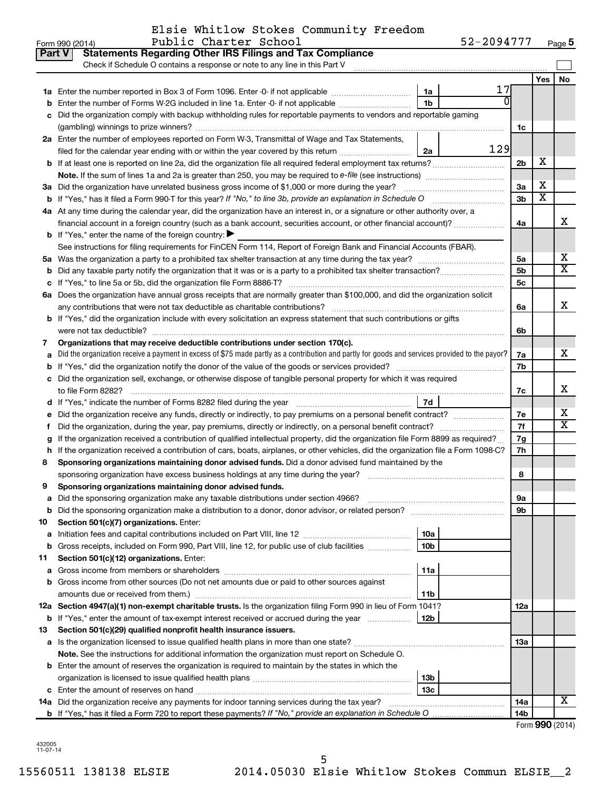|           | Elsie Whitlow Stokes Community Freedom |  |
|-----------|----------------------------------------|--|
| _________ |                                        |  |

|    | Part V<br><b>Statements Regarding Other IRS Filings and Tax Compliance</b><br>Check if Schedule O contains a response or note to any line in this Part V |                 |     |                |                       |                         |  |  |
|----|----------------------------------------------------------------------------------------------------------------------------------------------------------|-----------------|-----|----------------|-----------------------|-------------------------|--|--|
|    |                                                                                                                                                          |                 |     |                | <b>Yes</b>            | No                      |  |  |
|    |                                                                                                                                                          | 1a              | 17  |                |                       |                         |  |  |
|    | Enter the number of Forms W-2G included in line 1a. Enter -0- if not applicable                                                                          | 1 <sub>b</sub>  |     |                |                       |                         |  |  |
|    | c Did the organization comply with backup withholding rules for reportable payments to vendors and reportable gaming                                     |                 |     |                |                       |                         |  |  |
|    |                                                                                                                                                          |                 |     | 1c             |                       |                         |  |  |
|    | 2a Enter the number of employees reported on Form W-3, Transmittal of Wage and Tax Statements,                                                           |                 |     |                |                       |                         |  |  |
|    | filed for the calendar year ending with or within the year covered by this return                                                                        | 2a              | 129 |                |                       |                         |  |  |
|    |                                                                                                                                                          |                 |     | 2b             | х                     |                         |  |  |
|    |                                                                                                                                                          |                 |     |                |                       |                         |  |  |
|    | 3a Did the organization have unrelated business gross income of \$1,000 or more during the year?                                                         |                 |     | За             | х                     |                         |  |  |
|    | <b>b</b> If "Yes," has it filed a Form 990 T for this year? If "No," to line 3b, provide an explanation in Schedule O                                    |                 |     | 3 <sub>b</sub> | $\overline{\text{x}}$ |                         |  |  |
|    | 4a At any time during the calendar year, did the organization have an interest in, or a signature or other authority over, a                             |                 |     |                |                       |                         |  |  |
|    |                                                                                                                                                          |                 |     | 4a             |                       | x                       |  |  |
|    | <b>b</b> If "Yes," enter the name of the foreign country: $\blacktriangleright$                                                                          |                 |     |                |                       |                         |  |  |
|    | See instructions for filing requirements for FinCEN Form 114, Report of Foreign Bank and Financial Accounts (FBAR).                                      |                 |     |                |                       |                         |  |  |
|    |                                                                                                                                                          |                 |     | 5a             |                       | х                       |  |  |
|    |                                                                                                                                                          |                 |     | 5 <sub>b</sub> |                       | $\overline{\texttt{x}}$ |  |  |
|    |                                                                                                                                                          |                 |     | 5с             |                       |                         |  |  |
|    | 6a Does the organization have annual gross receipts that are normally greater than \$100,000, and did the organization solicit                           |                 |     |                |                       |                         |  |  |
|    | any contributions that were not tax deductible as charitable contributions?                                                                              |                 |     | 6a             |                       | х                       |  |  |
|    | <b>b</b> If "Yes," did the organization include with every solicitation an express statement that such contributions or gifts                            |                 |     |                |                       |                         |  |  |
|    | were not tax deductible?                                                                                                                                 |                 |     | 6b             |                       |                         |  |  |
| 7  | Organizations that may receive deductible contributions under section 170(c).<br>7а                                                                      |                 |     |                |                       |                         |  |  |
|    | Did the organization receive a payment in excess of \$75 made partly as a contribution and partly for goods and services provided to the payor?          |                 |     |                |                       |                         |  |  |
|    | 7b                                                                                                                                                       |                 |     |                |                       |                         |  |  |
|    | c Did the organization sell, exchange, or otherwise dispose of tangible personal property for which it was required                                      |                 |     |                |                       |                         |  |  |
|    |                                                                                                                                                          | 7d              |     | 7c             |                       | х                       |  |  |
|    | Did the organization receive any funds, directly or indirectly, to pay premiums on a personal benefit contract?                                          |                 |     | 7е             |                       | х                       |  |  |
|    | Did the organization, during the year, pay premiums, directly or indirectly, on a personal benefit contract?                                             |                 |     | 7f             |                       | $\overline{\text{X}}$   |  |  |
| t  | If the organization received a contribution of qualified intellectual property, did the organization file Form 8899 as required?                         |                 |     | 7g             |                       |                         |  |  |
| h  | If the organization received a contribution of cars, boats, airplanes, or other vehicles, did the organization file a Form 1098-C?                       |                 |     | 7h             |                       |                         |  |  |
| 8  | Sponsoring organizations maintaining donor advised funds. Did a donor advised fund maintained by the                                                     |                 |     |                |                       |                         |  |  |
|    |                                                                                                                                                          |                 |     | 8              |                       |                         |  |  |
| 9  | Sponsoring organizations maintaining donor advised funds.                                                                                                |                 |     |                |                       |                         |  |  |
|    |                                                                                                                                                          |                 |     | эа             |                       |                         |  |  |
|    |                                                                                                                                                          |                 |     | 9b             |                       |                         |  |  |
| 10 | Section 501(c)(7) organizations. Enter:                                                                                                                  |                 |     |                |                       |                         |  |  |
| а  |                                                                                                                                                          | 10a             |     |                |                       |                         |  |  |
|    | <b>b</b> Gross receipts, included on Form 990, Part VIII, line 12, for public use of club facilities <i>manument</i>                                     | 10 <sub>b</sub> |     |                |                       |                         |  |  |
| 11 | Section 501(c)(12) organizations. Enter:                                                                                                                 |                 |     |                |                       |                         |  |  |
| а  |                                                                                                                                                          | 11a             |     |                |                       |                         |  |  |
|    | b Gross income from other sources (Do not net amounts due or paid to other sources against                                                               |                 |     |                |                       |                         |  |  |
|    | amounts due or received from them.)                                                                                                                      | 11b             |     |                |                       |                         |  |  |
|    | 12a Section 4947(a)(1) non-exempt charitable trusts. Is the organization filing Form 990 in lieu of Form 1041?                                           |                 |     | 12a            |                       |                         |  |  |
|    | b If "Yes," enter the amount of tax-exempt interest received or accrued during the year                                                                  | 12b             |     |                |                       |                         |  |  |
| 13 | Section 501(c)(29) qualified nonprofit health insurance issuers.                                                                                         |                 |     |                |                       |                         |  |  |
|    | a Is the organization licensed to issue qualified health plans in more than one state?                                                                   |                 |     | 13a            |                       |                         |  |  |
|    | Note. See the instructions for additional information the organization must report on Schedule O.                                                        |                 |     |                |                       |                         |  |  |
|    | <b>b</b> Enter the amount of reserves the organization is required to maintain by the states in which the                                                |                 |     |                |                       |                         |  |  |
|    |                                                                                                                                                          | 13 <sub>b</sub> |     |                |                       |                         |  |  |
|    |                                                                                                                                                          | 13 <sub>c</sub> |     |                |                       |                         |  |  |
|    | 14a Did the organization receive any payments for indoor tanning services during the tax year?                                                           |                 |     | 14a            |                       | x                       |  |  |
|    | <b>b</b> If "Yes," has it filed a Form 720 to report these payments? If "No," provide an explanation in Schedule O                                       |                 |     | 14b            |                       |                         |  |  |

432005 11-07-14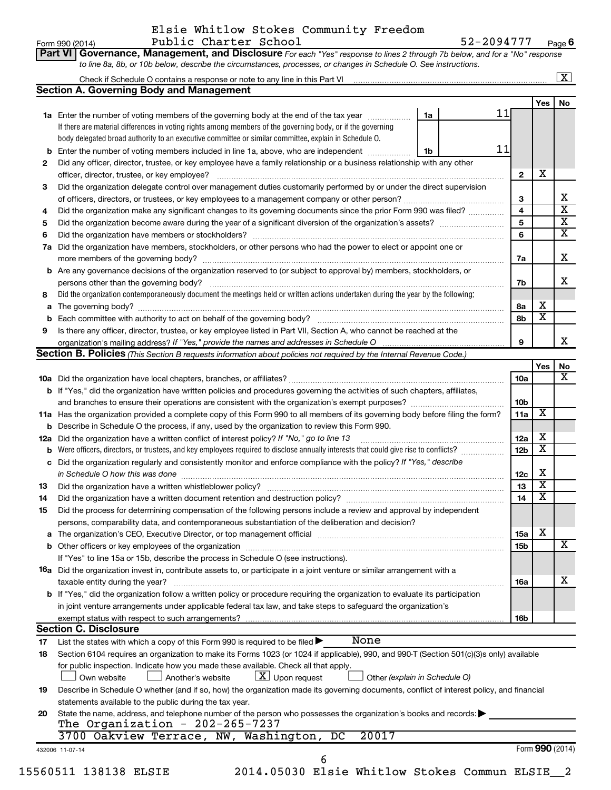#### Form 990 (2014) Public Charter School 52-2094777 <sub>Page</sub> Elsie Whitlow Stokes Community Freedom

**Part VI** Governance, Management, and Disclosure For each "Yes" response to lines 2 through 7b below, and for a "No" response **6**

| 11<br>1a Enter the number of voting members of the governing body at the end of the tax year <i>manumum</i><br>1a<br>If there are material differences in voting rights among members of the governing body, or if the governing<br>body delegated broad authority to an executive committee or similar committee, explain in Schedule O.<br>11<br>Enter the number of voting members included in line 1a, above, who are independent<br>1b<br>b<br>Did any officer, director, trustee, or key employee have a family relationship or a business relationship with any other<br>2<br>$\mathbf{2}$<br>Did the organization delegate control over management duties customarily performed by or under the direct supervision<br>3<br>3<br>4<br>Did the organization make any significant changes to its governing documents since the prior Form 990 was filed?<br>4<br>5<br>5<br>6<br>6<br>Did the organization have members, stockholders, or other persons who had the power to elect or appoint one or<br>7a<br>7a<br>Are any governance decisions of the organization reserved to (or subject to approval by) members, stockholders, or<br>b<br>7b<br>Did the organization contemporaneously document the meetings held or written actions undertaken during the year by the following:<br>8<br>8a<br>а<br>8b<br>Is there any officer, director, trustee, or key employee listed in Part VII, Section A, who cannot be reached at the<br>9<br>9<br><b>Section B. Policies</b> (This Section B requests information about policies not required by the Internal Revenue Code.)<br>10a<br><b>b</b> If "Yes," did the organization have written policies and procedures governing the activities of such chapters, affiliates,<br>10b<br>11a Has the organization provided a complete copy of this Form 990 to all members of its governing body before filing the form?<br>11a<br><b>b</b> Describe in Schedule O the process, if any, used by the organization to review this Form 990.<br>12a<br>Did the organization have a written conflict of interest policy? If "No," go to line 13<br>12a<br>Were officers, directors, or trustees, and key employees required to disclose annually interests that could give rise to conflicts?<br>12 <sub>b</sub><br>Did the organization regularly and consistently monitor and enforce compliance with the policy? If "Yes," describe<br>с<br>in Schedule O how this was done manufactured and continuum and contact the was done manufactured and contact t<br>12c<br>13<br>13<br>14<br>14<br>Did the process for determining compensation of the following persons include a review and approval by independent<br>15<br>persons, comparability data, and contemporaneous substantiation of the deliberation and decision?<br>a The organization's CEO, Executive Director, or top management official manufactured content content of the organization's CEO, Executive Director, or top management official manufactured content of the state of the state<br>15a<br>15b<br>If "Yes" to line 15a or 15b, describe the process in Schedule O (see instructions).<br><b>16a</b> Did the organization invest in, contribute assets to, or participate in a joint venture or similar arrangement with a<br>taxable entity during the year?<br>16a<br>b If "Yes," did the organization follow a written policy or procedure requiring the organization to evaluate its participation<br>in joint venture arrangements under applicable federal tax law, and take steps to safeguard the organization's<br>exempt status with respect to such arrangements?<br>16b<br><b>Section C. Disclosure</b><br>None<br>List the states with which a copy of this Form 990 is required to be filed $\blacktriangleright$<br>17<br>Section 6104 requires an organization to make its Forms 1023 (or 1024 if applicable), 990, and 990-T (Section 501(c)(3)s only) available<br>18<br>for public inspection. Indicate how you made these available. Check all that apply.<br>$X$ Upon request<br>Own website<br>Another's website<br>Other (explain in Schedule O)<br>Describe in Schedule O whether (and if so, how) the organization made its governing documents, conflict of interest policy, and financial<br>19<br>statements available to the public during the tax year.<br>State the name, address, and telephone number of the person who possesses the organization's books and records:<br>20<br>The Organization - $202-265-7237$<br>20017<br>3700 Oakview Terrace, NW, Washington, DC<br>Form 990 (2014)<br>432006 11-07-14 | <b>Section A. Governing Body and Management</b> |                         |                         |
|--------------------------------------------------------------------------------------------------------------------------------------------------------------------------------------------------------------------------------------------------------------------------------------------------------------------------------------------------------------------------------------------------------------------------------------------------------------------------------------------------------------------------------------------------------------------------------------------------------------------------------------------------------------------------------------------------------------------------------------------------------------------------------------------------------------------------------------------------------------------------------------------------------------------------------------------------------------------------------------------------------------------------------------------------------------------------------------------------------------------------------------------------------------------------------------------------------------------------------------------------------------------------------------------------------------------------------------------------------------------------------------------------------------------------------------------------------------------------------------------------------------------------------------------------------------------------------------------------------------------------------------------------------------------------------------------------------------------------------------------------------------------------------------------------------------------------------------------------------------------------------------------------------------------------------------------------------------------------------------------------------------------------------------------------------------------------------------------------------------------------------------------------------------------------------------------------------------------------------------------------------------------------------------------------------------------------------------------------------------------------------------------------------------------------------------------------------------------------------------------------------------------------------------------------------------------------------------------------------------------------------------------------------------------------------------------------------------------------------------------------------------------------------------------------------------------------------------------------------------------------------------------------------------------------------------------------------------------------------------------------------------------------------------------------------------------------------------------------------------------------------------------------------------------------------------------------------------------------------------------------------------------------------------------------------------------------------------------------------------------------------------------------------------------------------------------------------------------------------------------------------------------------------------------------------------------------------------------------------------------------------------------------------------------------------------------------------------------------------------------------------------------------------------------------------------------------------------------------------------------------------------------------------------------------------------------------------------------------------------------------------------------------------------------------------------------------------------------------------------------------------------------------------------------------------------------------------------------------------------------------------------------------------------------------------------------------------------------------------------------------------------------------------------------------------------------------------------------------------------------------------------------------------------------------------------------------|-------------------------------------------------|-------------------------|-------------------------|
|                                                                                                                                                                                                                                                                                                                                                                                                                                                                                                                                                                                                                                                                                                                                                                                                                                                                                                                                                                                                                                                                                                                                                                                                                                                                                                                                                                                                                                                                                                                                                                                                                                                                                                                                                                                                                                                                                                                                                                                                                                                                                                                                                                                                                                                                                                                                                                                                                                                                                                                                                                                                                                                                                                                                                                                                                                                                                                                                                                                                                                                                                                                                                                                                                                                                                                                                                                                                                                                                                                                                                                                                                                                                                                                                                                                                                                                                                                                                                                                                                                                                                                                                                                                                                                                                                                                                                                                                                                                                                                                                                                          |                                                 | Yes                     | No                      |
|                                                                                                                                                                                                                                                                                                                                                                                                                                                                                                                                                                                                                                                                                                                                                                                                                                                                                                                                                                                                                                                                                                                                                                                                                                                                                                                                                                                                                                                                                                                                                                                                                                                                                                                                                                                                                                                                                                                                                                                                                                                                                                                                                                                                                                                                                                                                                                                                                                                                                                                                                                                                                                                                                                                                                                                                                                                                                                                                                                                                                                                                                                                                                                                                                                                                                                                                                                                                                                                                                                                                                                                                                                                                                                                                                                                                                                                                                                                                                                                                                                                                                                                                                                                                                                                                                                                                                                                                                                                                                                                                                                          |                                                 |                         |                         |
|                                                                                                                                                                                                                                                                                                                                                                                                                                                                                                                                                                                                                                                                                                                                                                                                                                                                                                                                                                                                                                                                                                                                                                                                                                                                                                                                                                                                                                                                                                                                                                                                                                                                                                                                                                                                                                                                                                                                                                                                                                                                                                                                                                                                                                                                                                                                                                                                                                                                                                                                                                                                                                                                                                                                                                                                                                                                                                                                                                                                                                                                                                                                                                                                                                                                                                                                                                                                                                                                                                                                                                                                                                                                                                                                                                                                                                                                                                                                                                                                                                                                                                                                                                                                                                                                                                                                                                                                                                                                                                                                                                          |                                                 |                         |                         |
|                                                                                                                                                                                                                                                                                                                                                                                                                                                                                                                                                                                                                                                                                                                                                                                                                                                                                                                                                                                                                                                                                                                                                                                                                                                                                                                                                                                                                                                                                                                                                                                                                                                                                                                                                                                                                                                                                                                                                                                                                                                                                                                                                                                                                                                                                                                                                                                                                                                                                                                                                                                                                                                                                                                                                                                                                                                                                                                                                                                                                                                                                                                                                                                                                                                                                                                                                                                                                                                                                                                                                                                                                                                                                                                                                                                                                                                                                                                                                                                                                                                                                                                                                                                                                                                                                                                                                                                                                                                                                                                                                                          |                                                 |                         |                         |
|                                                                                                                                                                                                                                                                                                                                                                                                                                                                                                                                                                                                                                                                                                                                                                                                                                                                                                                                                                                                                                                                                                                                                                                                                                                                                                                                                                                                                                                                                                                                                                                                                                                                                                                                                                                                                                                                                                                                                                                                                                                                                                                                                                                                                                                                                                                                                                                                                                                                                                                                                                                                                                                                                                                                                                                                                                                                                                                                                                                                                                                                                                                                                                                                                                                                                                                                                                                                                                                                                                                                                                                                                                                                                                                                                                                                                                                                                                                                                                                                                                                                                                                                                                                                                                                                                                                                                                                                                                                                                                                                                                          |                                                 |                         |                         |
|                                                                                                                                                                                                                                                                                                                                                                                                                                                                                                                                                                                                                                                                                                                                                                                                                                                                                                                                                                                                                                                                                                                                                                                                                                                                                                                                                                                                                                                                                                                                                                                                                                                                                                                                                                                                                                                                                                                                                                                                                                                                                                                                                                                                                                                                                                                                                                                                                                                                                                                                                                                                                                                                                                                                                                                                                                                                                                                                                                                                                                                                                                                                                                                                                                                                                                                                                                                                                                                                                                                                                                                                                                                                                                                                                                                                                                                                                                                                                                                                                                                                                                                                                                                                                                                                                                                                                                                                                                                                                                                                                                          |                                                 |                         |                         |
|                                                                                                                                                                                                                                                                                                                                                                                                                                                                                                                                                                                                                                                                                                                                                                                                                                                                                                                                                                                                                                                                                                                                                                                                                                                                                                                                                                                                                                                                                                                                                                                                                                                                                                                                                                                                                                                                                                                                                                                                                                                                                                                                                                                                                                                                                                                                                                                                                                                                                                                                                                                                                                                                                                                                                                                                                                                                                                                                                                                                                                                                                                                                                                                                                                                                                                                                                                                                                                                                                                                                                                                                                                                                                                                                                                                                                                                                                                                                                                                                                                                                                                                                                                                                                                                                                                                                                                                                                                                                                                                                                                          |                                                 | х                       |                         |
|                                                                                                                                                                                                                                                                                                                                                                                                                                                                                                                                                                                                                                                                                                                                                                                                                                                                                                                                                                                                                                                                                                                                                                                                                                                                                                                                                                                                                                                                                                                                                                                                                                                                                                                                                                                                                                                                                                                                                                                                                                                                                                                                                                                                                                                                                                                                                                                                                                                                                                                                                                                                                                                                                                                                                                                                                                                                                                                                                                                                                                                                                                                                                                                                                                                                                                                                                                                                                                                                                                                                                                                                                                                                                                                                                                                                                                                                                                                                                                                                                                                                                                                                                                                                                                                                                                                                                                                                                                                                                                                                                                          |                                                 |                         |                         |
|                                                                                                                                                                                                                                                                                                                                                                                                                                                                                                                                                                                                                                                                                                                                                                                                                                                                                                                                                                                                                                                                                                                                                                                                                                                                                                                                                                                                                                                                                                                                                                                                                                                                                                                                                                                                                                                                                                                                                                                                                                                                                                                                                                                                                                                                                                                                                                                                                                                                                                                                                                                                                                                                                                                                                                                                                                                                                                                                                                                                                                                                                                                                                                                                                                                                                                                                                                                                                                                                                                                                                                                                                                                                                                                                                                                                                                                                                                                                                                                                                                                                                                                                                                                                                                                                                                                                                                                                                                                                                                                                                                          |                                                 |                         | х                       |
|                                                                                                                                                                                                                                                                                                                                                                                                                                                                                                                                                                                                                                                                                                                                                                                                                                                                                                                                                                                                                                                                                                                                                                                                                                                                                                                                                                                                                                                                                                                                                                                                                                                                                                                                                                                                                                                                                                                                                                                                                                                                                                                                                                                                                                                                                                                                                                                                                                                                                                                                                                                                                                                                                                                                                                                                                                                                                                                                                                                                                                                                                                                                                                                                                                                                                                                                                                                                                                                                                                                                                                                                                                                                                                                                                                                                                                                                                                                                                                                                                                                                                                                                                                                                                                                                                                                                                                                                                                                                                                                                                                          |                                                 |                         | $\overline{\mathbf{x}}$ |
|                                                                                                                                                                                                                                                                                                                                                                                                                                                                                                                                                                                                                                                                                                                                                                                                                                                                                                                                                                                                                                                                                                                                                                                                                                                                                                                                                                                                                                                                                                                                                                                                                                                                                                                                                                                                                                                                                                                                                                                                                                                                                                                                                                                                                                                                                                                                                                                                                                                                                                                                                                                                                                                                                                                                                                                                                                                                                                                                                                                                                                                                                                                                                                                                                                                                                                                                                                                                                                                                                                                                                                                                                                                                                                                                                                                                                                                                                                                                                                                                                                                                                                                                                                                                                                                                                                                                                                                                                                                                                                                                                                          |                                                 |                         | $\overline{\mathbf{x}}$ |
|                                                                                                                                                                                                                                                                                                                                                                                                                                                                                                                                                                                                                                                                                                                                                                                                                                                                                                                                                                                                                                                                                                                                                                                                                                                                                                                                                                                                                                                                                                                                                                                                                                                                                                                                                                                                                                                                                                                                                                                                                                                                                                                                                                                                                                                                                                                                                                                                                                                                                                                                                                                                                                                                                                                                                                                                                                                                                                                                                                                                                                                                                                                                                                                                                                                                                                                                                                                                                                                                                                                                                                                                                                                                                                                                                                                                                                                                                                                                                                                                                                                                                                                                                                                                                                                                                                                                                                                                                                                                                                                                                                          |                                                 |                         | $\overline{\mathbf{x}}$ |
|                                                                                                                                                                                                                                                                                                                                                                                                                                                                                                                                                                                                                                                                                                                                                                                                                                                                                                                                                                                                                                                                                                                                                                                                                                                                                                                                                                                                                                                                                                                                                                                                                                                                                                                                                                                                                                                                                                                                                                                                                                                                                                                                                                                                                                                                                                                                                                                                                                                                                                                                                                                                                                                                                                                                                                                                                                                                                                                                                                                                                                                                                                                                                                                                                                                                                                                                                                                                                                                                                                                                                                                                                                                                                                                                                                                                                                                                                                                                                                                                                                                                                                                                                                                                                                                                                                                                                                                                                                                                                                                                                                          |                                                 |                         |                         |
|                                                                                                                                                                                                                                                                                                                                                                                                                                                                                                                                                                                                                                                                                                                                                                                                                                                                                                                                                                                                                                                                                                                                                                                                                                                                                                                                                                                                                                                                                                                                                                                                                                                                                                                                                                                                                                                                                                                                                                                                                                                                                                                                                                                                                                                                                                                                                                                                                                                                                                                                                                                                                                                                                                                                                                                                                                                                                                                                                                                                                                                                                                                                                                                                                                                                                                                                                                                                                                                                                                                                                                                                                                                                                                                                                                                                                                                                                                                                                                                                                                                                                                                                                                                                                                                                                                                                                                                                                                                                                                                                                                          |                                                 |                         | X                       |
|                                                                                                                                                                                                                                                                                                                                                                                                                                                                                                                                                                                                                                                                                                                                                                                                                                                                                                                                                                                                                                                                                                                                                                                                                                                                                                                                                                                                                                                                                                                                                                                                                                                                                                                                                                                                                                                                                                                                                                                                                                                                                                                                                                                                                                                                                                                                                                                                                                                                                                                                                                                                                                                                                                                                                                                                                                                                                                                                                                                                                                                                                                                                                                                                                                                                                                                                                                                                                                                                                                                                                                                                                                                                                                                                                                                                                                                                                                                                                                                                                                                                                                                                                                                                                                                                                                                                                                                                                                                                                                                                                                          |                                                 |                         |                         |
|                                                                                                                                                                                                                                                                                                                                                                                                                                                                                                                                                                                                                                                                                                                                                                                                                                                                                                                                                                                                                                                                                                                                                                                                                                                                                                                                                                                                                                                                                                                                                                                                                                                                                                                                                                                                                                                                                                                                                                                                                                                                                                                                                                                                                                                                                                                                                                                                                                                                                                                                                                                                                                                                                                                                                                                                                                                                                                                                                                                                                                                                                                                                                                                                                                                                                                                                                                                                                                                                                                                                                                                                                                                                                                                                                                                                                                                                                                                                                                                                                                                                                                                                                                                                                                                                                                                                                                                                                                                                                                                                                                          |                                                 |                         |                         |
|                                                                                                                                                                                                                                                                                                                                                                                                                                                                                                                                                                                                                                                                                                                                                                                                                                                                                                                                                                                                                                                                                                                                                                                                                                                                                                                                                                                                                                                                                                                                                                                                                                                                                                                                                                                                                                                                                                                                                                                                                                                                                                                                                                                                                                                                                                                                                                                                                                                                                                                                                                                                                                                                                                                                                                                                                                                                                                                                                                                                                                                                                                                                                                                                                                                                                                                                                                                                                                                                                                                                                                                                                                                                                                                                                                                                                                                                                                                                                                                                                                                                                                                                                                                                                                                                                                                                                                                                                                                                                                                                                                          |                                                 |                         | х                       |
|                                                                                                                                                                                                                                                                                                                                                                                                                                                                                                                                                                                                                                                                                                                                                                                                                                                                                                                                                                                                                                                                                                                                                                                                                                                                                                                                                                                                                                                                                                                                                                                                                                                                                                                                                                                                                                                                                                                                                                                                                                                                                                                                                                                                                                                                                                                                                                                                                                                                                                                                                                                                                                                                                                                                                                                                                                                                                                                                                                                                                                                                                                                                                                                                                                                                                                                                                                                                                                                                                                                                                                                                                                                                                                                                                                                                                                                                                                                                                                                                                                                                                                                                                                                                                                                                                                                                                                                                                                                                                                                                                                          |                                                 |                         |                         |
|                                                                                                                                                                                                                                                                                                                                                                                                                                                                                                                                                                                                                                                                                                                                                                                                                                                                                                                                                                                                                                                                                                                                                                                                                                                                                                                                                                                                                                                                                                                                                                                                                                                                                                                                                                                                                                                                                                                                                                                                                                                                                                                                                                                                                                                                                                                                                                                                                                                                                                                                                                                                                                                                                                                                                                                                                                                                                                                                                                                                                                                                                                                                                                                                                                                                                                                                                                                                                                                                                                                                                                                                                                                                                                                                                                                                                                                                                                                                                                                                                                                                                                                                                                                                                                                                                                                                                                                                                                                                                                                                                                          |                                                 | х                       |                         |
|                                                                                                                                                                                                                                                                                                                                                                                                                                                                                                                                                                                                                                                                                                                                                                                                                                                                                                                                                                                                                                                                                                                                                                                                                                                                                                                                                                                                                                                                                                                                                                                                                                                                                                                                                                                                                                                                                                                                                                                                                                                                                                                                                                                                                                                                                                                                                                                                                                                                                                                                                                                                                                                                                                                                                                                                                                                                                                                                                                                                                                                                                                                                                                                                                                                                                                                                                                                                                                                                                                                                                                                                                                                                                                                                                                                                                                                                                                                                                                                                                                                                                                                                                                                                                                                                                                                                                                                                                                                                                                                                                                          |                                                 | X                       |                         |
|                                                                                                                                                                                                                                                                                                                                                                                                                                                                                                                                                                                                                                                                                                                                                                                                                                                                                                                                                                                                                                                                                                                                                                                                                                                                                                                                                                                                                                                                                                                                                                                                                                                                                                                                                                                                                                                                                                                                                                                                                                                                                                                                                                                                                                                                                                                                                                                                                                                                                                                                                                                                                                                                                                                                                                                                                                                                                                                                                                                                                                                                                                                                                                                                                                                                                                                                                                                                                                                                                                                                                                                                                                                                                                                                                                                                                                                                                                                                                                                                                                                                                                                                                                                                                                                                                                                                                                                                                                                                                                                                                                          |                                                 |                         |                         |
|                                                                                                                                                                                                                                                                                                                                                                                                                                                                                                                                                                                                                                                                                                                                                                                                                                                                                                                                                                                                                                                                                                                                                                                                                                                                                                                                                                                                                                                                                                                                                                                                                                                                                                                                                                                                                                                                                                                                                                                                                                                                                                                                                                                                                                                                                                                                                                                                                                                                                                                                                                                                                                                                                                                                                                                                                                                                                                                                                                                                                                                                                                                                                                                                                                                                                                                                                                                                                                                                                                                                                                                                                                                                                                                                                                                                                                                                                                                                                                                                                                                                                                                                                                                                                                                                                                                                                                                                                                                                                                                                                                          |                                                 |                         | x                       |
|                                                                                                                                                                                                                                                                                                                                                                                                                                                                                                                                                                                                                                                                                                                                                                                                                                                                                                                                                                                                                                                                                                                                                                                                                                                                                                                                                                                                                                                                                                                                                                                                                                                                                                                                                                                                                                                                                                                                                                                                                                                                                                                                                                                                                                                                                                                                                                                                                                                                                                                                                                                                                                                                                                                                                                                                                                                                                                                                                                                                                                                                                                                                                                                                                                                                                                                                                                                                                                                                                                                                                                                                                                                                                                                                                                                                                                                                                                                                                                                                                                                                                                                                                                                                                                                                                                                                                                                                                                                                                                                                                                          |                                                 |                         |                         |
|                                                                                                                                                                                                                                                                                                                                                                                                                                                                                                                                                                                                                                                                                                                                                                                                                                                                                                                                                                                                                                                                                                                                                                                                                                                                                                                                                                                                                                                                                                                                                                                                                                                                                                                                                                                                                                                                                                                                                                                                                                                                                                                                                                                                                                                                                                                                                                                                                                                                                                                                                                                                                                                                                                                                                                                                                                                                                                                                                                                                                                                                                                                                                                                                                                                                                                                                                                                                                                                                                                                                                                                                                                                                                                                                                                                                                                                                                                                                                                                                                                                                                                                                                                                                                                                                                                                                                                                                                                                                                                                                                                          |                                                 | Yes                     | No                      |
|                                                                                                                                                                                                                                                                                                                                                                                                                                                                                                                                                                                                                                                                                                                                                                                                                                                                                                                                                                                                                                                                                                                                                                                                                                                                                                                                                                                                                                                                                                                                                                                                                                                                                                                                                                                                                                                                                                                                                                                                                                                                                                                                                                                                                                                                                                                                                                                                                                                                                                                                                                                                                                                                                                                                                                                                                                                                                                                                                                                                                                                                                                                                                                                                                                                                                                                                                                                                                                                                                                                                                                                                                                                                                                                                                                                                                                                                                                                                                                                                                                                                                                                                                                                                                                                                                                                                                                                                                                                                                                                                                                          |                                                 |                         | x                       |
|                                                                                                                                                                                                                                                                                                                                                                                                                                                                                                                                                                                                                                                                                                                                                                                                                                                                                                                                                                                                                                                                                                                                                                                                                                                                                                                                                                                                                                                                                                                                                                                                                                                                                                                                                                                                                                                                                                                                                                                                                                                                                                                                                                                                                                                                                                                                                                                                                                                                                                                                                                                                                                                                                                                                                                                                                                                                                                                                                                                                                                                                                                                                                                                                                                                                                                                                                                                                                                                                                                                                                                                                                                                                                                                                                                                                                                                                                                                                                                                                                                                                                                                                                                                                                                                                                                                                                                                                                                                                                                                                                                          |                                                 |                         |                         |
|                                                                                                                                                                                                                                                                                                                                                                                                                                                                                                                                                                                                                                                                                                                                                                                                                                                                                                                                                                                                                                                                                                                                                                                                                                                                                                                                                                                                                                                                                                                                                                                                                                                                                                                                                                                                                                                                                                                                                                                                                                                                                                                                                                                                                                                                                                                                                                                                                                                                                                                                                                                                                                                                                                                                                                                                                                                                                                                                                                                                                                                                                                                                                                                                                                                                                                                                                                                                                                                                                                                                                                                                                                                                                                                                                                                                                                                                                                                                                                                                                                                                                                                                                                                                                                                                                                                                                                                                                                                                                                                                                                          |                                                 |                         |                         |
|                                                                                                                                                                                                                                                                                                                                                                                                                                                                                                                                                                                                                                                                                                                                                                                                                                                                                                                                                                                                                                                                                                                                                                                                                                                                                                                                                                                                                                                                                                                                                                                                                                                                                                                                                                                                                                                                                                                                                                                                                                                                                                                                                                                                                                                                                                                                                                                                                                                                                                                                                                                                                                                                                                                                                                                                                                                                                                                                                                                                                                                                                                                                                                                                                                                                                                                                                                                                                                                                                                                                                                                                                                                                                                                                                                                                                                                                                                                                                                                                                                                                                                                                                                                                                                                                                                                                                                                                                                                                                                                                                                          |                                                 | х                       |                         |
|                                                                                                                                                                                                                                                                                                                                                                                                                                                                                                                                                                                                                                                                                                                                                                                                                                                                                                                                                                                                                                                                                                                                                                                                                                                                                                                                                                                                                                                                                                                                                                                                                                                                                                                                                                                                                                                                                                                                                                                                                                                                                                                                                                                                                                                                                                                                                                                                                                                                                                                                                                                                                                                                                                                                                                                                                                                                                                                                                                                                                                                                                                                                                                                                                                                                                                                                                                                                                                                                                                                                                                                                                                                                                                                                                                                                                                                                                                                                                                                                                                                                                                                                                                                                                                                                                                                                                                                                                                                                                                                                                                          |                                                 |                         |                         |
|                                                                                                                                                                                                                                                                                                                                                                                                                                                                                                                                                                                                                                                                                                                                                                                                                                                                                                                                                                                                                                                                                                                                                                                                                                                                                                                                                                                                                                                                                                                                                                                                                                                                                                                                                                                                                                                                                                                                                                                                                                                                                                                                                                                                                                                                                                                                                                                                                                                                                                                                                                                                                                                                                                                                                                                                                                                                                                                                                                                                                                                                                                                                                                                                                                                                                                                                                                                                                                                                                                                                                                                                                                                                                                                                                                                                                                                                                                                                                                                                                                                                                                                                                                                                                                                                                                                                                                                                                                                                                                                                                                          |                                                 | х                       |                         |
|                                                                                                                                                                                                                                                                                                                                                                                                                                                                                                                                                                                                                                                                                                                                                                                                                                                                                                                                                                                                                                                                                                                                                                                                                                                                                                                                                                                                                                                                                                                                                                                                                                                                                                                                                                                                                                                                                                                                                                                                                                                                                                                                                                                                                                                                                                                                                                                                                                                                                                                                                                                                                                                                                                                                                                                                                                                                                                                                                                                                                                                                                                                                                                                                                                                                                                                                                                                                                                                                                                                                                                                                                                                                                                                                                                                                                                                                                                                                                                                                                                                                                                                                                                                                                                                                                                                                                                                                                                                                                                                                                                          |                                                 | х                       |                         |
|                                                                                                                                                                                                                                                                                                                                                                                                                                                                                                                                                                                                                                                                                                                                                                                                                                                                                                                                                                                                                                                                                                                                                                                                                                                                                                                                                                                                                                                                                                                                                                                                                                                                                                                                                                                                                                                                                                                                                                                                                                                                                                                                                                                                                                                                                                                                                                                                                                                                                                                                                                                                                                                                                                                                                                                                                                                                                                                                                                                                                                                                                                                                                                                                                                                                                                                                                                                                                                                                                                                                                                                                                                                                                                                                                                                                                                                                                                                                                                                                                                                                                                                                                                                                                                                                                                                                                                                                                                                                                                                                                                          |                                                 |                         |                         |
|                                                                                                                                                                                                                                                                                                                                                                                                                                                                                                                                                                                                                                                                                                                                                                                                                                                                                                                                                                                                                                                                                                                                                                                                                                                                                                                                                                                                                                                                                                                                                                                                                                                                                                                                                                                                                                                                                                                                                                                                                                                                                                                                                                                                                                                                                                                                                                                                                                                                                                                                                                                                                                                                                                                                                                                                                                                                                                                                                                                                                                                                                                                                                                                                                                                                                                                                                                                                                                                                                                                                                                                                                                                                                                                                                                                                                                                                                                                                                                                                                                                                                                                                                                                                                                                                                                                                                                                                                                                                                                                                                                          |                                                 | X                       |                         |
|                                                                                                                                                                                                                                                                                                                                                                                                                                                                                                                                                                                                                                                                                                                                                                                                                                                                                                                                                                                                                                                                                                                                                                                                                                                                                                                                                                                                                                                                                                                                                                                                                                                                                                                                                                                                                                                                                                                                                                                                                                                                                                                                                                                                                                                                                                                                                                                                                                                                                                                                                                                                                                                                                                                                                                                                                                                                                                                                                                                                                                                                                                                                                                                                                                                                                                                                                                                                                                                                                                                                                                                                                                                                                                                                                                                                                                                                                                                                                                                                                                                                                                                                                                                                                                                                                                                                                                                                                                                                                                                                                                          |                                                 |                         |                         |
|                                                                                                                                                                                                                                                                                                                                                                                                                                                                                                                                                                                                                                                                                                                                                                                                                                                                                                                                                                                                                                                                                                                                                                                                                                                                                                                                                                                                                                                                                                                                                                                                                                                                                                                                                                                                                                                                                                                                                                                                                                                                                                                                                                                                                                                                                                                                                                                                                                                                                                                                                                                                                                                                                                                                                                                                                                                                                                                                                                                                                                                                                                                                                                                                                                                                                                                                                                                                                                                                                                                                                                                                                                                                                                                                                                                                                                                                                                                                                                                                                                                                                                                                                                                                                                                                                                                                                                                                                                                                                                                                                                          |                                                 | X                       |                         |
|                                                                                                                                                                                                                                                                                                                                                                                                                                                                                                                                                                                                                                                                                                                                                                                                                                                                                                                                                                                                                                                                                                                                                                                                                                                                                                                                                                                                                                                                                                                                                                                                                                                                                                                                                                                                                                                                                                                                                                                                                                                                                                                                                                                                                                                                                                                                                                                                                                                                                                                                                                                                                                                                                                                                                                                                                                                                                                                                                                                                                                                                                                                                                                                                                                                                                                                                                                                                                                                                                                                                                                                                                                                                                                                                                                                                                                                                                                                                                                                                                                                                                                                                                                                                                                                                                                                                                                                                                                                                                                                                                                          |                                                 | $\overline{\mathbf{x}}$ |                         |
|                                                                                                                                                                                                                                                                                                                                                                                                                                                                                                                                                                                                                                                                                                                                                                                                                                                                                                                                                                                                                                                                                                                                                                                                                                                                                                                                                                                                                                                                                                                                                                                                                                                                                                                                                                                                                                                                                                                                                                                                                                                                                                                                                                                                                                                                                                                                                                                                                                                                                                                                                                                                                                                                                                                                                                                                                                                                                                                                                                                                                                                                                                                                                                                                                                                                                                                                                                                                                                                                                                                                                                                                                                                                                                                                                                                                                                                                                                                                                                                                                                                                                                                                                                                                                                                                                                                                                                                                                                                                                                                                                                          |                                                 |                         |                         |
|                                                                                                                                                                                                                                                                                                                                                                                                                                                                                                                                                                                                                                                                                                                                                                                                                                                                                                                                                                                                                                                                                                                                                                                                                                                                                                                                                                                                                                                                                                                                                                                                                                                                                                                                                                                                                                                                                                                                                                                                                                                                                                                                                                                                                                                                                                                                                                                                                                                                                                                                                                                                                                                                                                                                                                                                                                                                                                                                                                                                                                                                                                                                                                                                                                                                                                                                                                                                                                                                                                                                                                                                                                                                                                                                                                                                                                                                                                                                                                                                                                                                                                                                                                                                                                                                                                                                                                                                                                                                                                                                                                          |                                                 |                         |                         |
|                                                                                                                                                                                                                                                                                                                                                                                                                                                                                                                                                                                                                                                                                                                                                                                                                                                                                                                                                                                                                                                                                                                                                                                                                                                                                                                                                                                                                                                                                                                                                                                                                                                                                                                                                                                                                                                                                                                                                                                                                                                                                                                                                                                                                                                                                                                                                                                                                                                                                                                                                                                                                                                                                                                                                                                                                                                                                                                                                                                                                                                                                                                                                                                                                                                                                                                                                                                                                                                                                                                                                                                                                                                                                                                                                                                                                                                                                                                                                                                                                                                                                                                                                                                                                                                                                                                                                                                                                                                                                                                                                                          |                                                 | X                       |                         |
|                                                                                                                                                                                                                                                                                                                                                                                                                                                                                                                                                                                                                                                                                                                                                                                                                                                                                                                                                                                                                                                                                                                                                                                                                                                                                                                                                                                                                                                                                                                                                                                                                                                                                                                                                                                                                                                                                                                                                                                                                                                                                                                                                                                                                                                                                                                                                                                                                                                                                                                                                                                                                                                                                                                                                                                                                                                                                                                                                                                                                                                                                                                                                                                                                                                                                                                                                                                                                                                                                                                                                                                                                                                                                                                                                                                                                                                                                                                                                                                                                                                                                                                                                                                                                                                                                                                                                                                                                                                                                                                                                                          |                                                 |                         | $\overline{\mathbf{X}}$ |
|                                                                                                                                                                                                                                                                                                                                                                                                                                                                                                                                                                                                                                                                                                                                                                                                                                                                                                                                                                                                                                                                                                                                                                                                                                                                                                                                                                                                                                                                                                                                                                                                                                                                                                                                                                                                                                                                                                                                                                                                                                                                                                                                                                                                                                                                                                                                                                                                                                                                                                                                                                                                                                                                                                                                                                                                                                                                                                                                                                                                                                                                                                                                                                                                                                                                                                                                                                                                                                                                                                                                                                                                                                                                                                                                                                                                                                                                                                                                                                                                                                                                                                                                                                                                                                                                                                                                                                                                                                                                                                                                                                          |                                                 |                         |                         |
|                                                                                                                                                                                                                                                                                                                                                                                                                                                                                                                                                                                                                                                                                                                                                                                                                                                                                                                                                                                                                                                                                                                                                                                                                                                                                                                                                                                                                                                                                                                                                                                                                                                                                                                                                                                                                                                                                                                                                                                                                                                                                                                                                                                                                                                                                                                                                                                                                                                                                                                                                                                                                                                                                                                                                                                                                                                                                                                                                                                                                                                                                                                                                                                                                                                                                                                                                                                                                                                                                                                                                                                                                                                                                                                                                                                                                                                                                                                                                                                                                                                                                                                                                                                                                                                                                                                                                                                                                                                                                                                                                                          |                                                 |                         |                         |
|                                                                                                                                                                                                                                                                                                                                                                                                                                                                                                                                                                                                                                                                                                                                                                                                                                                                                                                                                                                                                                                                                                                                                                                                                                                                                                                                                                                                                                                                                                                                                                                                                                                                                                                                                                                                                                                                                                                                                                                                                                                                                                                                                                                                                                                                                                                                                                                                                                                                                                                                                                                                                                                                                                                                                                                                                                                                                                                                                                                                                                                                                                                                                                                                                                                                                                                                                                                                                                                                                                                                                                                                                                                                                                                                                                                                                                                                                                                                                                                                                                                                                                                                                                                                                                                                                                                                                                                                                                                                                                                                                                          |                                                 |                         | x                       |
|                                                                                                                                                                                                                                                                                                                                                                                                                                                                                                                                                                                                                                                                                                                                                                                                                                                                                                                                                                                                                                                                                                                                                                                                                                                                                                                                                                                                                                                                                                                                                                                                                                                                                                                                                                                                                                                                                                                                                                                                                                                                                                                                                                                                                                                                                                                                                                                                                                                                                                                                                                                                                                                                                                                                                                                                                                                                                                                                                                                                                                                                                                                                                                                                                                                                                                                                                                                                                                                                                                                                                                                                                                                                                                                                                                                                                                                                                                                                                                                                                                                                                                                                                                                                                                                                                                                                                                                                                                                                                                                                                                          |                                                 |                         |                         |
|                                                                                                                                                                                                                                                                                                                                                                                                                                                                                                                                                                                                                                                                                                                                                                                                                                                                                                                                                                                                                                                                                                                                                                                                                                                                                                                                                                                                                                                                                                                                                                                                                                                                                                                                                                                                                                                                                                                                                                                                                                                                                                                                                                                                                                                                                                                                                                                                                                                                                                                                                                                                                                                                                                                                                                                                                                                                                                                                                                                                                                                                                                                                                                                                                                                                                                                                                                                                                                                                                                                                                                                                                                                                                                                                                                                                                                                                                                                                                                                                                                                                                                                                                                                                                                                                                                                                                                                                                                                                                                                                                                          |                                                 |                         |                         |
|                                                                                                                                                                                                                                                                                                                                                                                                                                                                                                                                                                                                                                                                                                                                                                                                                                                                                                                                                                                                                                                                                                                                                                                                                                                                                                                                                                                                                                                                                                                                                                                                                                                                                                                                                                                                                                                                                                                                                                                                                                                                                                                                                                                                                                                                                                                                                                                                                                                                                                                                                                                                                                                                                                                                                                                                                                                                                                                                                                                                                                                                                                                                                                                                                                                                                                                                                                                                                                                                                                                                                                                                                                                                                                                                                                                                                                                                                                                                                                                                                                                                                                                                                                                                                                                                                                                                                                                                                                                                                                                                                                          |                                                 |                         |                         |
|                                                                                                                                                                                                                                                                                                                                                                                                                                                                                                                                                                                                                                                                                                                                                                                                                                                                                                                                                                                                                                                                                                                                                                                                                                                                                                                                                                                                                                                                                                                                                                                                                                                                                                                                                                                                                                                                                                                                                                                                                                                                                                                                                                                                                                                                                                                                                                                                                                                                                                                                                                                                                                                                                                                                                                                                                                                                                                                                                                                                                                                                                                                                                                                                                                                                                                                                                                                                                                                                                                                                                                                                                                                                                                                                                                                                                                                                                                                                                                                                                                                                                                                                                                                                                                                                                                                                                                                                                                                                                                                                                                          |                                                 |                         |                         |
|                                                                                                                                                                                                                                                                                                                                                                                                                                                                                                                                                                                                                                                                                                                                                                                                                                                                                                                                                                                                                                                                                                                                                                                                                                                                                                                                                                                                                                                                                                                                                                                                                                                                                                                                                                                                                                                                                                                                                                                                                                                                                                                                                                                                                                                                                                                                                                                                                                                                                                                                                                                                                                                                                                                                                                                                                                                                                                                                                                                                                                                                                                                                                                                                                                                                                                                                                                                                                                                                                                                                                                                                                                                                                                                                                                                                                                                                                                                                                                                                                                                                                                                                                                                                                                                                                                                                                                                                                                                                                                                                                                          |                                                 |                         |                         |
|                                                                                                                                                                                                                                                                                                                                                                                                                                                                                                                                                                                                                                                                                                                                                                                                                                                                                                                                                                                                                                                                                                                                                                                                                                                                                                                                                                                                                                                                                                                                                                                                                                                                                                                                                                                                                                                                                                                                                                                                                                                                                                                                                                                                                                                                                                                                                                                                                                                                                                                                                                                                                                                                                                                                                                                                                                                                                                                                                                                                                                                                                                                                                                                                                                                                                                                                                                                                                                                                                                                                                                                                                                                                                                                                                                                                                                                                                                                                                                                                                                                                                                                                                                                                                                                                                                                                                                                                                                                                                                                                                                          |                                                 |                         |                         |
|                                                                                                                                                                                                                                                                                                                                                                                                                                                                                                                                                                                                                                                                                                                                                                                                                                                                                                                                                                                                                                                                                                                                                                                                                                                                                                                                                                                                                                                                                                                                                                                                                                                                                                                                                                                                                                                                                                                                                                                                                                                                                                                                                                                                                                                                                                                                                                                                                                                                                                                                                                                                                                                                                                                                                                                                                                                                                                                                                                                                                                                                                                                                                                                                                                                                                                                                                                                                                                                                                                                                                                                                                                                                                                                                                                                                                                                                                                                                                                                                                                                                                                                                                                                                                                                                                                                                                                                                                                                                                                                                                                          |                                                 |                         |                         |
|                                                                                                                                                                                                                                                                                                                                                                                                                                                                                                                                                                                                                                                                                                                                                                                                                                                                                                                                                                                                                                                                                                                                                                                                                                                                                                                                                                                                                                                                                                                                                                                                                                                                                                                                                                                                                                                                                                                                                                                                                                                                                                                                                                                                                                                                                                                                                                                                                                                                                                                                                                                                                                                                                                                                                                                                                                                                                                                                                                                                                                                                                                                                                                                                                                                                                                                                                                                                                                                                                                                                                                                                                                                                                                                                                                                                                                                                                                                                                                                                                                                                                                                                                                                                                                                                                                                                                                                                                                                                                                                                                                          |                                                 |                         |                         |
|                                                                                                                                                                                                                                                                                                                                                                                                                                                                                                                                                                                                                                                                                                                                                                                                                                                                                                                                                                                                                                                                                                                                                                                                                                                                                                                                                                                                                                                                                                                                                                                                                                                                                                                                                                                                                                                                                                                                                                                                                                                                                                                                                                                                                                                                                                                                                                                                                                                                                                                                                                                                                                                                                                                                                                                                                                                                                                                                                                                                                                                                                                                                                                                                                                                                                                                                                                                                                                                                                                                                                                                                                                                                                                                                                                                                                                                                                                                                                                                                                                                                                                                                                                                                                                                                                                                                                                                                                                                                                                                                                                          |                                                 |                         |                         |
|                                                                                                                                                                                                                                                                                                                                                                                                                                                                                                                                                                                                                                                                                                                                                                                                                                                                                                                                                                                                                                                                                                                                                                                                                                                                                                                                                                                                                                                                                                                                                                                                                                                                                                                                                                                                                                                                                                                                                                                                                                                                                                                                                                                                                                                                                                                                                                                                                                                                                                                                                                                                                                                                                                                                                                                                                                                                                                                                                                                                                                                                                                                                                                                                                                                                                                                                                                                                                                                                                                                                                                                                                                                                                                                                                                                                                                                                                                                                                                                                                                                                                                                                                                                                                                                                                                                                                                                                                                                                                                                                                                          |                                                 |                         |                         |
|                                                                                                                                                                                                                                                                                                                                                                                                                                                                                                                                                                                                                                                                                                                                                                                                                                                                                                                                                                                                                                                                                                                                                                                                                                                                                                                                                                                                                                                                                                                                                                                                                                                                                                                                                                                                                                                                                                                                                                                                                                                                                                                                                                                                                                                                                                                                                                                                                                                                                                                                                                                                                                                                                                                                                                                                                                                                                                                                                                                                                                                                                                                                                                                                                                                                                                                                                                                                                                                                                                                                                                                                                                                                                                                                                                                                                                                                                                                                                                                                                                                                                                                                                                                                                                                                                                                                                                                                                                                                                                                                                                          |                                                 |                         |                         |
|                                                                                                                                                                                                                                                                                                                                                                                                                                                                                                                                                                                                                                                                                                                                                                                                                                                                                                                                                                                                                                                                                                                                                                                                                                                                                                                                                                                                                                                                                                                                                                                                                                                                                                                                                                                                                                                                                                                                                                                                                                                                                                                                                                                                                                                                                                                                                                                                                                                                                                                                                                                                                                                                                                                                                                                                                                                                                                                                                                                                                                                                                                                                                                                                                                                                                                                                                                                                                                                                                                                                                                                                                                                                                                                                                                                                                                                                                                                                                                                                                                                                                                                                                                                                                                                                                                                                                                                                                                                                                                                                                                          |                                                 |                         |                         |
|                                                                                                                                                                                                                                                                                                                                                                                                                                                                                                                                                                                                                                                                                                                                                                                                                                                                                                                                                                                                                                                                                                                                                                                                                                                                                                                                                                                                                                                                                                                                                                                                                                                                                                                                                                                                                                                                                                                                                                                                                                                                                                                                                                                                                                                                                                                                                                                                                                                                                                                                                                                                                                                                                                                                                                                                                                                                                                                                                                                                                                                                                                                                                                                                                                                                                                                                                                                                                                                                                                                                                                                                                                                                                                                                                                                                                                                                                                                                                                                                                                                                                                                                                                                                                                                                                                                                                                                                                                                                                                                                                                          |                                                 |                         |                         |
|                                                                                                                                                                                                                                                                                                                                                                                                                                                                                                                                                                                                                                                                                                                                                                                                                                                                                                                                                                                                                                                                                                                                                                                                                                                                                                                                                                                                                                                                                                                                                                                                                                                                                                                                                                                                                                                                                                                                                                                                                                                                                                                                                                                                                                                                                                                                                                                                                                                                                                                                                                                                                                                                                                                                                                                                                                                                                                                                                                                                                                                                                                                                                                                                                                                                                                                                                                                                                                                                                                                                                                                                                                                                                                                                                                                                                                                                                                                                                                                                                                                                                                                                                                                                                                                                                                                                                                                                                                                                                                                                                                          |                                                 |                         |                         |
|                                                                                                                                                                                                                                                                                                                                                                                                                                                                                                                                                                                                                                                                                                                                                                                                                                                                                                                                                                                                                                                                                                                                                                                                                                                                                                                                                                                                                                                                                                                                                                                                                                                                                                                                                                                                                                                                                                                                                                                                                                                                                                                                                                                                                                                                                                                                                                                                                                                                                                                                                                                                                                                                                                                                                                                                                                                                                                                                                                                                                                                                                                                                                                                                                                                                                                                                                                                                                                                                                                                                                                                                                                                                                                                                                                                                                                                                                                                                                                                                                                                                                                                                                                                                                                                                                                                                                                                                                                                                                                                                                                          |                                                 |                         |                         |
|                                                                                                                                                                                                                                                                                                                                                                                                                                                                                                                                                                                                                                                                                                                                                                                                                                                                                                                                                                                                                                                                                                                                                                                                                                                                                                                                                                                                                                                                                                                                                                                                                                                                                                                                                                                                                                                                                                                                                                                                                                                                                                                                                                                                                                                                                                                                                                                                                                                                                                                                                                                                                                                                                                                                                                                                                                                                                                                                                                                                                                                                                                                                                                                                                                                                                                                                                                                                                                                                                                                                                                                                                                                                                                                                                                                                                                                                                                                                                                                                                                                                                                                                                                                                                                                                                                                                                                                                                                                                                                                                                                          |                                                 |                         |                         |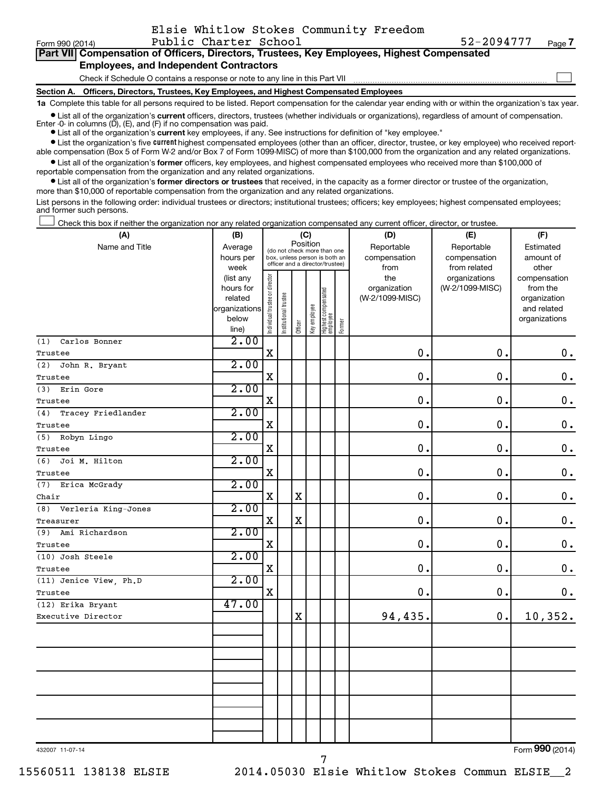| Form 990 (2014)                                                                                                                                            | Public Charter School                                                                      | 52-2094777<br>Page 7 |  |  |  |  |  |
|------------------------------------------------------------------------------------------------------------------------------------------------------------|--------------------------------------------------------------------------------------------|----------------------|--|--|--|--|--|
| Part VII Compensation of Officers, Directors, Trustees, Key Employees, Highest Compensated                                                                 |                                                                                            |                      |  |  |  |  |  |
| <b>Employees, and Independent Contractors</b>                                                                                                              |                                                                                            |                      |  |  |  |  |  |
|                                                                                                                                                            | Check if Schedule O contains a response or note to any line in this Part VII               |                      |  |  |  |  |  |
|                                                                                                                                                            | Section A. Officers, Directors, Trustees, Key Employees, and Highest Compensated Employees |                      |  |  |  |  |  |
| 1a Complete this table for all persons required to be listed. Report compensation for the calendar year ending with or within the organization's tax year. |                                                                                            |                      |  |  |  |  |  |

Elsie Whitlow Stokes Community Freedom

**•** List all of the organization's current officers, directors, trustees (whether individuals or organizations), regardless of amount of compensation. ompensation for the calendar year ending with or within the organization's tax ye

Enter  $-0$ - in columns  $(D)$ ,  $(E)$ , and  $(F)$  if no compensation was paid.

**•** List all of the organization's **current** key employees, if any. See instructions for definition of "key employee."

**•** List the organization's five current highest compensated employees (other than an officer, director, trustee, or key employee) who received reportable compensation (Box 5 of Form W-2 and/or Box 7 of Form 1099-MISC) of more than \$100,000 from the organization and any related organizations.

**•** List all of the organization's former officers, key employees, and highest compensated employees who received more than \$100,000 of reportable compensation from the organization and any related organizations.

**•** List all of the organization's former directors or trustees that received, in the capacity as a former director or trustee of the organization, more than \$10,000 of reportable compensation from the organization and any related organizations.

List persons in the following order: individual trustees or directors; institutional trustees; officers; key employees; highest compensated employees; and former such persons.

Check this box if neither the organization nor any related organization compensated any current officer, director, or trustee. †

| (A)                        | (B)           |                                                      |                                                                  | (C)         |              |                                 |        | (D)                  | (E)                          | (F)                      |
|----------------------------|---------------|------------------------------------------------------|------------------------------------------------------------------|-------------|--------------|---------------------------------|--------|----------------------|------------------------------|--------------------------|
| Name and Title             | Average       | Position<br>(do not check more than one<br>hours per |                                                                  |             |              |                                 |        | Reportable           | Reportable                   | Estimated                |
|                            | week          |                                                      | box, unless person is both an<br>officer and a director/trustee) |             |              |                                 |        | compensation<br>from | compensation<br>from related | amount of<br>other       |
|                            | (list any     |                                                      |                                                                  |             |              |                                 |        | the                  | organizations                | compensation             |
|                            | hours for     |                                                      |                                                                  |             |              |                                 |        | organization         | (W-2/1099-MISC)              | from the                 |
|                            | related       |                                                      |                                                                  |             |              |                                 |        | (W-2/1099-MISC)      |                              | organization             |
|                            | organizations |                                                      |                                                                  |             |              |                                 |        |                      |                              | and related              |
|                            | below         | Individual trustee or director                       | Institutional trustee                                            | Officer     | Key employee | Highest compensated<br>employee | Former |                      |                              | organizations            |
| Carlos Bonner<br>(1)       | line)<br>2.00 |                                                      |                                                                  |             |              |                                 |        |                      |                              |                          |
| Trustee                    |               | $\mathbf X$                                          |                                                                  |             |              |                                 |        | $\mathbf 0$ .        | $\mathbf 0$ .                | $\mathbf 0$ .            |
| John R. Bryant<br>(2)      | 2.00          |                                                      |                                                                  |             |              |                                 |        |                      |                              |                          |
| Trustee                    |               | $\mathbf X$                                          |                                                                  |             |              |                                 |        | $\mathbf 0$          | $\mathbf 0$ .                | $\mathbf 0$ .            |
| Erin Gore<br>(3)           | 2.00          |                                                      |                                                                  |             |              |                                 |        |                      |                              |                          |
| Trustee                    |               | X                                                    |                                                                  |             |              |                                 |        | $\mathbf 0$          | $\mathbf 0$ .                | $\mathbf 0$ .            |
| Tracey Friedlander<br>(4)  | 2.00          |                                                      |                                                                  |             |              |                                 |        |                      |                              |                          |
| Trustee                    |               | $\mathbf X$                                          |                                                                  |             |              |                                 |        | 0.                   | $\mathbf 0$ .                | $\mathbf 0$ .            |
| Robyn Lingo<br>(5)         | 2.00          |                                                      |                                                                  |             |              |                                 |        |                      |                              |                          |
| Trustee                    |               | $\mathbf X$                                          |                                                                  |             |              |                                 |        | $\mathbf 0$          | $\mathbf 0$ .                | $\mathbf 0$ .            |
| (6)<br>Joi M. Hilton       | 2.00          |                                                      |                                                                  |             |              |                                 |        |                      |                              |                          |
| Trustee                    |               | $\mathbf X$                                          |                                                                  |             |              |                                 |        | $\mathbf 0$          | $\mathbf 0$ .                | $\mathbf 0$ .            |
| (7)<br>Erica McGrady       | 2.00          |                                                      |                                                                  |             |              |                                 |        |                      |                              |                          |
| Chair                      |               | $\mathbf X$                                          |                                                                  | $\mathbf X$ |              |                                 |        | 0.                   | $\mathbf 0$ .                | $\mathbf 0$ .            |
| Verleria King-Jones<br>(8) | 2.00          |                                                      |                                                                  |             |              |                                 |        |                      |                              |                          |
| Treasurer                  |               | $\mathbf X$                                          |                                                                  | $\mathbf X$ |              |                                 |        | 0.                   | $\mathbf 0$ .                | $\mathbf 0$ .            |
| Ami Richardson<br>(9)      | 2.00          |                                                      |                                                                  |             |              |                                 |        |                      |                              |                          |
| Trustee                    |               | X                                                    |                                                                  |             |              |                                 |        | $\mathbf 0$ .        | $\mathbf 0$ .                | $\mathbf 0$ .            |
| (10) Josh Steele           | 2.00          |                                                      |                                                                  |             |              |                                 |        |                      |                              |                          |
| Trustee                    |               | $\mathbf X$                                          |                                                                  |             |              |                                 |        | $\mathbf 0$ .        | $\mathbf 0$ .                | $\mathbf 0$ .            |
| (11) Jenice View, Ph.D     | 2.00          |                                                      |                                                                  |             |              |                                 |        |                      |                              |                          |
| Trustee                    |               | $\mathbf X$                                          |                                                                  |             |              |                                 |        | 0.                   | 0.                           | $\mathbf 0$ .            |
| (12) Erika Bryant          | 47.00         |                                                      |                                                                  |             |              |                                 |        |                      |                              |                          |
| Executive Director         |               |                                                      |                                                                  | $\mathbf X$ |              |                                 |        | 94,435.              | 0.                           | 10,352.                  |
|                            |               |                                                      |                                                                  |             |              |                                 |        |                      |                              |                          |
|                            |               |                                                      |                                                                  |             |              |                                 |        |                      |                              |                          |
|                            |               |                                                      |                                                                  |             |              |                                 |        |                      |                              |                          |
|                            |               |                                                      |                                                                  |             |              |                                 |        |                      |                              |                          |
|                            |               |                                                      |                                                                  |             |              |                                 |        |                      |                              |                          |
|                            |               |                                                      |                                                                  |             |              |                                 |        |                      |                              |                          |
|                            |               |                                                      |                                                                  |             |              |                                 |        |                      |                              |                          |
|                            |               |                                                      |                                                                  |             |              |                                 |        |                      |                              |                          |
|                            |               |                                                      |                                                                  |             |              |                                 |        |                      |                              |                          |
|                            |               |                                                      |                                                                  |             |              |                                 |        |                      |                              | $\overline{\phantom{a}}$ |

7

432007 11-07-14

Form (2014) **990**

15560511 138138 ELSIE 2014.05030 Elsie Whitlow Stokes Commun ELSIE\_\_2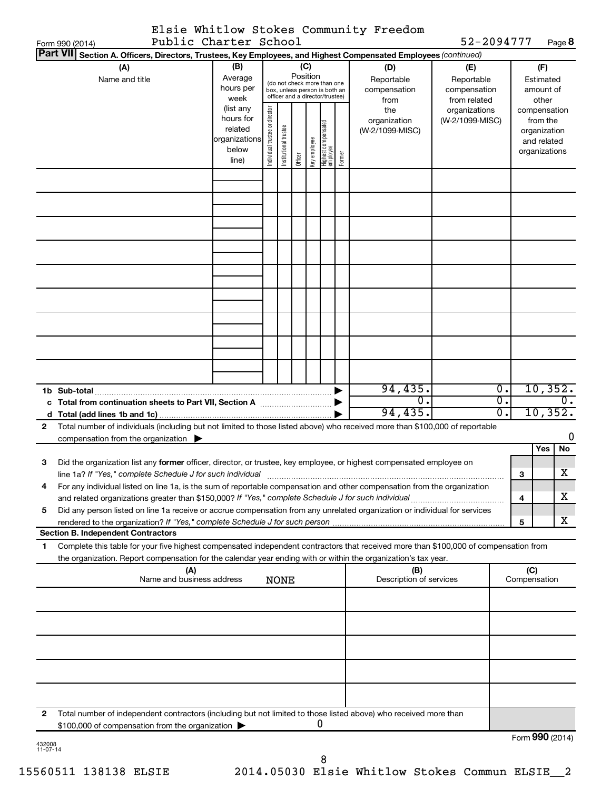|                       | Elsie Whitlow Stokes Community Freedom |  |
|-----------------------|----------------------------------------|--|
| Public Charter School |                                        |  |

52-2094777 Page 8

|    | Public Charter School<br>Form 990 (2014)                                                                                                                                                                                          |                                                                                                                                                                                                |                                |                       |         |              |                                   |                                                   |                                        | 52-2094777                       |                        |              | Page 8                                                                   |
|----|-----------------------------------------------------------------------------------------------------------------------------------------------------------------------------------------------------------------------------------|------------------------------------------------------------------------------------------------------------------------------------------------------------------------------------------------|--------------------------------|-----------------------|---------|--------------|-----------------------------------|---------------------------------------------------|----------------------------------------|----------------------------------|------------------------|--------------|--------------------------------------------------------------------------|
|    | <b>Part VII</b><br>Section A. Officers, Directors, Trustees, Key Employees, and Highest Compensated Employees (continued)                                                                                                         |                                                                                                                                                                                                |                                |                       |         |              |                                   |                                                   |                                        |                                  |                        |              |                                                                          |
|    | (A)<br>Name and title                                                                                                                                                                                                             | (B)<br>(C)<br>(D)<br>Position<br>Average<br>Reportable<br>(do not check more than one<br>hours per<br>compensation<br>box, unless person is both an<br>officer and a director/trustee)<br>week |                                |                       |         |              | from                              | (E)<br>Reportable<br>compensation<br>from related | Estimated<br>other                     |                                  | (F)<br>amount of       |              |                                                                          |
|    |                                                                                                                                                                                                                                   | (list any<br>hours for<br>related<br>organizations<br>below<br>line)                                                                                                                           | Individual trustee or director | Institutional trustee | Officer | Key employee | Highest compensated<br>  employee | Former                                            | the<br>organization<br>(W-2/1099-MISC) | organizations<br>(W-2/1099-MISC) |                        |              | compensation<br>from the<br>organization<br>and related<br>organizations |
|    |                                                                                                                                                                                                                                   |                                                                                                                                                                                                |                                |                       |         |              |                                   |                                                   |                                        |                                  |                        |              |                                                                          |
|    |                                                                                                                                                                                                                                   |                                                                                                                                                                                                |                                |                       |         |              |                                   |                                                   |                                        |                                  |                        |              |                                                                          |
|    |                                                                                                                                                                                                                                   |                                                                                                                                                                                                |                                |                       |         |              |                                   |                                                   |                                        |                                  |                        |              |                                                                          |
|    |                                                                                                                                                                                                                                   |                                                                                                                                                                                                |                                |                       |         |              |                                   |                                                   |                                        |                                  |                        |              |                                                                          |
|    | 1b Sub-total                                                                                                                                                                                                                      |                                                                                                                                                                                                |                                |                       |         |              |                                   |                                                   | 94,435.                                |                                  | Ο.                     |              | 10,352.                                                                  |
|    | c Total from continuation sheets to Part VII, Section A manufactured by                                                                                                                                                           |                                                                                                                                                                                                |                                |                       |         |              |                                   |                                                   | $\overline{0}$ .<br>94, 435.           |                                  | $\overline{0}$ .<br>0. |              | $\overline{0}$ .<br>10, 352.                                             |
| 2  | Total number of individuals (including but not limited to those listed above) who received more than \$100,000 of reportable<br>compensation from the organization $\blacktriangleright$                                          |                                                                                                                                                                                                |                                |                       |         |              |                                   |                                                   |                                        |                                  |                        |              | 0                                                                        |
| 3  | Did the organization list any former officer, director, or trustee, key employee, or highest compensated employee on                                                                                                              |                                                                                                                                                                                                |                                |                       |         |              |                                   |                                                   |                                        |                                  |                        |              | Yes<br>No                                                                |
|    | For any individual listed on line 1a, is the sum of reportable compensation and other compensation from the organization                                                                                                          |                                                                                                                                                                                                |                                |                       |         |              |                                   |                                                   |                                        |                                  |                        | 3            | х                                                                        |
| 5  | and related organizations greater than \$150,000? If "Yes," complete Schedule J for such individual<br>Did any person listed on line 1a receive or accrue compensation from any unrelated organization or individual for services |                                                                                                                                                                                                |                                |                       |         |              |                                   |                                                   |                                        |                                  |                        | 4            | х                                                                        |
|    | <b>Section B. Independent Contractors</b>                                                                                                                                                                                         |                                                                                                                                                                                                |                                |                       |         |              |                                   |                                                   |                                        |                                  |                        | 5            | х                                                                        |
| 1. | Complete this table for your five highest compensated independent contractors that received more than \$100,000 of compensation from                                                                                              |                                                                                                                                                                                                |                                |                       |         |              |                                   |                                                   |                                        |                                  |                        |              |                                                                          |
|    | the organization. Report compensation for the calendar year ending with or within the organization's tax year.                                                                                                                    |                                                                                                                                                                                                |                                |                       |         |              |                                   |                                                   | (B)                                    |                                  |                        | (C)          |                                                                          |
|    | (A)<br>Name and business address                                                                                                                                                                                                  |                                                                                                                                                                                                |                                | <b>NONE</b>           |         |              |                                   |                                                   | Description of services                |                                  |                        | Compensation |                                                                          |
|    |                                                                                                                                                                                                                                   |                                                                                                                                                                                                |                                |                       |         |              |                                   |                                                   |                                        |                                  |                        |              |                                                                          |
|    |                                                                                                                                                                                                                                   |                                                                                                                                                                                                |                                |                       |         |              |                                   |                                                   |                                        |                                  |                        |              |                                                                          |
|    |                                                                                                                                                                                                                                   |                                                                                                                                                                                                |                                |                       |         |              |                                   |                                                   |                                        |                                  |                        |              |                                                                          |
|    |                                                                                                                                                                                                                                   |                                                                                                                                                                                                |                                |                       |         |              |                                   |                                                   |                                        |                                  |                        |              |                                                                          |
| 2  | Total number of independent contractors (including but not limited to those listed above) who received more than<br>\$100,000 of compensation from the organization                                                               |                                                                                                                                                                                                |                                |                       |         |              | 0                                 |                                                   |                                        |                                  |                        |              |                                                                          |
|    |                                                                                                                                                                                                                                   |                                                                                                                                                                                                |                                |                       |         |              |                                   |                                                   |                                        |                                  |                        |              | Form 990 (2014)                                                          |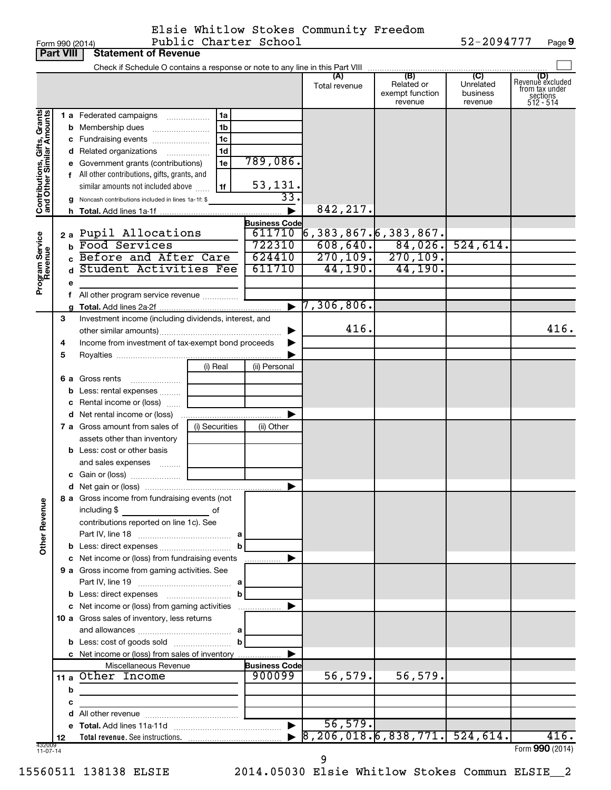Form 990 (2014) Page Public Charter School 52-2094777 **Public Form 990 (2014)**<br>**Part VIII Statement of Revenue** Elsie Whitlow Stokes Community Freedom

**9**

|                                                           | <b>Fait VIII</b> | Statement of Devellue                                                                                                                                                                                                                   |                                                          |                                                                |                                                   |                                                                  |                                  |                                                                    |
|-----------------------------------------------------------|------------------|-----------------------------------------------------------------------------------------------------------------------------------------------------------------------------------------------------------------------------------------|----------------------------------------------------------|----------------------------------------------------------------|---------------------------------------------------|------------------------------------------------------------------|----------------------------------|--------------------------------------------------------------------|
|                                                           |                  |                                                                                                                                                                                                                                         |                                                          |                                                                | Total revenue                                     | Related or<br>exempt function<br>revenue                         | Unrelated<br>business<br>revenue | (D)<br>Revenue excluded<br>from tax under<br>sections<br>512 - 514 |
| Contributions, Gifts, Grants<br>and Other Similar Amounts |                  | 1 a Federated campaigns<br>d Related organizations<br>e Government grants (contributions)<br>f All other contributions, gifts, grants, and<br>similar amounts not included above<br>g Noncash contributions included in lines 1a-1f: \$ | 1a<br>1 <sub>b</sub><br>1 <sub>c</sub><br>1d<br>1e<br>1f | 789,086.<br>53,131.<br>$\overline{33}$<br><b>Business Code</b> | 842,217.                                          |                                                                  |                                  |                                                                    |
| Program Service<br>Revenue                                |                  | 2 a Pupil Allocations<br><b>b</b> Food Services<br>c Before and After Care<br>Student Activities Fee<br>f All other program service revenue                                                                                             |                                                          | 611710<br>722310<br>624410<br>611710                           | 6,383,867 <b>.</b>  6,383,867 <b>.</b><br>44,190. | $608, 640.$ 84,026.<br>$\overline{270,109.}$ 270,109.<br>44,190. | 524,614.                         |                                                                    |
|                                                           |                  |                                                                                                                                                                                                                                         |                                                          |                                                                | 7,306,806.                                        |                                                                  |                                  |                                                                    |
|                                                           | З<br>4<br>5      | Investment income (including dividends, interest, and<br>Income from investment of tax-exempt bond proceeds                                                                                                                             |                                                          |                                                                | 416.                                              |                                                                  |                                  | 416.                                                               |
|                                                           |                  | <b>6 a</b> Gross rents<br>$\ldots \ldots \ldots \ldots \ldots$<br><b>b</b> Less: rental expenses<br>c Rental income or (loss)                                                                                                           | (i) Real                                                 | (ii) Personal                                                  |                                                   |                                                                  |                                  |                                                                    |
|                                                           |                  | <b>7 a</b> Gross amount from sales of<br>assets other than inventory                                                                                                                                                                    | (i) Securities                                           | (ii) Other                                                     |                                                   |                                                                  |                                  |                                                                    |
| Ф<br>Other Revenu                                         |                  | <b>b</b> Less: cost or other basis<br>and sales expenses<br>8 a Gross income from fundraising events (not<br>including \$<br>$\overline{\phantom{a}}$ of<br>contributions reported on line 1c). See                                     |                                                          |                                                                |                                                   |                                                                  |                                  |                                                                    |
|                                                           |                  | c Net income or (loss) from fundraising events<br>9 a Gross income from gaming activities. See                                                                                                                                          | b                                                        |                                                                |                                                   |                                                                  |                                  |                                                                    |
|                                                           |                  | c Net income or (loss) from gaming activities<br>10 a Gross sales of inventory, less returns                                                                                                                                            | b<br>$\mathbf b$                                         |                                                                |                                                   |                                                                  |                                  |                                                                    |
|                                                           |                  | c Net income or (loss) from sales of inventory<br>Miscellaneous Revenue<br>11 a Other Income                                                                                                                                            |                                                          | <b>Business Code</b><br>900099                                 | 56,579.                                           | 56,579.                                                          |                                  |                                                                    |
|                                                           | b<br>с           |                                                                                                                                                                                                                                         |                                                          |                                                                | 56,579.                                           |                                                                  |                                  |                                                                    |
|                                                           | 12               |                                                                                                                                                                                                                                         |                                                          |                                                                | $\overline{8,206,018.6,838,771.}$ 524,614.        |                                                                  |                                  | 416.                                                               |
| 432009<br>11-07-14                                        |                  |                                                                                                                                                                                                                                         |                                                          |                                                                |                                                   |                                                                  |                                  | Form 990 (2014)                                                    |

9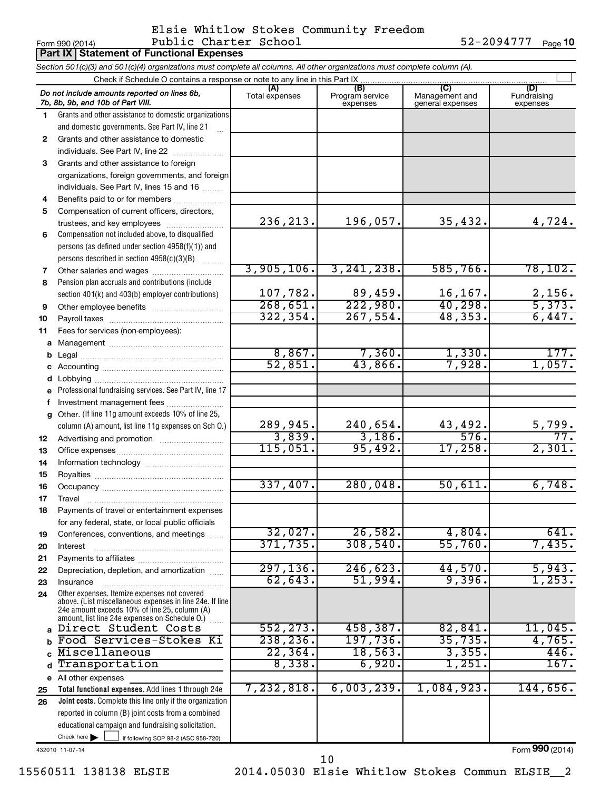### Form 990 (2014) Page Public Charter School 52-2094777 Elsie Whitlow Stokes Community Freedom

52-2094777 Page 10

|             | <b>Part IX   Statement of Functional Expenses</b>                                                                                                                                                           |                       |                                    |                                           |                                |  |  |  |  |  |
|-------------|-------------------------------------------------------------------------------------------------------------------------------------------------------------------------------------------------------------|-----------------------|------------------------------------|-------------------------------------------|--------------------------------|--|--|--|--|--|
|             | Section 501(c)(3) and 501(c)(4) organizations must complete all columns. All other organizations must complete column (A).                                                                                  |                       |                                    |                                           |                                |  |  |  |  |  |
|             | Check if Schedule O contains a response or note to any line in this Part IX.                                                                                                                                |                       |                                    |                                           |                                |  |  |  |  |  |
|             | Do not include amounts reported on lines 6b,<br>7b, 8b, 9b, and 10b of Part VIII.                                                                                                                           | (A)<br>Total expenses | (B)<br>Program service<br>expenses | (C)<br>Management and<br>general expenses | (D)<br>Fundraising<br>expenses |  |  |  |  |  |
| 1.          | Grants and other assistance to domestic organizations                                                                                                                                                       |                       |                                    |                                           |                                |  |  |  |  |  |
|             | and domestic governments. See Part IV, line 21                                                                                                                                                              |                       |                                    |                                           |                                |  |  |  |  |  |
| 2           | Grants and other assistance to domestic                                                                                                                                                                     |                       |                                    |                                           |                                |  |  |  |  |  |
|             | individuals. See Part IV, line 22                                                                                                                                                                           |                       |                                    |                                           |                                |  |  |  |  |  |
| 3           | Grants and other assistance to foreign                                                                                                                                                                      |                       |                                    |                                           |                                |  |  |  |  |  |
|             | organizations, foreign governments, and foreign                                                                                                                                                             |                       |                                    |                                           |                                |  |  |  |  |  |
|             | individuals. See Part IV, lines 15 and 16                                                                                                                                                                   |                       |                                    |                                           |                                |  |  |  |  |  |
| 4           | Benefits paid to or for members                                                                                                                                                                             |                       |                                    |                                           |                                |  |  |  |  |  |
| 5           | Compensation of current officers, directors,                                                                                                                                                                | 236, 213.             | 196,057.                           | 35,432.                                   | 4,724.                         |  |  |  |  |  |
|             | trustees, and key employees                                                                                                                                                                                 |                       |                                    |                                           |                                |  |  |  |  |  |
| 6           | Compensation not included above, to disqualified<br>persons (as defined under section 4958(f)(1)) and                                                                                                       |                       |                                    |                                           |                                |  |  |  |  |  |
|             | persons described in section 4958(c)(3)(B)                                                                                                                                                                  |                       |                                    |                                           |                                |  |  |  |  |  |
| 7           | Other salaries and wages                                                                                                                                                                                    | 3,905,106.            | 3, 241, 238.                       | 585,766.                                  | 78, 102.                       |  |  |  |  |  |
| 8           | Pension plan accruals and contributions (include                                                                                                                                                            |                       |                                    |                                           |                                |  |  |  |  |  |
|             | section 401(k) and 403(b) employer contributions)                                                                                                                                                           | 107,782.              |                                    |                                           |                                |  |  |  |  |  |
| 9           |                                                                                                                                                                                                             | 268,651.              | $\frac{89,459}{222,980}$           | $\frac{16,167.}{40,298.}$                 | $\frac{2,156}{5,373}$ .        |  |  |  |  |  |
| 10          |                                                                                                                                                                                                             | 322, 354.             | 267,554.                           | 48, 353.                                  | 6,447.                         |  |  |  |  |  |
| 11          | Fees for services (non-employees):                                                                                                                                                                          |                       |                                    |                                           |                                |  |  |  |  |  |
| a           |                                                                                                                                                                                                             |                       |                                    |                                           |                                |  |  |  |  |  |
| b           |                                                                                                                                                                                                             | 8,867.                | 7,360.                             | 1,330.                                    | 177.                           |  |  |  |  |  |
| c           |                                                                                                                                                                                                             | 52,851.               | 43,866.                            | 7,928.                                    | 1,057.                         |  |  |  |  |  |
| d           |                                                                                                                                                                                                             |                       |                                    |                                           |                                |  |  |  |  |  |
|             | Professional fundraising services. See Part IV, line 17                                                                                                                                                     |                       |                                    |                                           |                                |  |  |  |  |  |
| f           | Investment management fees                                                                                                                                                                                  |                       |                                    |                                           |                                |  |  |  |  |  |
| a           | Other. (If line 11g amount exceeds 10% of line 25,                                                                                                                                                          |                       |                                    |                                           |                                |  |  |  |  |  |
|             | column (A) amount, list line 11g expenses on Sch O.)                                                                                                                                                        | 289,945.              | 240,654.                           | 43,492.                                   | <u>5,799.</u>                  |  |  |  |  |  |
| 12          |                                                                                                                                                                                                             | 3,839.                | 3,186.                             | 576.                                      |                                |  |  |  |  |  |
| 13          |                                                                                                                                                                                                             | 115,051.              | 95,492.                            | 17,258.                                   | 2,301.                         |  |  |  |  |  |
| 14          |                                                                                                                                                                                                             |                       |                                    |                                           |                                |  |  |  |  |  |
| 15          |                                                                                                                                                                                                             | 337,407.              | 280,048.                           | 50,611                                    | 6,748.                         |  |  |  |  |  |
| 16          |                                                                                                                                                                                                             |                       |                                    |                                           |                                |  |  |  |  |  |
| 17          | Travel                                                                                                                                                                                                      |                       |                                    |                                           |                                |  |  |  |  |  |
| 18          | Payments of travel or entertainment expenses                                                                                                                                                                |                       |                                    |                                           |                                |  |  |  |  |  |
| 19          | for any federal, state, or local public officials<br>Conferences, conventions, and meetings                                                                                                                 | 32,027.               | 26,582.                            | 4,804.                                    | 641.                           |  |  |  |  |  |
| 20          | Interest                                                                                                                                                                                                    | 371, 735.             | 308,540.                           | 55,760.                                   | 7,435.                         |  |  |  |  |  |
| 21          |                                                                                                                                                                                                             |                       |                                    |                                           |                                |  |  |  |  |  |
| 22          | Depreciation, depletion, and amortization                                                                                                                                                                   | 297, 136.             | 246,623.                           | 44,570.                                   | 5,943.                         |  |  |  |  |  |
| 23          | Insurance                                                                                                                                                                                                   | 62, 643.              | 51,994.                            | 9,396.                                    | 1,253.                         |  |  |  |  |  |
| 24          | Other expenses. Itemize expenses not covered<br>above. (List miscellaneous expenses in line 24e. If line<br>24e amount exceeds 10% of line 25, column (A)<br>amount, list line 24e expenses on Schedule O.) |                       |                                    |                                           |                                |  |  |  |  |  |
|             | a Direct Student Costs                                                                                                                                                                                      | 552, 273.             | 458,387.                           | 82,841                                    | 11,045.                        |  |  |  |  |  |
| b           | Food Services-Stokes Ki                                                                                                                                                                                     | 238, 236.             | 197,736.                           | 35,735.                                   | 4,765.                         |  |  |  |  |  |
|             | Miscellaneous                                                                                                                                                                                               | 22, 364.              | 18, 563.                           | 3,355.                                    | 446.                           |  |  |  |  |  |
| $\mathbf d$ | Transportation                                                                                                                                                                                              | 8,338.                | 6,920.                             | 1,251.                                    | 167.                           |  |  |  |  |  |
|             | e All other expenses                                                                                                                                                                                        |                       |                                    |                                           |                                |  |  |  |  |  |
| 25          | Total functional expenses. Add lines 1 through 24e                                                                                                                                                          | 7,232,818.            | 6,003,239.                         | 1,084,923.                                | 144,656.                       |  |  |  |  |  |
| 26          | Joint costs. Complete this line only if the organization                                                                                                                                                    |                       |                                    |                                           |                                |  |  |  |  |  |
|             | reported in column (B) joint costs from a combined                                                                                                                                                          |                       |                                    |                                           |                                |  |  |  |  |  |
|             | educational campaign and fundraising solicitation.                                                                                                                                                          |                       |                                    |                                           |                                |  |  |  |  |  |
|             | Check here $\blacktriangleright$<br>if following SOP 98-2 (ASC 958-720)                                                                                                                                     |                       |                                    |                                           |                                |  |  |  |  |  |

432010 11-07-14

15560511 138138 ELSIE 2014.05030 Elsie Whitlow Stokes Commun ELSIE\_\_2 10

Form (2014) **990**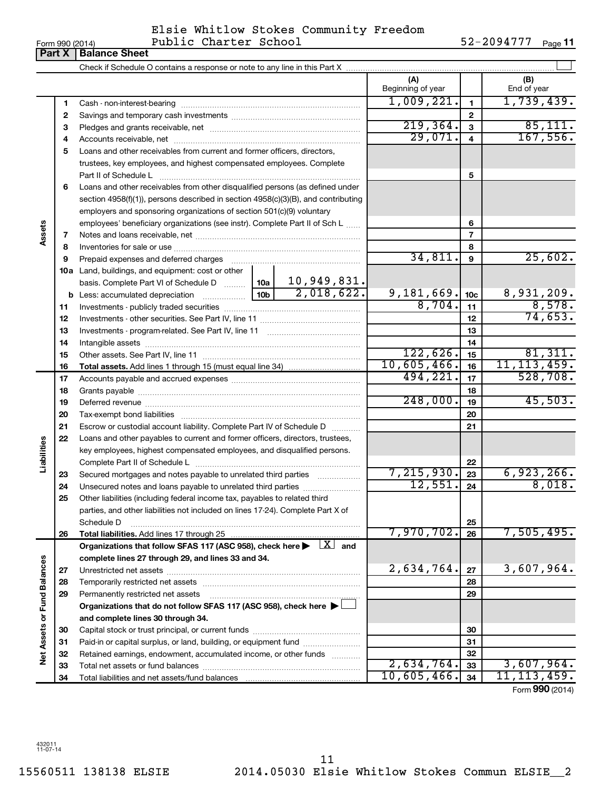| Form 990 (2014) |
|-----------------|
|-----------------|

#### $\frac{1}{2}$ Form 990 (2014) Public Charter School by the set of  $52-2094777$  Page Elsie Whitlow Stokes Community Freedom Public Charter School 52-2094777

52-2094777 Page 11

|                      | <b>Part X</b> | <b>Balance Sheet</b>                                                                                                                                                       |        |            |                          |                 |                      |
|----------------------|---------------|----------------------------------------------------------------------------------------------------------------------------------------------------------------------------|--------|------------|--------------------------|-----------------|----------------------|
|                      |               |                                                                                                                                                                            |        |            |                          |                 |                      |
|                      |               |                                                                                                                                                                            |        |            | (A)<br>Beginning of year |                 | (B)<br>End of year   |
|                      | 1             |                                                                                                                                                                            |        |            | 1,009,221.               | 1               | 1,739,439.           |
|                      | 2             |                                                                                                                                                                            |        |            |                          | $\mathbf{2}$    |                      |
|                      | з             |                                                                                                                                                                            |        |            | 219, 364.                | 3               | 85,111.              |
|                      | 4             |                                                                                                                                                                            |        |            | 29,071.                  | $\overline{4}$  | 167,556.             |
|                      | 5             | Loans and other receivables from current and former officers, directors,                                                                                                   |        |            |                          |                 |                      |
|                      |               | trustees, key employees, and highest compensated employees. Complete                                                                                                       |        |            |                          |                 |                      |
|                      |               | Part II of Schedule Latin and Communication of Schedule Latin and Communication of Schedule Latin and Schedule                                                             |        | 5          |                          |                 |                      |
|                      | 6             | Loans and other receivables from other disqualified persons (as defined under                                                                                              |        |            |                          |                 |                      |
|                      |               | section $4958(f)(1)$ , persons described in section $4958(c)(3)(B)$ , and contributing                                                                                     |        |            |                          |                 |                      |
|                      |               | employers and sponsoring organizations of section 501(c)(9) voluntary                                                                                                      |        |            |                          |                 |                      |
|                      |               | employees' beneficiary organizations (see instr). Complete Part II of Sch L                                                                                                |        |            |                          | 6               |                      |
| Assets               | 7             |                                                                                                                                                                            |        |            |                          | 7               |                      |
|                      | 8             |                                                                                                                                                                            |        |            |                          | 8               |                      |
|                      | 9             | Prepaid expenses and deferred charges                                                                                                                                      |        |            | 34,811.                  | 9               | 25,602.              |
|                      | 10a           | Land, buildings, and equipment: cost or other                                                                                                                              |        |            |                          |                 |                      |
|                      |               | basis. Complete Part VI of Schedule D    10a   10, 949, 831.                                                                                                               |        |            |                          |                 |                      |
|                      |               |                                                                                                                                                                            |        | 2,018,622. | 9,181,669.               | 10 <sub>c</sub> | 8,931,209.           |
|                      | 11            |                                                                                                                                                                            | 8,704. | 11         | 8,578.                   |                 |                      |
|                      | 12            |                                                                                                                                                                            |        |            |                          | 12              | 74,653.              |
|                      | 13            |                                                                                                                                                                            |        |            |                          | 13              |                      |
|                      | 14            |                                                                                                                                                                            |        |            |                          | 14              |                      |
|                      | 15            |                                                                                                                                                                            |        |            | 122,626.                 | 15              | 81,311.              |
|                      | 16            |                                                                                                                                                                            |        |            | 10,605,466.              | 16              | 11, 113, 459.        |
|                      | 17            |                                                                                                                                                                            |        | 494,221.   | 17                       | 528,708.        |                      |
|                      | 18            |                                                                                                                                                                            |        | 18         |                          |                 |                      |
|                      | 19            |                                                                                                                                                                            |        | 248,000.   | 19                       | 45,503.         |                      |
|                      | 20            |                                                                                                                                                                            |        |            |                          | 20              |                      |
|                      | 21            | Escrow or custodial account liability. Complete Part IV of Schedule D                                                                                                      |        |            |                          | 21              |                      |
|                      | 22            | Loans and other payables to current and former officers, directors, trustees,                                                                                              |        |            |                          |                 |                      |
| Liabilities          |               | key employees, highest compensated employees, and disqualified persons.                                                                                                    |        |            |                          |                 |                      |
|                      |               |                                                                                                                                                                            |        |            |                          | 22              |                      |
|                      | 23            | Secured mortgages and notes payable to unrelated third parties                                                                                                             |        |            | 7, 215, 930.<br>12,551.  | 23              | 6,923,266.<br>8,018. |
|                      | 24            | Unsecured notes and loans payable to unrelated third parties                                                                                                               |        |            |                          | 24              |                      |
|                      | 25            | Other liabilities (including federal income tax, payables to related third                                                                                                 |        |            |                          |                 |                      |
|                      |               | parties, and other liabilities not included on lines 17-24). Complete Part X of                                                                                            |        |            |                          |                 |                      |
|                      |               | Schedule D                                                                                                                                                                 |        |            | 7,970,702.               | 25<br>26        | 7,505,495.           |
|                      | 26            | Total liabilities. Add lines 17 through 25<br>Organizations that follow SFAS 117 (ASC 958), check here $\blacktriangleright \begin{array}{c} \boxed{X} \\ \end{array}$ and |        |            |                          |                 |                      |
|                      |               | complete lines 27 through 29, and lines 33 and 34.                                                                                                                         |        |            |                          |                 |                      |
|                      | 27            |                                                                                                                                                                            |        |            | 2,634,764.               | 27              | 3,607,964.           |
| <b>Fund Balances</b> | 28            |                                                                                                                                                                            |        |            |                          | 28              |                      |
|                      | 29            | Permanently restricted net assets                                                                                                                                          |        |            |                          | 29              |                      |
|                      |               | Organizations that do not follow SFAS 117 (ASC 958), check here ▶ L                                                                                                        |        |            |                          |                 |                      |
|                      |               | and complete lines 30 through 34.                                                                                                                                          |        |            |                          |                 |                      |
|                      | 30            |                                                                                                                                                                            |        |            | 30                       |                 |                      |
|                      | 31            | Paid-in or capital surplus, or land, building, or equipment fund                                                                                                           |        |            |                          | 31              |                      |
| Net Assets or        | 32            | Retained earnings, endowment, accumulated income, or other funds                                                                                                           |        |            |                          | 32              |                      |
|                      | 33            |                                                                                                                                                                            |        |            | 2,634,764.               | 33              | 3,607,964.           |
|                      | 34            |                                                                                                                                                                            |        |            | 10,605,466.              | 34              | 11, 113, 459.        |
|                      |               |                                                                                                                                                                            |        |            |                          |                 | $Form$ 990 (2014)    |

Form **990** (2014) **990**

432011 11-07-14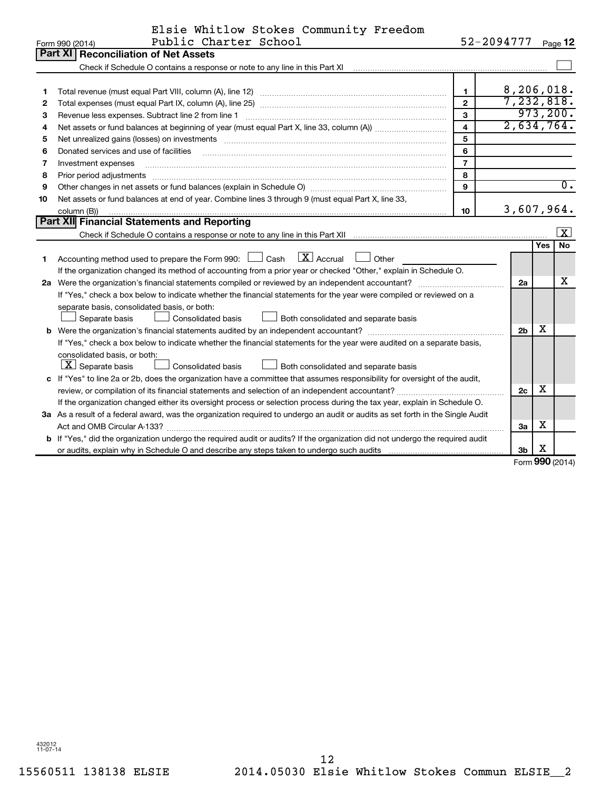|    | Elsie Whitlow Stokes Community Freedom                                                                                          |                         |                          |     |                  |  |  |  |
|----|---------------------------------------------------------------------------------------------------------------------------------|-------------------------|--------------------------|-----|------------------|--|--|--|
|    | Public Charter School<br>Form 990 (2014)                                                                                        | 52-2094777 Page 12      |                          |     |                  |  |  |  |
|    | Part XI   Reconciliation of Net Assets                                                                                          |                         |                          |     |                  |  |  |  |
|    |                                                                                                                                 |                         |                          |     |                  |  |  |  |
|    |                                                                                                                                 |                         |                          |     |                  |  |  |  |
| 1  |                                                                                                                                 | $\mathbf{1}$            | 8,206,018.<br>7,232,818. |     |                  |  |  |  |
| 2  | $\overline{2}$                                                                                                                  |                         |                          |     |                  |  |  |  |
| З  |                                                                                                                                 | 3                       |                          |     | 973, 200.        |  |  |  |
| 4  |                                                                                                                                 | $\overline{\mathbf{4}}$ | 2,634,764.               |     |                  |  |  |  |
| 5  | Net unrealized gains (losses) on investments [11] non-manufactured manufactured manufactured manufactured manu                  | 5                       |                          |     |                  |  |  |  |
| 6  | Donated services and use of facilities                                                                                          | 6                       |                          |     |                  |  |  |  |
| 7  | Investment expenses                                                                                                             | $\overline{7}$          |                          |     |                  |  |  |  |
| 8  | Prior period adjustments www.communication.communication.com/news/communications/communications/communications                  | 8                       |                          |     |                  |  |  |  |
| 9  |                                                                                                                                 | 9                       |                          |     | $\overline{0}$ . |  |  |  |
| 10 | Net assets or fund balances at end of year. Combine lines 3 through 9 (must equal Part X, line 33,                              |                         | 3,607,964.               |     |                  |  |  |  |
|    | 10<br>column (B))                                                                                                               |                         |                          |     |                  |  |  |  |
|    | Part XII Financial Statements and Reporting                                                                                     |                         |                          |     |                  |  |  |  |
|    |                                                                                                                                 |                         |                          |     | ΙX.              |  |  |  |
|    |                                                                                                                                 |                         |                          | Yes | <b>No</b>        |  |  |  |
| 1  | $\lfloor x \rfloor$ Accrual<br>Accounting method used to prepare the Form 990: [130] Cash<br>Other                              |                         |                          |     |                  |  |  |  |
|    | If the organization changed its method of accounting from a prior year or checked "Other," explain in Schedule O.               |                         |                          |     |                  |  |  |  |
|    |                                                                                                                                 |                         | 2a                       |     | х                |  |  |  |
|    | If "Yes," check a box below to indicate whether the financial statements for the year were compiled or reviewed on a            |                         |                          |     |                  |  |  |  |
|    | separate basis, consolidated basis, or both:                                                                                    |                         |                          |     |                  |  |  |  |
|    | Separate basis<br>Consolidated basis<br>Both consolidated and separate basis                                                    |                         |                          |     |                  |  |  |  |
|    |                                                                                                                                 |                         | 2 <sub>b</sub>           | х   |                  |  |  |  |
|    | If "Yes," check a box below to indicate whether the financial statements for the year were audited on a separate basis,         |                         |                          |     |                  |  |  |  |
|    | consolidated basis, or both:                                                                                                    |                         |                          |     |                  |  |  |  |
|    | $\lfloor \mathbf{X} \rfloor$ Separate basis<br>Both consolidated and separate basis<br>Consolidated basis                       |                         |                          |     |                  |  |  |  |
|    | c If "Yes" to line 2a or 2b, does the organization have a committee that assumes responsibility for oversight of the audit,     |                         |                          | X   |                  |  |  |  |
|    |                                                                                                                                 |                         | 2c                       |     |                  |  |  |  |
|    | If the organization changed either its oversight process or selection process during the tax year, explain in Schedule O.       |                         |                          |     |                  |  |  |  |
|    | 3a As a result of a federal award, was the organization required to undergo an audit or audits as set forth in the Single Audit |                         |                          |     |                  |  |  |  |
|    |                                                                                                                                 |                         | 3a                       | х   |                  |  |  |  |
|    | b If "Yes," did the organization undergo the required audit or audits? If the organization did not undergo the required audit   |                         |                          |     |                  |  |  |  |
|    |                                                                                                                                 |                         | 3b                       | х   |                  |  |  |  |

Form (2014) **990**

432012 11-07-14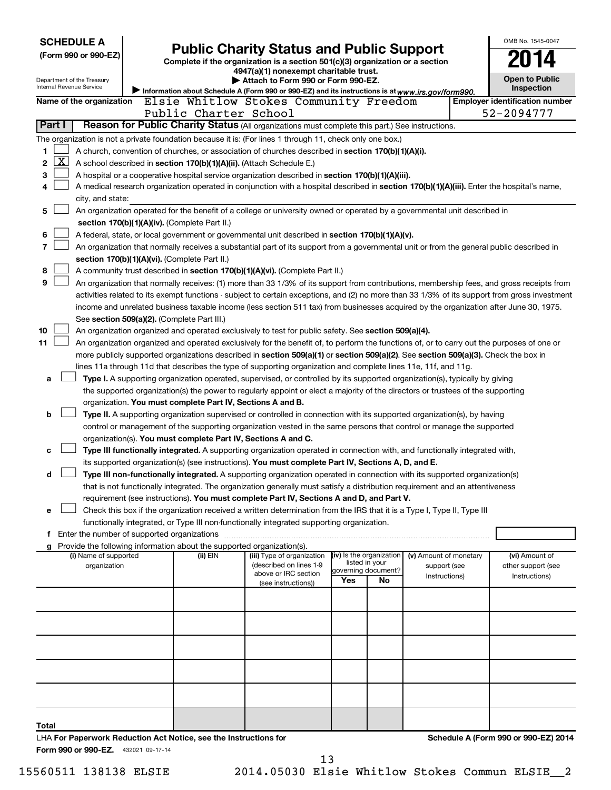|        | <b>SCHEDULE A</b>                                                                                 |  |                                                                                      |                                                                                                                                                                                                                                                    |     |                           |                        |  | OMB No. 1545-0047                     |  |
|--------|---------------------------------------------------------------------------------------------------|--|--------------------------------------------------------------------------------------|----------------------------------------------------------------------------------------------------------------------------------------------------------------------------------------------------------------------------------------------------|-----|---------------------------|------------------------|--|---------------------------------------|--|
|        | (Form 990 or 990-EZ)                                                                              |  |                                                                                      | <b>Public Charity Status and Public Support</b>                                                                                                                                                                                                    |     |                           |                        |  |                                       |  |
|        |                                                                                                   |  |                                                                                      | Complete if the organization is a section 501(c)(3) organization or a section<br>4947(a)(1) nonexempt charitable trust.                                                                                                                            |     |                           |                        |  |                                       |  |
|        | Department of the Treasury                                                                        |  |                                                                                      | Attach to Form 990 or Form 990-EZ.                                                                                                                                                                                                                 |     |                           |                        |  | <b>Open to Public</b>                 |  |
|        | Internal Revenue Service                                                                          |  |                                                                                      | Information about Schedule A (Form 990 or 990-EZ) and its instructions is at www.irs.gov/form990.                                                                                                                                                  |     |                           |                        |  | Inspection                            |  |
|        | Name of the organization                                                                          |  |                                                                                      | Elsie Whitlow Stokes Community Freedom                                                                                                                                                                                                             |     |                           |                        |  | <b>Employer identification number</b> |  |
|        |                                                                                                   |  | Public Charter School                                                                |                                                                                                                                                                                                                                                    |     |                           |                        |  | 52-2094777                            |  |
| Part I |                                                                                                   |  |                                                                                      | Reason for Public Charity Status (All organizations must complete this part.) See instructions.                                                                                                                                                    |     |                           |                        |  |                                       |  |
|        |                                                                                                   |  |                                                                                      | The organization is not a private foundation because it is: (For lines 1 through 11, check only one box.)                                                                                                                                          |     |                           |                        |  |                                       |  |
| 1      |                                                                                                   |  |                                                                                      | A church, convention of churches, or association of churches described in section 170(b)(1)(A)(i).                                                                                                                                                 |     |                           |                        |  |                                       |  |
| 2      | $\overline{\text{X}}$                                                                             |  | A school described in section 170(b)(1)(A)(ii). (Attach Schedule E.)                 |                                                                                                                                                                                                                                                    |     |                           |                        |  |                                       |  |
| з      | A hospital or a cooperative hospital service organization described in section 170(b)(1)(A)(iii). |  |                                                                                      |                                                                                                                                                                                                                                                    |     |                           |                        |  |                                       |  |
| 4      |                                                                                                   |  |                                                                                      | A medical research organization operated in conjunction with a hospital described in section 170(b)(1)(A)(iii). Enter the hospital's name,                                                                                                         |     |                           |                        |  |                                       |  |
|        | city, and state:                                                                                  |  |                                                                                      |                                                                                                                                                                                                                                                    |     |                           |                        |  |                                       |  |
| 5      |                                                                                                   |  |                                                                                      | An organization operated for the benefit of a college or university owned or operated by a governmental unit described in                                                                                                                          |     |                           |                        |  |                                       |  |
|        |                                                                                                   |  | section 170(b)(1)(A)(iv). (Complete Part II.)                                        |                                                                                                                                                                                                                                                    |     |                           |                        |  |                                       |  |
| 6      |                                                                                                   |  |                                                                                      | A federal, state, or local government or governmental unit described in section 170(b)(1)(A)(v).                                                                                                                                                   |     |                           |                        |  |                                       |  |
| 7      |                                                                                                   |  |                                                                                      | An organization that normally receives a substantial part of its support from a governmental unit or from the general public described in                                                                                                          |     |                           |                        |  |                                       |  |
|        |                                                                                                   |  | section 170(b)(1)(A)(vi). (Complete Part II.)                                        |                                                                                                                                                                                                                                                    |     |                           |                        |  |                                       |  |
| 8      |                                                                                                   |  |                                                                                      | A community trust described in section 170(b)(1)(A)(vi). (Complete Part II.)                                                                                                                                                                       |     |                           |                        |  |                                       |  |
| 9      |                                                                                                   |  |                                                                                      | An organization that normally receives: (1) more than 33 1/3% of its support from contributions, membership fees, and gross receipts from                                                                                                          |     |                           |                        |  |                                       |  |
|        |                                                                                                   |  |                                                                                      | activities related to its exempt functions - subject to certain exceptions, and (2) no more than 33 1/3% of its support from gross investment                                                                                                      |     |                           |                        |  |                                       |  |
|        |                                                                                                   |  |                                                                                      | income and unrelated business taxable income (less section 511 tax) from businesses acquired by the organization after June 30, 1975.                                                                                                              |     |                           |                        |  |                                       |  |
| 10     |                                                                                                   |  | See section 509(a)(2). (Complete Part III.)                                          |                                                                                                                                                                                                                                                    |     |                           |                        |  |                                       |  |
| 11     |                                                                                                   |  |                                                                                      | An organization organized and operated exclusively to test for public safety. See section 509(a)(4).<br>An organization organized and operated exclusively for the benefit of, to perform the functions of, or to carry out the purposes of one or |     |                           |                        |  |                                       |  |
|        |                                                                                                   |  |                                                                                      | more publicly supported organizations described in section 509(a)(1) or section 509(a)(2). See section 509(a)(3). Check the box in                                                                                                                 |     |                           |                        |  |                                       |  |
|        |                                                                                                   |  |                                                                                      | lines 11a through 11d that describes the type of supporting organization and complete lines 11e, 11f, and 11g.                                                                                                                                     |     |                           |                        |  |                                       |  |
| a      |                                                                                                   |  |                                                                                      | Type I. A supporting organization operated, supervised, or controlled by its supported organization(s), typically by giving                                                                                                                        |     |                           |                        |  |                                       |  |
|        |                                                                                                   |  |                                                                                      | the supported organization(s) the power to regularly appoint or elect a majority of the directors or trustees of the supporting                                                                                                                    |     |                           |                        |  |                                       |  |
|        |                                                                                                   |  | organization. You must complete Part IV, Sections A and B.                           |                                                                                                                                                                                                                                                    |     |                           |                        |  |                                       |  |
| b      |                                                                                                   |  |                                                                                      | Type II. A supporting organization supervised or controlled in connection with its supported organization(s), by having                                                                                                                            |     |                           |                        |  |                                       |  |
|        |                                                                                                   |  |                                                                                      | control or management of the supporting organization vested in the same persons that control or manage the supported                                                                                                                               |     |                           |                        |  |                                       |  |
|        |                                                                                                   |  | organization(s). You must complete Part IV, Sections A and C.                        |                                                                                                                                                                                                                                                    |     |                           |                        |  |                                       |  |
| c      |                                                                                                   |  |                                                                                      | Type III functionally integrated. A supporting organization operated in connection with, and functionally integrated with,                                                                                                                         |     |                           |                        |  |                                       |  |
|        |                                                                                                   |  |                                                                                      | its supported organization(s) (see instructions). You must complete Part IV, Sections A, D, and E.                                                                                                                                                 |     |                           |                        |  |                                       |  |
| d      |                                                                                                   |  |                                                                                      | Type III non-functionally integrated. A supporting organization operated in connection with its supported organization(s)                                                                                                                          |     |                           |                        |  |                                       |  |
|        |                                                                                                   |  |                                                                                      | that is not functionally integrated. The organization generally must satisfy a distribution requirement and an attentiveness                                                                                                                       |     |                           |                        |  |                                       |  |
|        |                                                                                                   |  |                                                                                      | requirement (see instructions). You must complete Part IV, Sections A and D, and Part V.                                                                                                                                                           |     |                           |                        |  |                                       |  |
| e      |                                                                                                   |  |                                                                                      | Check this box if the organization received a written determination from the IRS that it is a Type I, Type II, Type III                                                                                                                            |     |                           |                        |  |                                       |  |
|        |                                                                                                   |  |                                                                                      | functionally integrated, or Type III non-functionally integrated supporting organization.                                                                                                                                                          |     |                           |                        |  |                                       |  |
|        | f Enter the number of supported organizations                                                     |  |                                                                                      |                                                                                                                                                                                                                                                    |     |                           |                        |  |                                       |  |
|        | (i) Name of supported                                                                             |  | g Provide the following information about the supported organization(s).<br>(ii) EIN |                                                                                                                                                                                                                                                    |     | (iv) Is the organization  | (v) Amount of monetary |  | (vi) Amount of                        |  |
|        | organization                                                                                      |  |                                                                                      | (iii) Type of organization<br>(described on lines 1-9                                                                                                                                                                                              |     | listed in your            | support (see           |  | other support (see                    |  |
|        |                                                                                                   |  |                                                                                      | above or IRC section                                                                                                                                                                                                                               | Yes | governing document?<br>No | Instructions)          |  | Instructions)                         |  |
|        |                                                                                                   |  |                                                                                      | (see instructions))                                                                                                                                                                                                                                |     |                           |                        |  |                                       |  |
|        |                                                                                                   |  |                                                                                      |                                                                                                                                                                                                                                                    |     |                           |                        |  |                                       |  |
|        |                                                                                                   |  |                                                                                      |                                                                                                                                                                                                                                                    |     |                           |                        |  |                                       |  |
|        |                                                                                                   |  |                                                                                      |                                                                                                                                                                                                                                                    |     |                           |                        |  |                                       |  |
|        |                                                                                                   |  |                                                                                      |                                                                                                                                                                                                                                                    |     |                           |                        |  |                                       |  |
|        |                                                                                                   |  |                                                                                      |                                                                                                                                                                                                                                                    |     |                           |                        |  |                                       |  |
|        |                                                                                                   |  |                                                                                      |                                                                                                                                                                                                                                                    |     |                           |                        |  |                                       |  |
|        |                                                                                                   |  |                                                                                      |                                                                                                                                                                                                                                                    |     |                           |                        |  |                                       |  |
|        |                                                                                                   |  |                                                                                      |                                                                                                                                                                                                                                                    |     |                           |                        |  |                                       |  |
|        |                                                                                                   |  |                                                                                      |                                                                                                                                                                                                                                                    |     |                           |                        |  |                                       |  |
|        |                                                                                                   |  |                                                                                      |                                                                                                                                                                                                                                                    |     |                           |                        |  |                                       |  |
| Total  |                                                                                                   |  |                                                                                      |                                                                                                                                                                                                                                                    |     |                           |                        |  |                                       |  |
|        |                                                                                                   |  | LHA For Paperwork Reduction Act Notice, see the Instructions for                     |                                                                                                                                                                                                                                                    |     |                           |                        |  | Schedule A (Form 990 or 990-EZ) 2014  |  |
|        | Form 990 or 990-EZ. 432021 09-17-14                                                               |  |                                                                                      |                                                                                                                                                                                                                                                    |     |                           |                        |  |                                       |  |

15560511 138138 ELSIE 2014.05030 Elsie Whitlow Stokes Commun ELSIE\_\_2 13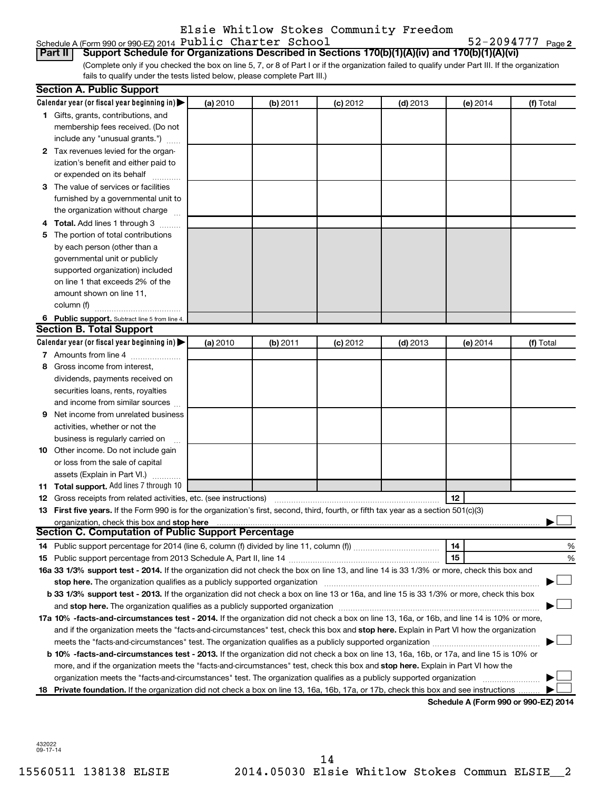### Elsie Whitlow Stokes Community Freedom

#### Schedule A (Form 990 or 990-EZ) 2014  ${\tt Public$  **Chapter School** 52-2094777 **Page**

52-2094777 <sub>Page 2</sub>

(Complete only if you checked the box on line 5, 7, or 8 of Part I or if the organization failed to qualify under Part III. If the organization fails to qualify under the tests listed below, please complete Part III.) **Part II Support Schedule for Organizations Described in Sections 170(b)(1)(A)(iv) and 170(b)(1)(A)(vi)**

|    | <b>Section A. Public Support</b>                                                                                                                                                                                                                                 |          |          |            |            |            |           |
|----|------------------------------------------------------------------------------------------------------------------------------------------------------------------------------------------------------------------------------------------------------------------|----------|----------|------------|------------|------------|-----------|
|    | Calendar year (or fiscal year beginning in) $\blacktriangleright$                                                                                                                                                                                                | (a) 2010 | (b) 2011 | (c) 2012   | $(d)$ 2013 | $(e)$ 2014 | (f) Total |
|    | 1 Gifts, grants, contributions, and                                                                                                                                                                                                                              |          |          |            |            |            |           |
|    | membership fees received. (Do not                                                                                                                                                                                                                                |          |          |            |            |            |           |
|    | include any "unusual grants.")                                                                                                                                                                                                                                   |          |          |            |            |            |           |
|    | 2 Tax revenues levied for the organ-                                                                                                                                                                                                                             |          |          |            |            |            |           |
|    | ization's benefit and either paid to                                                                                                                                                                                                                             |          |          |            |            |            |           |
|    | or expended on its behalf                                                                                                                                                                                                                                        |          |          |            |            |            |           |
|    | 3 The value of services or facilities                                                                                                                                                                                                                            |          |          |            |            |            |           |
|    | furnished by a governmental unit to                                                                                                                                                                                                                              |          |          |            |            |            |           |
|    | the organization without charge                                                                                                                                                                                                                                  |          |          |            |            |            |           |
|    | 4 Total. Add lines 1 through 3                                                                                                                                                                                                                                   |          |          |            |            |            |           |
| 5. | The portion of total contributions                                                                                                                                                                                                                               |          |          |            |            |            |           |
|    | by each person (other than a                                                                                                                                                                                                                                     |          |          |            |            |            |           |
|    | governmental unit or publicly                                                                                                                                                                                                                                    |          |          |            |            |            |           |
|    | supported organization) included                                                                                                                                                                                                                                 |          |          |            |            |            |           |
|    | on line 1 that exceeds 2% of the                                                                                                                                                                                                                                 |          |          |            |            |            |           |
|    | amount shown on line 11,                                                                                                                                                                                                                                         |          |          |            |            |            |           |
|    | column (f)                                                                                                                                                                                                                                                       |          |          |            |            |            |           |
|    | 6 Public support. Subtract line 5 from line 4.                                                                                                                                                                                                                   |          |          |            |            |            |           |
|    | <b>Section B. Total Support</b>                                                                                                                                                                                                                                  |          |          |            |            |            |           |
|    | Calendar year (or fiscal year beginning in)                                                                                                                                                                                                                      | (a) 2010 | (b) 2011 | $(c)$ 2012 | $(d)$ 2013 | (e) 2014   | (f) Total |
|    | 7 Amounts from line 4                                                                                                                                                                                                                                            |          |          |            |            |            |           |
| 8  | Gross income from interest,                                                                                                                                                                                                                                      |          |          |            |            |            |           |
|    | dividends, payments received on                                                                                                                                                                                                                                  |          |          |            |            |            |           |
|    | securities loans, rents, royalties                                                                                                                                                                                                                               |          |          |            |            |            |           |
|    | and income from similar sources                                                                                                                                                                                                                                  |          |          |            |            |            |           |
| 9. | Net income from unrelated business                                                                                                                                                                                                                               |          |          |            |            |            |           |
|    | activities, whether or not the                                                                                                                                                                                                                                   |          |          |            |            |            |           |
|    | business is regularly carried on                                                                                                                                                                                                                                 |          |          |            |            |            |           |
|    | 10 Other income. Do not include gain                                                                                                                                                                                                                             |          |          |            |            |            |           |
|    | or loss from the sale of capital                                                                                                                                                                                                                                 |          |          |            |            |            |           |
|    | assets (Explain in Part VI.)                                                                                                                                                                                                                                     |          |          |            |            |            |           |
|    | 11 Total support. Add lines 7 through 10                                                                                                                                                                                                                         |          |          |            |            |            |           |
|    | <b>12</b> Gross receipts from related activities, etc. (see instructions)                                                                                                                                                                                        |          |          |            |            | 12         |           |
|    | 13 First five years. If the Form 990 is for the organization's first, second, third, fourth, or fifth tax year as a section 501(c)(3)                                                                                                                            |          |          |            |            |            |           |
|    | organization, check this box and stop here                                                                                                                                                                                                                       |          |          |            |            |            |           |
|    | <b>Section C. Computation of Public Support Percentage</b>                                                                                                                                                                                                       |          |          |            |            |            |           |
|    |                                                                                                                                                                                                                                                                  |          |          |            |            | 14         | %         |
|    |                                                                                                                                                                                                                                                                  |          |          |            |            | 15         | %         |
|    | 16a 33 1/3% support test - 2014. If the organization did not check the box on line 13, and line 14 is 33 1/3% or more, check this box and                                                                                                                        |          |          |            |            |            |           |
|    | stop here. The organization qualifies as a publicly supported organization manufactured content and the content of the state of the state of the state of the state of the state of the state of the state of the state of the                                   |          |          |            |            |            |           |
|    | b 33 1/3% support test - 2013. If the organization did not check a box on line 13 or 16a, and line 15 is 33 1/3% or more, check this box                                                                                                                         |          |          |            |            |            |           |
|    |                                                                                                                                                                                                                                                                  |          |          |            |            |            |           |
|    | 17a 10% -facts-and-circumstances test - 2014. If the organization did not check a box on line 13, 16a, or 16b, and line 14 is 10% or more,                                                                                                                       |          |          |            |            |            |           |
|    | and if the organization meets the "facts-and-circumstances" test, check this box and stop here. Explain in Part VI how the organization                                                                                                                          |          |          |            |            |            |           |
|    |                                                                                                                                                                                                                                                                  |          |          |            |            |            |           |
|    | b 10% -facts-and-circumstances test - 2013. If the organization did not check a box on line 13, 16a, 16b, or 17a, and line 15 is 10% or                                                                                                                          |          |          |            |            |            |           |
|    | more, and if the organization meets the "facts-and-circumstances" test, check this box and <b>stop here.</b> Explain in Part VI how the                                                                                                                          |          |          |            |            |            |           |
|    |                                                                                                                                                                                                                                                                  |          |          |            |            |            |           |
|    | organization meets the "facts-and-circumstances" test. The organization qualifies as a publicly supported organization<br>18 Private foundation. If the organization did not check a box on line 13, 16a, 16b, 17a, or 17b, check this box and see instructions. |          |          |            |            |            |           |

**Schedule A (Form 990 or 990-EZ) 2014**

432022 09-17-14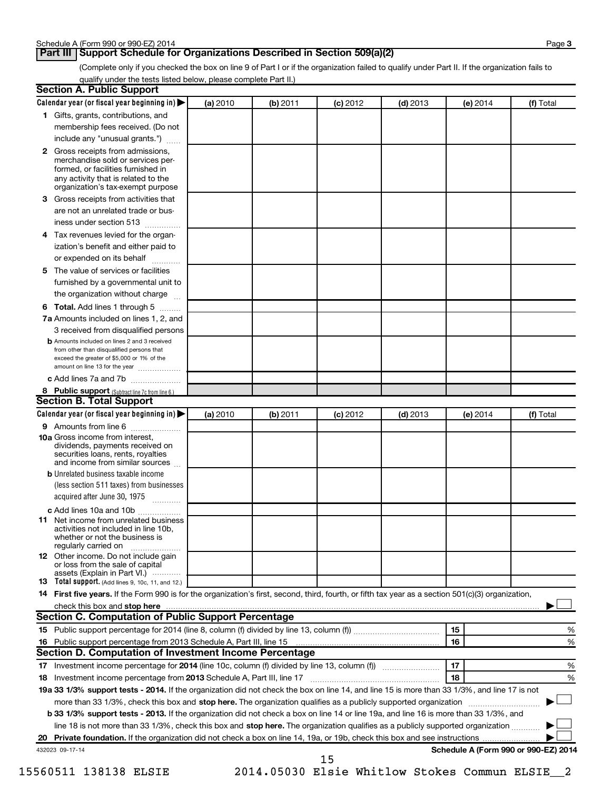### **Part III Support Schedule for Organizations Described in Section 509(a)(2)**

(Complete only if you checked the box on line 9 of Part I or if the organization failed to qualify under Part II. If the organization fails to qualify under the tests listed below, please complete Part II.)

| <b>Section A. Public Support</b>                                                                                                                                                         |          |          |            |            |                                      |           |
|------------------------------------------------------------------------------------------------------------------------------------------------------------------------------------------|----------|----------|------------|------------|--------------------------------------|-----------|
| Calendar year (or fiscal year beginning in)                                                                                                                                              | (a) 2010 | (b) 2011 | $(c)$ 2012 | $(d)$ 2013 | (e) 2014                             | (f) Total |
| 1 Gifts, grants, contributions, and                                                                                                                                                      |          |          |            |            |                                      |           |
| membership fees received. (Do not                                                                                                                                                        |          |          |            |            |                                      |           |
| include any "unusual grants.")                                                                                                                                                           |          |          |            |            |                                      |           |
| 2 Gross receipts from admissions,<br>merchandise sold or services per-<br>formed, or facilities furnished in<br>any activity that is related to the<br>organization's tax-exempt purpose |          |          |            |            |                                      |           |
| 3 Gross receipts from activities that                                                                                                                                                    |          |          |            |            |                                      |           |
| are not an unrelated trade or bus-                                                                                                                                                       |          |          |            |            |                                      |           |
| iness under section 513                                                                                                                                                                  |          |          |            |            |                                      |           |
| 4 Tax revenues levied for the organ-                                                                                                                                                     |          |          |            |            |                                      |           |
| ization's benefit and either paid to                                                                                                                                                     |          |          |            |            |                                      |           |
| or expended on its behalf<br>.                                                                                                                                                           |          |          |            |            |                                      |           |
| 5 The value of services or facilities                                                                                                                                                    |          |          |            |            |                                      |           |
| furnished by a governmental unit to                                                                                                                                                      |          |          |            |            |                                      |           |
| the organization without charge                                                                                                                                                          |          |          |            |            |                                      |           |
| 6 Total. Add lines 1 through 5                                                                                                                                                           |          |          |            |            |                                      |           |
| 7a Amounts included on lines 1, 2, and                                                                                                                                                   |          |          |            |            |                                      |           |
| 3 received from disqualified persons                                                                                                                                                     |          |          |            |            |                                      |           |
| <b>b</b> Amounts included on lines 2 and 3 received<br>from other than disqualified persons that<br>exceed the greater of \$5,000 or 1% of the<br>amount on line 13 for the year         |          |          |            |            |                                      |           |
| c Add lines 7a and 7b                                                                                                                                                                    |          |          |            |            |                                      |           |
| 8 Public support (Subtract line 7c from line 6.)                                                                                                                                         |          |          |            |            |                                      |           |
| <b>Section B. Total Support</b>                                                                                                                                                          |          |          |            |            |                                      |           |
| Calendar year (or fiscal year beginning in)                                                                                                                                              | (a) 2010 | (b) 2011 | $(c)$ 2012 | $(d)$ 2013 | (e) 2014                             | (f) Total |
| 9 Amounts from line 6                                                                                                                                                                    |          |          |            |            |                                      |           |
| <b>10a</b> Gross income from interest,<br>dividends, payments received on<br>securities loans, rents, royalties<br>and income from similar sources                                       |          |          |            |            |                                      |           |
| <b>b</b> Unrelated business taxable income<br>(less section 511 taxes) from businesses                                                                                                   |          |          |            |            |                                      |           |
| acquired after June 30, 1975<br>$\overline{\phantom{a}}$                                                                                                                                 |          |          |            |            |                                      |           |
| c Add lines 10a and 10b                                                                                                                                                                  |          |          |            |            |                                      |           |
| <b>11</b> Net income from unrelated business<br>activities not included in line 10b.<br>whether or not the business is<br>regularly carried on                                           |          |          |            |            |                                      |           |
| 12 Other income. Do not include gain<br>or loss from the sale of capital<br>assets (Explain in Part VI.)                                                                                 |          |          |            |            |                                      |           |
| <b>13</b> Total support. (Add lines 9, 10c, 11, and 12.)                                                                                                                                 |          |          |            |            |                                      |           |
| 14 First five years. If the Form 990 is for the organization's first, second, third, fourth, or fifth tax year as a section 501(c)(3) organization,                                      |          |          |            |            |                                      |           |
| check this box and stop here                                                                                                                                                             |          |          |            |            |                                      |           |
| <b>Section C. Computation of Public Support Percentage</b>                                                                                                                               |          |          |            |            |                                      |           |
|                                                                                                                                                                                          |          |          |            |            | 15                                   | %         |
|                                                                                                                                                                                          |          |          |            |            | 16                                   | %         |
| Section D. Computation of Investment Income Percentage                                                                                                                                   |          |          |            |            |                                      |           |
|                                                                                                                                                                                          |          |          |            |            | 17                                   | %         |
| 18 Investment income percentage from 2013 Schedule A, Part III, line 17                                                                                                                  |          |          |            |            | 18                                   | %         |
| 19a 33 1/3% support tests - 2014. If the organization did not check the box on line 14, and line 15 is more than 33 1/3%, and line 17 is not                                             |          |          |            |            |                                      |           |
| more than 33 1/3%, check this box and stop here. The organization qualifies as a publicly supported organization                                                                         |          |          |            |            |                                      |           |
| b 33 1/3% support tests - 2013. If the organization did not check a box on line 14 or line 19a, and line 16 is more than 33 1/3%, and                                                    |          |          |            |            |                                      |           |
| line 18 is not more than 33 1/3%, check this box and stop here. The organization qualifies as a publicly supported organization <i></i>                                                  |          |          |            |            |                                      |           |
|                                                                                                                                                                                          |          |          |            |            |                                      |           |
| 432023 09-17-14                                                                                                                                                                          |          |          | 15         |            | Schedule A (Form 990 or 990-EZ) 2014 |           |

15560511 138138 ELSIE 2014.05030 Elsie Whitlow Stokes Commun ELSIE\_\_2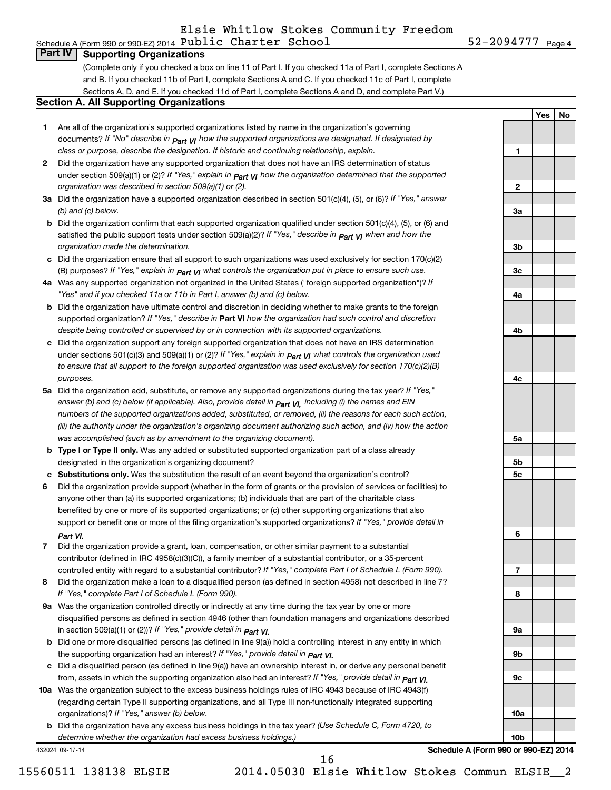**1**

**2**

**3a**

**3b**

**3c**

**4a**

**4b**

**4c**

**5a**

**5b 5c**

**6**

**7**

**8**

**9a**

**9b**

**9c**

**10a**

**10b**

**Yes No**

### **Part IV Supporting Organizations**

(Complete only if you checked a box on line 11 of Part I. If you checked 11a of Part I, complete Sections A and B. If you checked 11b of Part I, complete Sections A and C. If you checked 11c of Part I, complete Sections A, D, and E. If you checked 11d of Part I, complete Sections A and D, and complete Part V.)

#### **Section A. All Supporting Organizations**

- **1** Are all of the organization's supported organizations listed by name in the organization's governing documents? If "No" describe in  $_{\mathsf{Part}}$   $_{\mathsf{V}}$  how the supported organizations are designated. If designated by *class or purpose, describe the designation. If historic and continuing relationship, explain.*
- **2** Did the organization have any supported organization that does not have an IRS determination of status under section 509(a)(1) or (2)? If "Yes," explain in  $_{\sf Part}$   $_{\sf VI}$  how the organization determined that the supported *organization was described in section 509(a)(1) or (2).*
- **3a** Did the organization have a supported organization described in section 501(c)(4), (5), or (6)? If "Yes," answer *(b) and (c) below.*
- **b** Did the organization confirm that each supported organization qualified under section 501(c)(4), (5), or (6) and satisfied the public support tests under section 509(a)(2)? If "Yes," describe in  $_{\rm Part}$   $_{\rm VI}$  when and how the *organization made the determination.*
- **c** Did the organization ensure that all support to such organizations was used exclusively for section 170(c)(2) (B) purposes? If "Yes," explain in  $_{\mathsf{Part}}$   $_{\mathsf{V}}$  what controls the organization put in place to ensure such use.
- **4 a** *If* Was any supported organization not organized in the United States ("foreign supported organization")? *"Yes" and if you checked 11a or 11b in Part I, answer (b) and (c) below.*
- **b** Did the organization have ultimate control and discretion in deciding whether to make grants to the foreign supported organization? If "Yes," describe in Part VI how the organization had such control and discretion *despite being controlled or supervised by or in connection with its supported organizations.*
- **c** Did the organization support any foreign supported organization that does not have an IRS determination under sections 501(c)(3) and 509(a)(1) or (2)? If "Yes," ex*plain in*  $_{\sf Part}$  *v*J what controls the organization used *to ensure that all support to the foreign supported organization was used exclusively for section 170(c)(2)(B) purposes.*
- **5a** Did the organization add, substitute, or remove any supported organizations during the tax year? If "Yes," answer (b) and (c) below (if applicable). Also, provide detail in  $_{\mathsf{Part}}$   $_{\mathsf{V{\mathsf{I}}}}$ , including (i) the names and EIN *numbers of the supported organizations added, substituted, or removed, (ii) the reasons for each such action, (iii) the authority under the organization's organizing document authorizing such action, and (iv) how the action was accomplished (such as by amendment to the organizing document).*
- **b** Type I or Type II only. Was any added or substituted supported organization part of a class already designated in the organization's organizing document?
- **c Substitutions only.**  Was the substitution the result of an event beyond the organization's control?
- **6** Did the organization provide support (whether in the form of grants or the provision of services or facilities) to support or benefit one or more of the filing organization's supported organizations? If "Yes," provide detail in anyone other than (a) its supported organizations; (b) individuals that are part of the charitable class benefited by one or more of its supported organizations; or (c) other supporting organizations that also *Part VI.*
- **7** Did the organization provide a grant, loan, compensation, or other similar payment to a substantial controlled entity with regard to a substantial contributor? If "Yes," complete Part I of Schedule L (Form 990). contributor (defined in IRC 4958(c)(3)(C)), a family member of a substantial contributor, or a 35-percent
- **8** Did the organization make a loan to a disqualified person (as defined in section 4958) not described in line 7? *If "Yes," complete Part I of Schedule L (Form 990).*
- **9 a** Was the organization controlled directly or indirectly at any time during the tax year by one or more *If "Yes," provide detail in*  in section 509(a)(1) or (2))? *Part VI.* disqualified persons as defined in section 4946 (other than foundation managers and organizations described
- **b** Did one or more disqualified persons (as defined in line 9(a)) hold a controlling interest in any entity in which  *If "Yes," provide detail in*  the supporting organization had an interest? *Part VI.*
- **c** Did a disqualified person (as defined in line 9(a)) have an ownership interest in, or derive any personal benefit from, assets in which the supporting organization also had an interest? If "Yes," *provide detail in Part VI.*
- **10 a** Was the organization subject to the excess business holdings rules of IRC 4943 because of IRC 4943(f)  *If "Yes," answer (b) below.* organizations)? (regarding certain Type II supporting organizations, and all Type III non-functionally integrated supporting
	- **b** Did the organization have any excess business holdings in the tax year? (Use Schedule C, Form 4720, to *determine whether the organization had excess business holdings.)*

432024 09-17-14

**Schedule A (Form 990 or 990-EZ) 2014**

15560511 138138 ELSIE 2014.05030 Elsie Whitlow Stokes Commun ELSIE\_\_2

16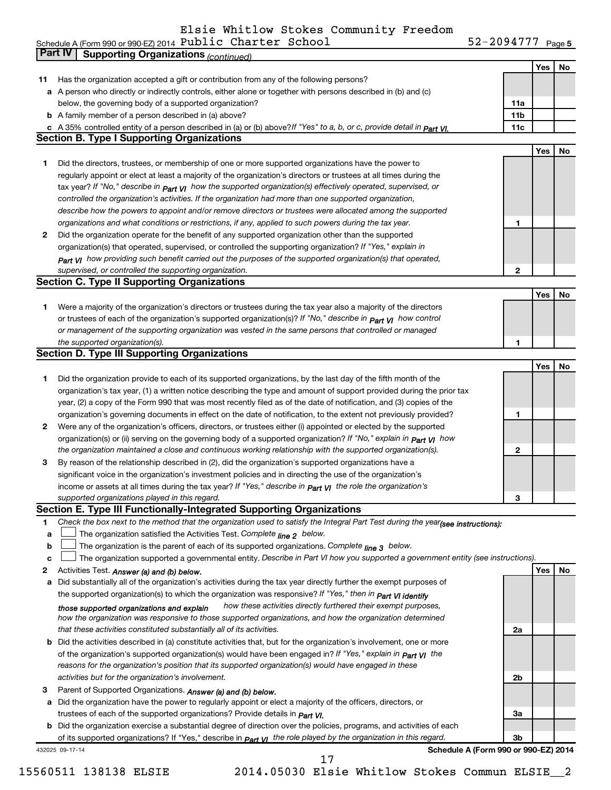#### Elsie Whitlow Stokes Community Freedom

52-2094777 Page 5 Schedule A (Form 990 or 990-EZ) 2014  $P$ UDIIC C $R$ arter Sc $R$ OOI $S$ arter  $S$ arter  $S$ arter  $S$ Public Charter School 52-2094777

|    | Part IV<br><b>Supporting Organizations (continued)</b>                                                                                                                       |                 |            |    |
|----|------------------------------------------------------------------------------------------------------------------------------------------------------------------------------|-----------------|------------|----|
|    |                                                                                                                                                                              |                 | Yes        | No |
| 11 | Has the organization accepted a gift or contribution from any of the following persons?                                                                                      |                 |            |    |
|    | a A person who directly or indirectly controls, either alone or together with persons described in (b) and (c)                                                               |                 |            |    |
|    | below, the governing body of a supported organization?                                                                                                                       | 11a             |            |    |
|    | <b>b</b> A family member of a person described in (a) above?                                                                                                                 | 11 <sub>b</sub> |            |    |
|    |                                                                                                                                                                              | 11c             |            |    |
|    | c A 35% controlled entity of a person described in (a) or (b) above? If "Yes" to a, b, or c, provide detail in part VI.<br><b>Section B. Type I Supporting Organizations</b> |                 |            |    |
|    |                                                                                                                                                                              |                 |            |    |
|    |                                                                                                                                                                              |                 | <b>Yes</b> | No |
| 1  | Did the directors, trustees, or membership of one or more supported organizations have the power to                                                                          |                 |            |    |
|    | regularly appoint or elect at least a majority of the organization's directors or trustees at all times during the                                                           |                 |            |    |
|    | tax year? If "No," describe in $_{Part}$ $_{VI}$ how the supported organization(s) effectively operated, supervised, or                                                      |                 |            |    |
|    | controlled the organization's activities. If the organization had more than one supported organization,                                                                      |                 |            |    |
|    | describe how the powers to appoint and/or remove directors or trustees were allocated among the supported                                                                    |                 |            |    |
|    | organizations and what conditions or restrictions, if any, applied to such powers during the tax year.                                                                       | 1               |            |    |
| 2  | Did the organization operate for the benefit of any supported organization other than the supported                                                                          |                 |            |    |
|    | organization(s) that operated, supervised, or controlled the supporting organization? If "Yes," explain in                                                                   |                 |            |    |
|    | $_{Part}$ v <sub>I</sub> how providing such benefit carried out the purposes of the supported organization(s) that operated,                                                 |                 |            |    |
|    | supervised, or controlled the supporting organization.                                                                                                                       | $\mathbf{2}$    |            |    |
|    | <b>Section C. Type II Supporting Organizations</b>                                                                                                                           |                 |            |    |
|    |                                                                                                                                                                              |                 | Yes        | No |
| 1  | Were a majority of the organization's directors or trustees during the tax year also a majority of the directors                                                             |                 |            |    |
|    | or trustees of each of the organization's supported organization(s)? If "No," describe in <b>Part VI</b> how control                                                         |                 |            |    |
|    | or management of the supporting organization was vested in the same persons that controlled or managed                                                                       |                 |            |    |
|    |                                                                                                                                                                              |                 |            |    |
|    | the supported organization(s).                                                                                                                                               | 1               |            |    |
|    | <b>Section D. Type III Supporting Organizations</b>                                                                                                                          |                 |            |    |
|    |                                                                                                                                                                              |                 | <b>Yes</b> | No |
| 1  | Did the organization provide to each of its supported organizations, by the last day of the fifth month of the                                                               |                 |            |    |
|    | organization's tax year, (1) a written notice describing the type and amount of support provided during the prior tax                                                        |                 |            |    |
|    | year, (2) a copy of the Form 990 that was most recently filed as of the date of notification, and (3) copies of the                                                          |                 |            |    |
|    | organization's governing documents in effect on the date of notification, to the extent not previously provided?                                                             | 1               |            |    |
| 2  | Were any of the organization's officers, directors, or trustees either (i) appointed or elected by the supported                                                             |                 |            |    |
|    | organization(s) or (ii) serving on the governing body of a supported organization? If "No," explain in part VI how                                                           |                 |            |    |
|    | the organization maintained a close and continuous working relationship with the supported organization(s).                                                                  | 2               |            |    |
| 3  | By reason of the relationship described in (2), did the organization's supported organizations have a                                                                        |                 |            |    |
|    | significant voice in the organization's investment policies and in directing the use of the organization's                                                                   |                 |            |    |
|    | income or assets at all times during the tax year? If "Yes," describe in $P_{\text{art } VI}$ the role the organization's                                                    |                 |            |    |
|    | supported organizations played in this regard.                                                                                                                               | з               |            |    |
|    | Section E. Type III Functionally-Integrated Supporting Organizations                                                                                                         |                 |            |    |
| 1  | Check the box next to the method that the organization used to satisfy the Integral Part Test during the year(see instructions):                                             |                 |            |    |
| a  | The organization satisfied the Activities Test. Complete line 2 below.                                                                                                       |                 |            |    |
| b  | The organization is the parent of each of its supported organizations. Complete $_{\text{line 3}}$ below.                                                                    |                 |            |    |
| C  | The organization supported a governmental entity. Describe in Part VI how you supported a government entity (see instructions).                                              |                 |            |    |
| 2  | Activities Test. Answer (a) and (b) below.                                                                                                                                   |                 | <b>Yes</b> | No |
| а  | Did substantially all of the organization's activities during the tax year directly further the exempt purposes of                                                           |                 |            |    |
|    |                                                                                                                                                                              |                 |            |    |
|    | the supported organization(s) to which the organization was responsive? If "Yes," then in Part VI identify                                                                   |                 |            |    |
|    | how these activities directly furthered their exempt purposes,<br>those supported organizations and explain                                                                  |                 |            |    |
|    | how the organization was responsive to those supported organizations, and how the organization determined                                                                    |                 |            |    |
|    | that these activities constituted substantially all of its activities.                                                                                                       | 2a              |            |    |
|    | b Did the activities described in (a) constitute activities that, but for the organization's involvement, one or more                                                        |                 |            |    |
|    | of the organization's supported organization(s) would have been engaged in? If "Yes," explain in $P_{art}$ $V_I$ the                                                         |                 |            |    |
|    | reasons for the organization's position that its supported organization(s) would have engaged in these                                                                       |                 |            |    |
|    | activities but for the organization's involvement.                                                                                                                           | 2b              |            |    |
| 3  | Parent of Supported Organizations. Answer (a) and (b) below.                                                                                                                 |                 |            |    |
| а  | Did the organization have the power to regularly appoint or elect a majority of the officers, directors, or                                                                  |                 |            |    |
|    | trustees of each of the supported organizations? Provide details in <i>Part VI.</i>                                                                                          | За              |            |    |
|    | <b>b</b> Did the organization exercise a substantial degree of direction over the policies, programs, and activities of each                                                 |                 |            |    |
|    | of its supported organizations? If "Yes," describe in part v <sub>1</sub> the role played by the organization in this regard.                                                | Зb              |            |    |
|    | Schedule A (Form 990 or 990-EZ) 2014<br>432025 09-17-14                                                                                                                      |                 |            |    |
|    | 17                                                                                                                                                                           |                 |            |    |

<sup>15560511 138138</sup> ELSIE 2014.05030 Elsie Whitlow Stokes Commun ELSIE\_\_2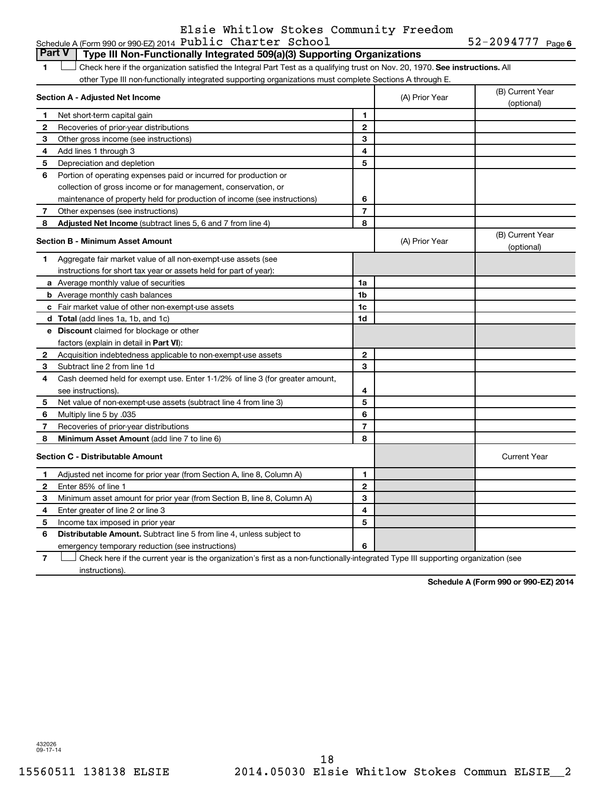#### Schedule A (Form 990 or 990-EZ) 2014  ${\tt Public$  **Chapter School** 52-2094777 **Page**Elsie Whitlow Stokes Community Freedom

52-2094777 Page 6

| <b>Part V</b> | Type III Non-Functionally Integrated 509(a)(3) Supporting Organizations                                                       |                |                |                     |
|---------------|-------------------------------------------------------------------------------------------------------------------------------|----------------|----------------|---------------------|
| 1             | Check here if the organization satisfied the Integral Part Test as a qualifying trust on Nov. 20, 1970. See instructions. All |                |                |                     |
|               | other Type III non-functionally integrated supporting organizations must complete Sections A through E.                       |                |                |                     |
|               |                                                                                                                               |                |                | (B) Current Year    |
|               | Section A - Adjusted Net Income                                                                                               |                | (A) Prior Year | (optional)          |
| 1.            | Net short-term capital gain                                                                                                   | 1              |                |                     |
| 2             | Recoveries of prior-year distributions                                                                                        | $\mathbf{2}$   |                |                     |
| 3             | Other gross income (see instructions)                                                                                         | 3              |                |                     |
| 4             | Add lines 1 through 3                                                                                                         | 4              |                |                     |
| 5             | Depreciation and depletion                                                                                                    | 5              |                |                     |
| 6             | Portion of operating expenses paid or incurred for production or                                                              |                |                |                     |
|               | collection of gross income or for management, conservation, or                                                                |                |                |                     |
|               | maintenance of property held for production of income (see instructions)                                                      | 6              |                |                     |
| 7             | Other expenses (see instructions)                                                                                             | $\overline{7}$ |                |                     |
| 8             | Adjusted Net Income (subtract lines 5, 6 and 7 from line 4)                                                                   | 8              |                |                     |
|               | <b>Section B - Minimum Asset Amount</b>                                                                                       |                |                | (B) Current Year    |
|               |                                                                                                                               |                | (A) Prior Year | (optional)          |
| 1             | Aggregate fair market value of all non-exempt-use assets (see                                                                 |                |                |                     |
|               | instructions for short tax year or assets held for part of year):                                                             |                |                |                     |
|               | a Average monthly value of securities                                                                                         | 1a             |                |                     |
|               | <b>b</b> Average monthly cash balances                                                                                        | 1 <sub>b</sub> |                |                     |
|               | c Fair market value of other non-exempt-use assets                                                                            | 1c             |                |                     |
|               | <b>d</b> Total (add lines 1a, 1b, and 1c)                                                                                     | 1 <sub>d</sub> |                |                     |
|               | e Discount claimed for blockage or other                                                                                      |                |                |                     |
|               | factors (explain in detail in <b>Part VI</b> ):                                                                               |                |                |                     |
| $\mathbf{2}$  | Acquisition indebtedness applicable to non-exempt-use assets                                                                  | $\mathbf{2}$   |                |                     |
| 3             | Subtract line 2 from line 1d                                                                                                  | 3              |                |                     |
| 4             | Cash deemed held for exempt use. Enter 1-1/2% of line 3 (for greater amount,                                                  |                |                |                     |
|               | see instructions).                                                                                                            | 4              |                |                     |
| 5             | Net value of non-exempt-use assets (subtract line 4 from line 3)                                                              | 5              |                |                     |
| 6             | 035. Multiply line 5 by                                                                                                       | 6              |                |                     |
| 7             | Recoveries of prior-year distributions                                                                                        | $\overline{7}$ |                |                     |
| 8             | Minimum Asset Amount (add line 7 to line 6)                                                                                   | 8              |                |                     |
|               | <b>Section C - Distributable Amount</b>                                                                                       |                |                | <b>Current Year</b> |
| 1             | Adjusted net income for prior year (from Section A, line 8, Column A)                                                         | 1              |                |                     |
| $\mathbf{2}$  | Enter 85% of line 1                                                                                                           | $\mathbf{2}$   |                |                     |
| З             | Minimum asset amount for prior year (from Section B, line 8, Column A)                                                        | 3              |                |                     |
| 4             | Enter greater of line 2 or line 3                                                                                             | 4              |                |                     |
| 5             | Income tax imposed in prior year                                                                                              | 5              |                |                     |
| 6             | <b>Distributable Amount.</b> Subtract line 5 from line 4, unless subject to                                                   |                |                |                     |
|               | emergency temporary reduction (see instructions)                                                                              | 6              |                |                     |
|               |                                                                                                                               |                |                |                     |

**7** Check here if the current year is the organization's first as a non-functionally-integrated Type III supporting organization (see † instructions).

**Schedule A (Form 990 or 990-EZ) 2014**

432026 09-17-14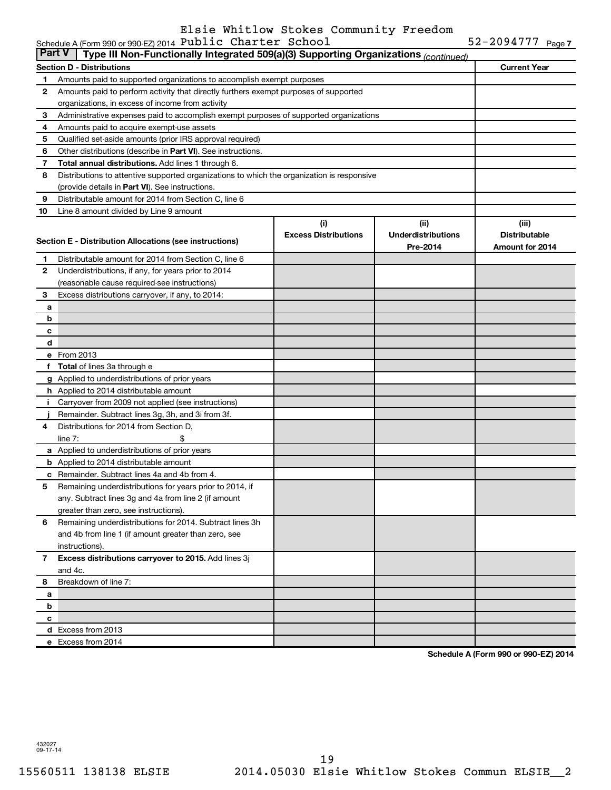### Elsie Whitlow Stokes Community Freedom

|              | ∣ Part V∣<br>Type III Non-Functionally Integrated 509(a)(3) Supporting Organizations (continued) |                             |                           |                      |  |  |  |
|--------------|--------------------------------------------------------------------------------------------------|-----------------------------|---------------------------|----------------------|--|--|--|
|              | <b>Section D - Distributions</b>                                                                 |                             |                           | <b>Current Year</b>  |  |  |  |
| 1            | Amounts paid to supported organizations to accomplish exempt purposes                            |                             |                           |                      |  |  |  |
| 2            | Amounts paid to perform activity that directly furthers exempt purposes of supported             |                             |                           |                      |  |  |  |
|              | organizations, in excess of income from activity                                                 |                             |                           |                      |  |  |  |
| 3            | Administrative expenses paid to accomplish exempt purposes of supported organizations            |                             |                           |                      |  |  |  |
| 4            | Amounts paid to acquire exempt-use assets                                                        |                             |                           |                      |  |  |  |
| 5            | Qualified set-aside amounts (prior IRS approval required)                                        |                             |                           |                      |  |  |  |
| 6            | Other distributions (describe in Part VI). See instructions.                                     |                             |                           |                      |  |  |  |
| 7            | <b>Total annual distributions.</b> Add lines 1 through 6.                                        |                             |                           |                      |  |  |  |
| 8            | Distributions to attentive supported organizations to which the organization is responsive       |                             |                           |                      |  |  |  |
|              | (provide details in Part VI). See instructions.                                                  |                             |                           |                      |  |  |  |
| 9            | Distributable amount for 2014 from Section C, line 6                                             |                             |                           |                      |  |  |  |
| 10           | Line 8 amount divided by Line 9 amount                                                           |                             |                           |                      |  |  |  |
|              |                                                                                                  | (i)                         | (i)                       | (iii)                |  |  |  |
|              | Section E - Distribution Allocations (see instructions)                                          | <b>Excess Distributions</b> | <b>Underdistributions</b> | <b>Distributable</b> |  |  |  |
|              |                                                                                                  |                             | Pre-2014                  | Amount for 2014      |  |  |  |
| 1            | Distributable amount for 2014 from Section C, line 6                                             |                             |                           |                      |  |  |  |
| $\mathbf{2}$ | Underdistributions, if any, for years prior to 2014                                              |                             |                           |                      |  |  |  |
|              | (reasonable cause required-see instructions)                                                     |                             |                           |                      |  |  |  |
| 3            | Excess distributions carryover, if any, to 2014:                                                 |                             |                           |                      |  |  |  |
| a<br>b       |                                                                                                  |                             |                           |                      |  |  |  |
|              |                                                                                                  |                             |                           |                      |  |  |  |
| с<br>d       |                                                                                                  |                             |                           |                      |  |  |  |
|              | e From 2013                                                                                      |                             |                           |                      |  |  |  |
| f            | <b>Total</b> of lines 3a through e                                                               |                             |                           |                      |  |  |  |
|              | g Applied to underdistributions of prior years                                                   |                             |                           |                      |  |  |  |
|              | h Applied to 2014 distributable amount                                                           |                             |                           |                      |  |  |  |
|              | Carryover from 2009 not applied (see instructions)                                               |                             |                           |                      |  |  |  |
|              | Remainder. Subtract lines 3g, 3h, and 3i from 3f.                                                |                             |                           |                      |  |  |  |
| 4            | Distributions for 2014 from Section D,                                                           |                             |                           |                      |  |  |  |
|              | line $7:$                                                                                        |                             |                           |                      |  |  |  |
|              | a Applied to underdistributions of prior years                                                   |                             |                           |                      |  |  |  |
|              | <b>b</b> Applied to 2014 distributable amount                                                    |                             |                           |                      |  |  |  |
| с            | Remainder. Subtract lines 4a and 4b from 4.                                                      |                             |                           |                      |  |  |  |
| 5            | Remaining underdistributions for years prior to 2014, if                                         |                             |                           |                      |  |  |  |
|              | any. Subtract lines 3g and 4a from line 2 (if amount                                             |                             |                           |                      |  |  |  |
|              | greater than zero, see instructions).                                                            |                             |                           |                      |  |  |  |
| 6            | Remaining underdistributions for 2014. Subtract lines 3h                                         |                             |                           |                      |  |  |  |
|              | and 4b from line 1 (if amount greater than zero, see                                             |                             |                           |                      |  |  |  |
|              | instructions).                                                                                   |                             |                           |                      |  |  |  |
| $\mathbf{7}$ | Excess distributions carryover to 2015. Add lines 3j                                             |                             |                           |                      |  |  |  |
|              | and 4c.                                                                                          |                             |                           |                      |  |  |  |
| 8            | Breakdown of line 7:                                                                             |                             |                           |                      |  |  |  |
| а            |                                                                                                  |                             |                           |                      |  |  |  |
| b            |                                                                                                  |                             |                           |                      |  |  |  |
| c            |                                                                                                  |                             |                           |                      |  |  |  |
|              | d Excess from 2013                                                                               |                             |                           |                      |  |  |  |
|              | e Excess from 2014                                                                               |                             |                           |                      |  |  |  |

**Schedule A (Form 990 or 990-EZ) 2014**

432027 09-17-14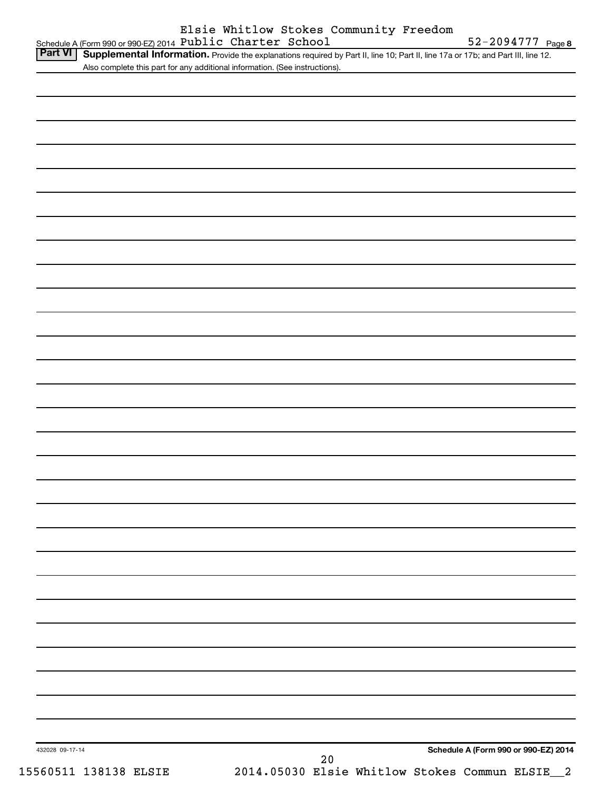|                 | Schedule A (Form 990 or 990-EZ) 2014 Public Charter School                                                                        |                                                |    |  | 52-2094777 Page 8                    |  |
|-----------------|-----------------------------------------------------------------------------------------------------------------------------------|------------------------------------------------|----|--|--------------------------------------|--|
| <b>Part VI</b>  | Supplemental Information. Provide the explanations required by Part II, line 10; Part II, line 17a or 17b; and Part III, line 12. |                                                |    |  |                                      |  |
|                 | Also complete this part for any additional information. (See instructions).                                                       |                                                |    |  |                                      |  |
|                 |                                                                                                                                   |                                                |    |  |                                      |  |
|                 |                                                                                                                                   |                                                |    |  |                                      |  |
|                 |                                                                                                                                   |                                                |    |  |                                      |  |
|                 |                                                                                                                                   |                                                |    |  |                                      |  |
|                 |                                                                                                                                   |                                                |    |  |                                      |  |
|                 |                                                                                                                                   |                                                |    |  |                                      |  |
|                 |                                                                                                                                   |                                                |    |  |                                      |  |
|                 |                                                                                                                                   |                                                |    |  |                                      |  |
|                 |                                                                                                                                   |                                                |    |  |                                      |  |
|                 |                                                                                                                                   |                                                |    |  |                                      |  |
|                 |                                                                                                                                   |                                                |    |  |                                      |  |
|                 |                                                                                                                                   |                                                |    |  |                                      |  |
|                 |                                                                                                                                   |                                                |    |  |                                      |  |
|                 |                                                                                                                                   |                                                |    |  |                                      |  |
|                 |                                                                                                                                   |                                                |    |  |                                      |  |
|                 |                                                                                                                                   |                                                |    |  |                                      |  |
|                 |                                                                                                                                   |                                                |    |  |                                      |  |
|                 |                                                                                                                                   |                                                |    |  |                                      |  |
|                 |                                                                                                                                   |                                                |    |  |                                      |  |
|                 |                                                                                                                                   |                                                |    |  |                                      |  |
|                 |                                                                                                                                   |                                                |    |  |                                      |  |
|                 |                                                                                                                                   |                                                |    |  |                                      |  |
|                 |                                                                                                                                   |                                                |    |  |                                      |  |
|                 |                                                                                                                                   |                                                |    |  |                                      |  |
|                 |                                                                                                                                   |                                                |    |  |                                      |  |
|                 |                                                                                                                                   |                                                |    |  |                                      |  |
|                 |                                                                                                                                   |                                                |    |  |                                      |  |
|                 |                                                                                                                                   |                                                |    |  |                                      |  |
|                 |                                                                                                                                   |                                                |    |  |                                      |  |
|                 |                                                                                                                                   |                                                |    |  |                                      |  |
|                 |                                                                                                                                   |                                                |    |  |                                      |  |
|                 |                                                                                                                                   |                                                |    |  |                                      |  |
|                 |                                                                                                                                   |                                                |    |  |                                      |  |
|                 |                                                                                                                                   |                                                |    |  |                                      |  |
|                 |                                                                                                                                   |                                                |    |  |                                      |  |
|                 |                                                                                                                                   |                                                |    |  |                                      |  |
|                 |                                                                                                                                   |                                                |    |  |                                      |  |
|                 |                                                                                                                                   |                                                |    |  |                                      |  |
|                 |                                                                                                                                   |                                                |    |  |                                      |  |
|                 |                                                                                                                                   |                                                |    |  |                                      |  |
|                 |                                                                                                                                   |                                                |    |  |                                      |  |
|                 |                                                                                                                                   |                                                |    |  |                                      |  |
|                 |                                                                                                                                   |                                                |    |  |                                      |  |
|                 |                                                                                                                                   |                                                |    |  |                                      |  |
|                 |                                                                                                                                   |                                                |    |  |                                      |  |
|                 |                                                                                                                                   |                                                |    |  |                                      |  |
|                 |                                                                                                                                   |                                                |    |  |                                      |  |
|                 |                                                                                                                                   |                                                |    |  |                                      |  |
|                 |                                                                                                                                   |                                                |    |  |                                      |  |
|                 |                                                                                                                                   |                                                |    |  |                                      |  |
|                 |                                                                                                                                   |                                                |    |  |                                      |  |
|                 |                                                                                                                                   |                                                |    |  |                                      |  |
|                 |                                                                                                                                   |                                                |    |  |                                      |  |
| 432028 09-17-14 |                                                                                                                                   |                                                |    |  | Schedule A (Form 990 or 990-EZ) 2014 |  |
|                 |                                                                                                                                   |                                                | 20 |  |                                      |  |
|                 | 15560511 138138 ELSIE                                                                                                             | 2014.05030 Elsie Whitlow Stokes Commun ELSIE_2 |    |  |                                      |  |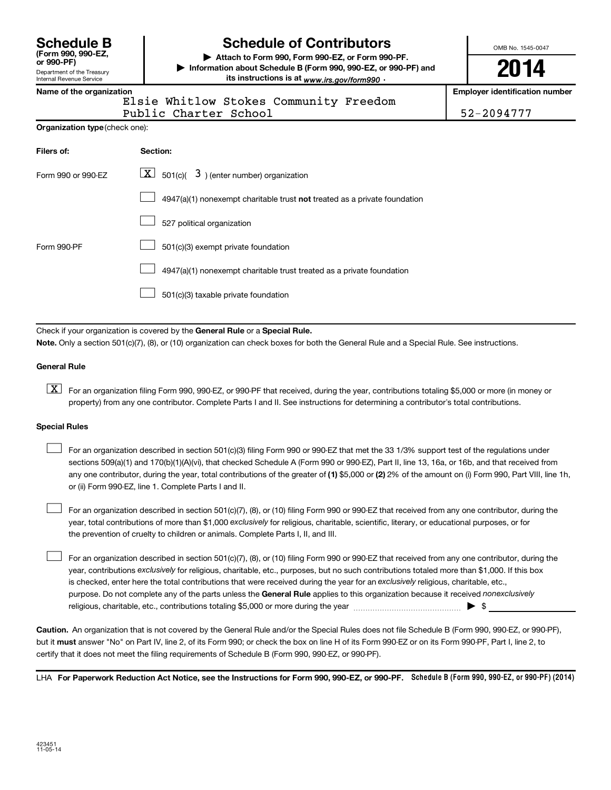| <b>Schedule B</b>  |
|--------------------|
| (Form 990, 990-EZ, |
| or 990-PF)         |

#### Department of the Treasury Internal Revenue Service

## **Schedule of Contributors**

**or 990-PF) | Attach to Form 990, Form 990-EZ, or Form 990-PF. | Information about Schedule B (Form 990, 990-EZ, or 990-PF) and** its instructions is at <sub>www.irs.gov/form990  $\cdot$ </sub>

OMB No. 1545-0047

# **2014**

**Name of the organization Employer identification number**

Elsie Whitlow Stokes Community Freedom Public Charter School 52-2094777

**Organization type** (check one):

| Filers of:         | Section:                                                                  |
|--------------------|---------------------------------------------------------------------------|
| Form 990 or 990-EZ | $ \mathbf{X} $ 501(c)( 3) (enter number) organization                     |
|                    | 4947(a)(1) nonexempt charitable trust not treated as a private foundation |
|                    | 527 political organization                                                |
| Form 990-PF        | 501(c)(3) exempt private foundation                                       |
|                    | 4947(a)(1) nonexempt charitable trust treated as a private foundation     |
|                    | 501(c)(3) taxable private foundation                                      |

Check if your organization is covered by the General Rule or a Special Rule.

**Note.**  Only a section 501(c)(7), (8), or (10) organization can check boxes for both the General Rule and a Special Rule. See instructions.

#### **General Rule**

**K** For an organization filing Form 990, 990-EZ, or 990-PF that received, during the year, contributions totaling \$5,000 or more (in money or property) from any one contributor. Complete Parts I and II. See instructions for determining a contributor's total contributions.

#### **Special Rules**

 $\Box$ 

any one contributor, during the year, total contributions of the greater of **(1)** \$5,000 or **(2)** 2% of the amount on (i) Form 990, Part VIII, line 1h, For an organization described in section 501(c)(3) filing Form 990 or 990-EZ that met the 33 1/3% support test of the regulations under sections 509(a)(1) and 170(b)(1)(A)(vi), that checked Schedule A (Form 990 or 990-EZ), Part II, line 13, 16a, or 16b, and that received from or (ii) Form 990-EZ, line 1. Complete Parts I and II.  $\Box$ 

year, total contributions of more than \$1,000 *exclusively* for religious, charitable, scientific, literary, or educational purposes, or for For an organization described in section 501(c)(7), (8), or (10) filing Form 990 or 990-EZ that received from any one contributor, during the the prevention of cruelty to children or animals. Complete Parts I, II, and III.  $\Box$ 

purpose. Do not complete any of the parts unless the General Rule applies to this organization because it received nonexclusively year, contributions exclusively for religious, charitable, etc., purposes, but no such contributions totaled more than \$1,000. If this box is checked, enter here the total contributions that were received during the year for an exclusively religious, charitable, etc., For an organization described in section 501(c)(7), (8), or (10) filing Form 990 or 990-EZ that received from any one contributor, during the religious, charitable, etc., contributions totaling \$5,000 or more during the year  $\ldots$  $\ldots$  $\ldots$  $\ldots$  $\ldots$  $\ldots$ 

**Caution.** An organization that is not covered by the General Rule and/or the Special Rules does not file Schedule B (Form 990, 990-EZ, or 990-PF),  **must** but it answer "No" on Part IV, line 2, of its Form 990; or check the box on line H of its Form 990-EZ or on its Form 990-PF, Part I, line 2, to certify that it does not meet the filing requirements of Schedule B (Form 990, 990-EZ, or 990-PF).

LHA For Paperwork Reduction Act Notice, see the Instructions for Form 990, 990-EZ, or 990-PF. Schedule B (Form 990, 990-EZ, or 990-PF) (2014)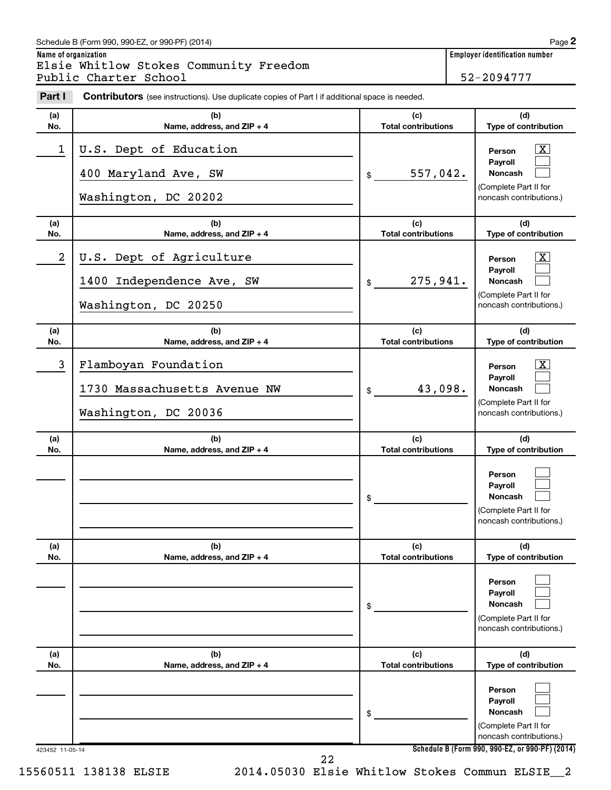#### Schedule B (Form 990, 990-EZ, or 990-PF) (2014)

**Name of organization Employer identification number** Elsie Whitlow Stokes Community Freedom Public Charter School 52-2094777

| Part I          | <b>Contributors</b> (see instructions). Use duplicate copies of Part I if additional space is needed. |                                   |                                                                                                  |
|-----------------|-------------------------------------------------------------------------------------------------------|-----------------------------------|--------------------------------------------------------------------------------------------------|
| (a)<br>No.      | (b)<br>Name, address, and ZIP + 4                                                                     | (c)<br><b>Total contributions</b> | (d)<br>Type of contribution                                                                      |
| 1               | U.S. Dept of Education<br>400 Maryland Ave, SW<br>Washington, DC 20202                                | 557,042.<br>\$                    | $\mathbf{X}$<br>Person<br>Payroll<br>Noncash<br>(Complete Part II for<br>noncash contributions.) |
| (a)<br>No.      | (b)<br>Name, address, and ZIP + 4                                                                     | (c)<br><b>Total contributions</b> | (d)<br>Type of contribution                                                                      |
| 2               | U.S. Dept of Agriculture<br>1400 Independence Ave, SW<br>Washington, DC 20250                         | 275,941.<br>\$                    | $\mathbf{X}$<br>Person<br>Payroll<br>Noncash<br>(Complete Part II for<br>noncash contributions.) |
| (a)<br>No.      | (b)<br>Name, address, and ZIP + 4                                                                     | (c)<br><b>Total contributions</b> | (d)<br>Type of contribution                                                                      |
| 3               | Flamboyan Foundation<br>1730 Massachusetts Avenue NW<br>Washington, DC 20036                          | 43,098.<br>\$                     | $\mathbf{X}$<br>Person<br>Payroll<br>Noncash<br>(Complete Part II for<br>noncash contributions.) |
| (a)<br>No.      | (b)<br>Name, address, and ZIP + 4                                                                     | (c)<br><b>Total contributions</b> | (d)<br>Type of contribution                                                                      |
|                 |                                                                                                       | \$                                | Person<br>Payroll<br><b>Noncash</b><br>(Complete Part II for<br>noncash contributions.)          |
| (a)<br>No.      | (b)<br>Name, address, and ZIP + 4                                                                     | (c)<br><b>Total contributions</b> | (d)<br>Type of contribution                                                                      |
|                 |                                                                                                       | \$                                | Person<br>Payroll<br><b>Noncash</b><br>(Complete Part II for<br>noncash contributions.)          |
| (a)<br>No.      | (b)<br>Name, address, and ZIP + 4                                                                     | (c)<br><b>Total contributions</b> | (d)<br>Type of contribution                                                                      |
|                 |                                                                                                       | \$                                | Person<br>Payroll<br>Noncash<br>(Complete Part II for<br>noncash contributions.)                 |
| 423452 11-05-14 |                                                                                                       | 22                                | Schedule B (Form 990, 990-EZ, or 990-PF) (2014)                                                  |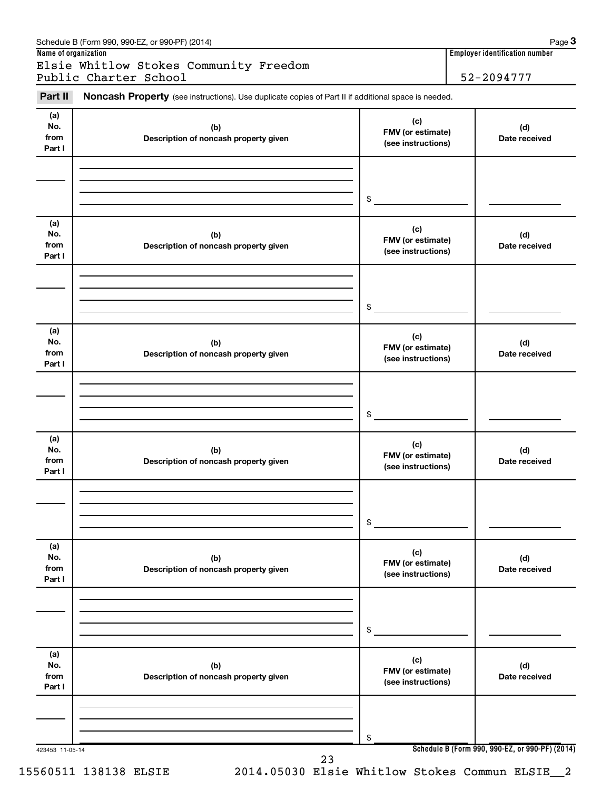| Part II                      | Noncash Property (see instructions). Use duplicate copies of Part II if additional space is needed. |                                                |                      |
|------------------------------|-----------------------------------------------------------------------------------------------------|------------------------------------------------|----------------------|
| (a)<br>No.<br>from<br>Part I | (b)<br>Description of noncash property given                                                        | (c)<br>FMV (or estimate)<br>(see instructions) | (d)<br>Date received |
|                              |                                                                                                     | \$                                             |                      |
|                              |                                                                                                     |                                                |                      |
| (a)<br>No.<br>from<br>Part I | (b)<br>Description of noncash property given                                                        | (c)<br>FMV (or estimate)<br>(see instructions) | (d)<br>Date received |
|                              |                                                                                                     | \$                                             |                      |
| (a)                          |                                                                                                     |                                                |                      |
| No.<br>from<br>Part I        | (b)<br>Description of noncash property given                                                        | (c)<br>FMV (or estimate)<br>(see instructions) | (d)<br>Date received |
|                              |                                                                                                     |                                                |                      |
|                              |                                                                                                     | \$                                             |                      |
| (a)<br>No.<br>from<br>Part I | (b)<br>Description of noncash property given                                                        | (c)<br>FMV (or estimate)<br>(see instructions) | (d)<br>Date received |
|                              |                                                                                                     |                                                |                      |
|                              |                                                                                                     | \$                                             |                      |
| (a)<br>No.<br>from<br>Part I | (b)<br>Description of noncash property given                                                        | (c)<br>FMV (or estimate)<br>(see instructions) | (d)<br>Date received |
|                              |                                                                                                     |                                                |                      |
|                              |                                                                                                     | \$                                             |                      |
| (a)<br>No.<br>from<br>Part I | (b)<br>Description of noncash property given                                                        | (c)<br>FMV (or estimate)<br>(see instructions) | (d)<br>Date received |
|                              |                                                                                                     |                                                |                      |
|                              |                                                                                                     | \$                                             |                      |

#### Schedule B (Form 990, 990-EZ, or 990-PF) (2014)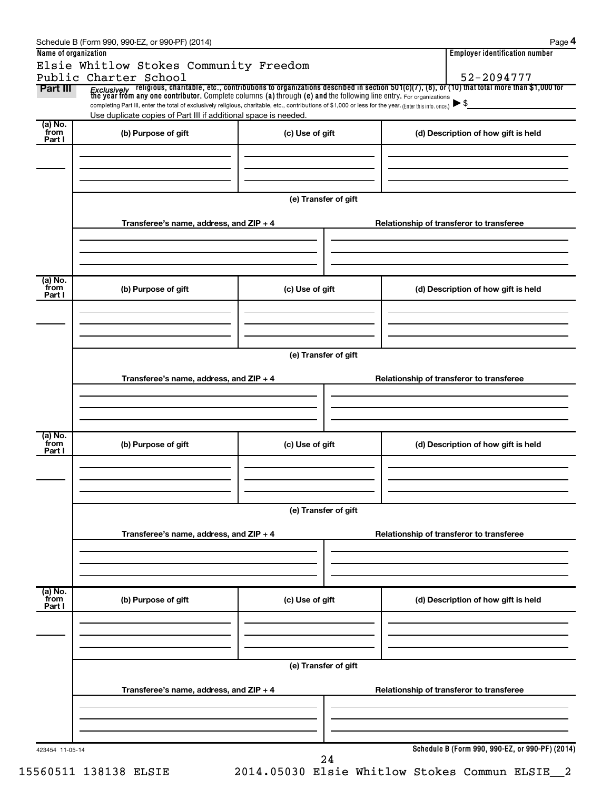| Name of organization        | Elsie Whitlow Stokes Community Freedom                                                                                                                                                                                                               |                                                                  | <b>Employer identification number</b><br>52-2094777                                                                                                                                                                                     |  |
|-----------------------------|------------------------------------------------------------------------------------------------------------------------------------------------------------------------------------------------------------------------------------------------------|------------------------------------------------------------------|-----------------------------------------------------------------------------------------------------------------------------------------------------------------------------------------------------------------------------------------|--|
| Part III                    | Public Charter School<br>completing Part III, enter the total of exclusively religious, charitable, etc., contributions of \$1,000 or less for the year. (Enter this info. once.)<br>Use duplicate copies of Part III if additional space is needed. |                                                                  | <i>Exclusively</i> religious, charitable, etc., contributions to organizations described in section 501(c)(7), (8), or (10) that total more than \$1,000 for<br>the year from any one contributor. Complete columns (a) through (e) and |  |
| $(a)$ No.<br>from<br>Part I | (b) Purpose of gift                                                                                                                                                                                                                                  | (c) Use of gift                                                  | (d) Description of how gift is held                                                                                                                                                                                                     |  |
|                             |                                                                                                                                                                                                                                                      | (e) Transfer of gift                                             |                                                                                                                                                                                                                                         |  |
|                             | Transferee's name, address, and $ZIP + 4$                                                                                                                                                                                                            |                                                                  | Relationship of transferor to transferee                                                                                                                                                                                                |  |
| (a) No.<br>from<br>Part I   | (b) Purpose of gift                                                                                                                                                                                                                                  | (c) Use of gift                                                  | (d) Description of how gift is held                                                                                                                                                                                                     |  |
|                             | Transferee's name, address, and $ZIP + 4$                                                                                                                                                                                                            | (e) Transfer of gift<br>Relationship of transferor to transferee |                                                                                                                                                                                                                                         |  |
| (a) No.<br>from<br>Part I   | (b) Purpose of gift                                                                                                                                                                                                                                  | (c) Use of gift                                                  | (d) Description of how gift is held                                                                                                                                                                                                     |  |
|                             |                                                                                                                                                                                                                                                      | (e) Transfer of gift                                             |                                                                                                                                                                                                                                         |  |
|                             | Transferee's name, address, and ZIP + 4                                                                                                                                                                                                              |                                                                  | Relationship of transferor to transferee                                                                                                                                                                                                |  |
| $(a)$ No.<br>from<br>Part I | (b) Purpose of gift                                                                                                                                                                                                                                  | (c) Use of gift                                                  | (d) Description of how gift is held                                                                                                                                                                                                     |  |
|                             |                                                                                                                                                                                                                                                      | (e) Transfer of gift                                             |                                                                                                                                                                                                                                         |  |
|                             | Transferee's name, address, and ZIP + 4                                                                                                                                                                                                              | Relationship of transferor to transferee                         |                                                                                                                                                                                                                                         |  |
|                             |                                                                                                                                                                                                                                                      |                                                                  |                                                                                                                                                                                                                                         |  |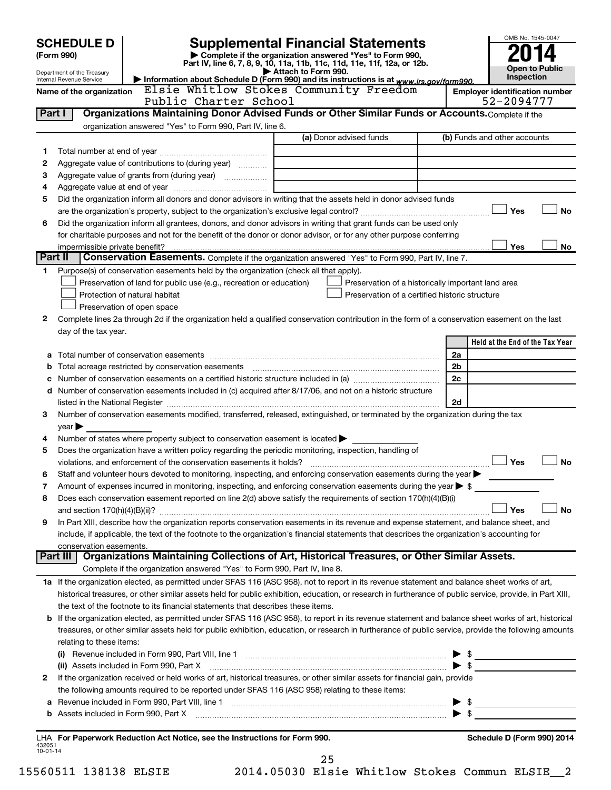| <b>Supplemental Financial Statements</b><br><b>SCHEDULE D</b> |                                                                        |                                                                                                        |                                                                                                                                                                                                                                                                                                              |                          | OMB No. 1545-0047                     |  |  |  |
|---------------------------------------------------------------|------------------------------------------------------------------------|--------------------------------------------------------------------------------------------------------|--------------------------------------------------------------------------------------------------------------------------------------------------------------------------------------------------------------------------------------------------------------------------------------------------------------|--------------------------|---------------------------------------|--|--|--|
|                                                               | Complete if the organization answered "Yes" to Form 990,<br>(Form 990) |                                                                                                        |                                                                                                                                                                                                                                                                                                              |                          |                                       |  |  |  |
|                                                               |                                                                        |                                                                                                        | Part IV, line 6, 7, 8, 9, 10, 11a, 11b, 11c, 11d, 11e, 11f, 12a, or 12b.<br>Attach to Form 990.                                                                                                                                                                                                              |                          | <b>Open to Public</b>                 |  |  |  |
|                                                               | Department of the Treasury<br>Internal Revenue Service                 |                                                                                                        | Information about Schedule D (Form 990) and its instructions is at www.irs.gov/form990.                                                                                                                                                                                                                      |                          | Inspection                            |  |  |  |
|                                                               | Name of the organization                                               |                                                                                                        | Elsie Whitlow Stokes Community Freedom                                                                                                                                                                                                                                                                       |                          | <b>Employer identification number</b> |  |  |  |
|                                                               |                                                                        | Public Charter School                                                                                  |                                                                                                                                                                                                                                                                                                              |                          | 52-2094777                            |  |  |  |
| Part I                                                        |                                                                        | organization answered "Yes" to Form 990, Part IV, line 6.                                              | Organizations Maintaining Donor Advised Funds or Other Similar Funds or Accounts. Complete if the                                                                                                                                                                                                            |                          |                                       |  |  |  |
|                                                               |                                                                        |                                                                                                        | (a) Donor advised funds                                                                                                                                                                                                                                                                                      |                          | (b) Funds and other accounts          |  |  |  |
| 1                                                             |                                                                        |                                                                                                        |                                                                                                                                                                                                                                                                                                              |                          |                                       |  |  |  |
| 2                                                             |                                                                        | Aggregate value of contributions to (during year)                                                      |                                                                                                                                                                                                                                                                                                              |                          |                                       |  |  |  |
| 3                                                             |                                                                        |                                                                                                        | the control of the control of the control of the control of the control of                                                                                                                                                                                                                                   |                          |                                       |  |  |  |
| 4                                                             |                                                                        |                                                                                                        |                                                                                                                                                                                                                                                                                                              |                          |                                       |  |  |  |
| 5                                                             |                                                                        |                                                                                                        | Did the organization inform all donors and donor advisors in writing that the assets held in donor advised funds                                                                                                                                                                                             |                          |                                       |  |  |  |
|                                                               | <b>No</b><br>Yes                                                       |                                                                                                        |                                                                                                                                                                                                                                                                                                              |                          |                                       |  |  |  |
| 6                                                             |                                                                        |                                                                                                        | Did the organization inform all grantees, donors, and donor advisors in writing that grant funds can be used only                                                                                                                                                                                            |                          |                                       |  |  |  |
|                                                               |                                                                        |                                                                                                        | for charitable purposes and not for the benefit of the donor or donor advisor, or for any other purpose conferring                                                                                                                                                                                           |                          |                                       |  |  |  |
|                                                               | impermissible private benefit?<br>Part II                              |                                                                                                        | Conservation Easements. Complete if the organization answered "Yes" to Form 990, Part IV, line 7.                                                                                                                                                                                                            |                          | Yes<br>No                             |  |  |  |
| 1                                                             |                                                                        | Purpose(s) of conservation easements held by the organization (check all that apply).                  |                                                                                                                                                                                                                                                                                                              |                          |                                       |  |  |  |
|                                                               |                                                                        | Preservation of land for public use (e.g., recreation or education)                                    | Preservation of a historically important land area                                                                                                                                                                                                                                                           |                          |                                       |  |  |  |
|                                                               |                                                                        | Protection of natural habitat                                                                          | Preservation of a certified historic structure                                                                                                                                                                                                                                                               |                          |                                       |  |  |  |
|                                                               |                                                                        | Preservation of open space                                                                             |                                                                                                                                                                                                                                                                                                              |                          |                                       |  |  |  |
| 2                                                             |                                                                        |                                                                                                        | Complete lines 2a through 2d if the organization held a qualified conservation contribution in the form of a conservation easement on the last                                                                                                                                                               |                          |                                       |  |  |  |
|                                                               | day of the tax year.                                                   |                                                                                                        |                                                                                                                                                                                                                                                                                                              |                          |                                       |  |  |  |
|                                                               |                                                                        |                                                                                                        |                                                                                                                                                                                                                                                                                                              |                          | Held at the End of the Tax Year       |  |  |  |
|                                                               |                                                                        |                                                                                                        |                                                                                                                                                                                                                                                                                                              | 2a                       |                                       |  |  |  |
| b                                                             |                                                                        |                                                                                                        |                                                                                                                                                                                                                                                                                                              | 2b<br>2c                 |                                       |  |  |  |
| c                                                             |                                                                        |                                                                                                        | d Number of conservation easements included in (c) acquired after 8/17/06, and not on a historic structure                                                                                                                                                                                                   |                          |                                       |  |  |  |
|                                                               |                                                                        |                                                                                                        |                                                                                                                                                                                                                                                                                                              | 2d                       |                                       |  |  |  |
| 3                                                             |                                                                        |                                                                                                        | Number of conservation easements modified, transferred, released, extinguished, or terminated by the organization during the tax                                                                                                                                                                             |                          |                                       |  |  |  |
|                                                               | $year \blacktriangleright$                                             |                                                                                                        |                                                                                                                                                                                                                                                                                                              |                          |                                       |  |  |  |
| 4                                                             |                                                                        | Number of states where property subject to conservation easement is located $\blacktriangleright$      |                                                                                                                                                                                                                                                                                                              |                          |                                       |  |  |  |
| 5                                                             |                                                                        | Does the organization have a written policy regarding the periodic monitoring, inspection, handling of |                                                                                                                                                                                                                                                                                                              |                          |                                       |  |  |  |
|                                                               |                                                                        |                                                                                                        |                                                                                                                                                                                                                                                                                                              |                          | Yes<br><b>No</b>                      |  |  |  |
|                                                               |                                                                        |                                                                                                        | Staff and volunteer hours devoted to monitoring, inspecting, and enforcing conservation easements during the year $\blacktriangleright$                                                                                                                                                                      |                          |                                       |  |  |  |
| 7                                                             |                                                                        |                                                                                                        | Amount of expenses incurred in monitoring, inspecting, and enforcing conservation easements during the year $\triangleright$ \$                                                                                                                                                                              |                          |                                       |  |  |  |
| 8                                                             |                                                                        |                                                                                                        | Does each conservation easement reported on line 2(d) above satisfy the requirements of section 170(h)(4)(B)(i)                                                                                                                                                                                              |                          | Yes<br>No                             |  |  |  |
| 9                                                             |                                                                        |                                                                                                        | In Part XIII, describe how the organization reports conservation easements in its revenue and expense statement, and balance sheet, and                                                                                                                                                                      |                          |                                       |  |  |  |
|                                                               |                                                                        |                                                                                                        | include, if applicable, the text of the footnote to the organization's financial statements that describes the organization's accounting for                                                                                                                                                                 |                          |                                       |  |  |  |
|                                                               | conservation easements.                                                |                                                                                                        |                                                                                                                                                                                                                                                                                                              |                          |                                       |  |  |  |
|                                                               |                                                                        |                                                                                                        | Part III   Organizations Maintaining Collections of Art, Historical Treasures, or Other Similar Assets.                                                                                                                                                                                                      |                          |                                       |  |  |  |
|                                                               |                                                                        | Complete if the organization answered "Yes" to Form 990, Part IV, line 8.                              |                                                                                                                                                                                                                                                                                                              |                          |                                       |  |  |  |
|                                                               |                                                                        |                                                                                                        | 1a If the organization elected, as permitted under SFAS 116 (ASC 958), not to report in its revenue statement and balance sheet works of art,                                                                                                                                                                |                          |                                       |  |  |  |
|                                                               |                                                                        |                                                                                                        | historical treasures, or other similar assets held for public exhibition, education, or research in furtherance of public service, provide, in Part XIII,                                                                                                                                                    |                          |                                       |  |  |  |
|                                                               |                                                                        | the text of the footnote to its financial statements that describes these items.                       |                                                                                                                                                                                                                                                                                                              |                          |                                       |  |  |  |
|                                                               |                                                                        |                                                                                                        | b If the organization elected, as permitted under SFAS 116 (ASC 958), to report in its revenue statement and balance sheet works of art, historical<br>treasures, or other similar assets held for public exhibition, education, or research in furtherance of public service, provide the following amounts |                          |                                       |  |  |  |
|                                                               | relating to these items:                                               |                                                                                                        |                                                                                                                                                                                                                                                                                                              |                          |                                       |  |  |  |
|                                                               |                                                                        |                                                                                                        |                                                                                                                                                                                                                                                                                                              |                          | $\triangleright$ \$                   |  |  |  |
|                                                               |                                                                        |                                                                                                        |                                                                                                                                                                                                                                                                                                              | $\blacktriangleright$ \$ |                                       |  |  |  |
| 2                                                             |                                                                        |                                                                                                        | If the organization received or held works of art, historical treasures, or other similar assets for financial gain, provide                                                                                                                                                                                 |                          |                                       |  |  |  |
|                                                               |                                                                        | the following amounts required to be reported under SFAS 116 (ASC 958) relating to these items:        |                                                                                                                                                                                                                                                                                                              |                          |                                       |  |  |  |
|                                                               |                                                                        |                                                                                                        | a Revenue included in Form 990, Part VIII, line 1 [2000] [2000] [2000] [2000] [2000] [2000] [2000] [2000] [2000                                                                                                                                                                                              |                          | $\triangleright$ \$                   |  |  |  |
|                                                               |                                                                        |                                                                                                        |                                                                                                                                                                                                                                                                                                              |                          |                                       |  |  |  |
|                                                               |                                                                        |                                                                                                        |                                                                                                                                                                                                                                                                                                              |                          |                                       |  |  |  |
| 432051                                                        |                                                                        | LHA For Paperwork Reduction Act Notice, see the Instructions for Form 990.                             |                                                                                                                                                                                                                                                                                                              |                          | Schedule D (Form 990) 2014            |  |  |  |
| $10 - 01 - 14$                                                |                                                                        |                                                                                                        | 25                                                                                                                                                                                                                                                                                                           |                          |                                       |  |  |  |

15560511 138138 ELSIE 2014.05030 Elsie Whitlow Stokes Commun ELSIE\_\_2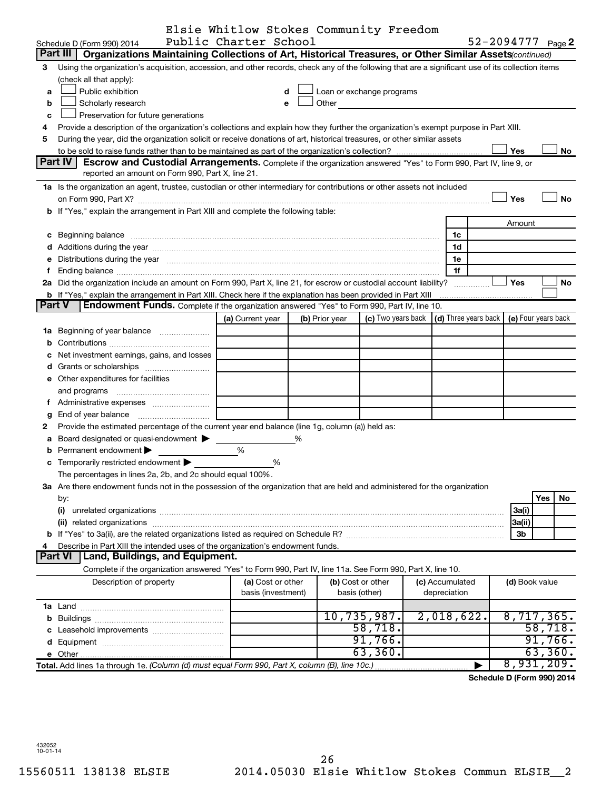|        |                                                                                                                                                                                                                                | Elsie Whitlow Stokes Community Freedom |   |                   |                            |  |                 |                      |                |                     |
|--------|--------------------------------------------------------------------------------------------------------------------------------------------------------------------------------------------------------------------------------|----------------------------------------|---|-------------------|----------------------------|--|-----------------|----------------------|----------------|---------------------|
|        | Schedule D (Form 990) 2014                                                                                                                                                                                                     | Public Charter School                  |   |                   |                            |  |                 |                      |                | 52-2094777 Page 2   |
|        | Organizations Maintaining Collections of Art, Historical Treasures, or Other Similar Assets(continued)<br>Part III                                                                                                             |                                        |   |                   |                            |  |                 |                      |                |                     |
| 3      | Using the organization's acquisition, accession, and other records, check any of the following that are a significant use of its collection items                                                                              |                                        |   |                   |                            |  |                 |                      |                |                     |
|        | (check all that apply):                                                                                                                                                                                                        |                                        |   |                   |                            |  |                 |                      |                |                     |
| a      | Public exhibition                                                                                                                                                                                                              |                                        |   |                   | Loan or exchange programs  |  |                 |                      |                |                     |
| b      | Scholarly research                                                                                                                                                                                                             |                                        |   |                   | Other <b>Communication</b> |  |                 |                      |                |                     |
| c      | Preservation for future generations                                                                                                                                                                                            |                                        |   |                   |                            |  |                 |                      |                |                     |
| 4      | Provide a description of the organization's collections and explain how they further the organization's exempt purpose in Part XIII.                                                                                           |                                        |   |                   |                            |  |                 |                      |                |                     |
| 5      | During the year, did the organization solicit or receive donations of art, historical treasures, or other similar assets                                                                                                       |                                        |   |                   |                            |  |                 |                      |                |                     |
|        |                                                                                                                                                                                                                                |                                        |   |                   |                            |  |                 |                      | Yes            | No                  |
|        | Part IV I<br>Escrow and Custodial Arrangements. Complete if the organization answered "Yes" to Form 990, Part IV, line 9, or                                                                                                   |                                        |   |                   |                            |  |                 |                      |                |                     |
|        | reported an amount on Form 990, Part X, line 21.                                                                                                                                                                               |                                        |   |                   |                            |  |                 |                      |                |                     |
|        | 1a Is the organization an agent, trustee, custodian or other intermediary for contributions or other assets not included                                                                                                       |                                        |   |                   |                            |  |                 |                      |                |                     |
|        |                                                                                                                                                                                                                                |                                        |   |                   |                            |  |                 |                      | Yes            | <b>No</b>           |
|        | b If "Yes," explain the arrangement in Part XIII and complete the following table:                                                                                                                                             |                                        |   |                   |                            |  |                 |                      |                |                     |
|        |                                                                                                                                                                                                                                |                                        |   |                   |                            |  |                 |                      | Amount         |                     |
|        | c Beginning balance measurements and the contract of the contract of the contract of the contract of the contract of the contract of the contract of the contract of the contract of the contract of the contract of the contr |                                        |   |                   |                            |  | 1c              |                      |                |                     |
|        |                                                                                                                                                                                                                                |                                        |   |                   |                            |  | 1d              |                      |                |                     |
|        | e Distributions during the year manufactured and continuum control of the control of the control of the state of the control of the control of the control of the control of the control of the control of the control of the  |                                        |   |                   |                            |  | 1e              |                      |                |                     |
| f.     |                                                                                                                                                                                                                                |                                        |   |                   |                            |  | 1f              |                      |                |                     |
|        | 2a Did the organization include an amount on Form 990, Part X, line 21, for escrow or custodial account liability?                                                                                                             |                                        |   |                   |                            |  |                 |                      | <b>Yes</b>     | No                  |
|        | <b>b</b> If "Yes," explain the arrangement in Part XIII. Check here if the explanation has been provided in Part XIII                                                                                                          |                                        |   |                   |                            |  |                 |                      |                |                     |
| Part V | Endowment Funds. Complete if the organization answered "Yes" to Form 990, Part IV, line 10.                                                                                                                                    |                                        |   |                   |                            |  |                 |                      |                |                     |
|        |                                                                                                                                                                                                                                | (a) Current year                       |   | (b) Prior year    | (c) Two years back         |  |                 | (d) Three years back |                | (e) Four years back |
|        | 1a Beginning of year balance                                                                                                                                                                                                   |                                        |   |                   |                            |  |                 |                      |                |                     |
| b      |                                                                                                                                                                                                                                |                                        |   |                   |                            |  |                 |                      |                |                     |
| с      | Net investment earnings, gains, and losses                                                                                                                                                                                     |                                        |   |                   |                            |  |                 |                      |                |                     |
|        |                                                                                                                                                                                                                                |                                        |   |                   |                            |  |                 |                      |                |                     |
|        | e Other expenditures for facilities                                                                                                                                                                                            |                                        |   |                   |                            |  |                 |                      |                |                     |
|        | and programs                                                                                                                                                                                                                   |                                        |   |                   |                            |  |                 |                      |                |                     |
|        | f Administrative expenses                                                                                                                                                                                                      |                                        |   |                   |                            |  |                 |                      |                |                     |
| g      |                                                                                                                                                                                                                                |                                        |   |                   |                            |  |                 |                      |                |                     |
| 2      | Provide the estimated percentage of the current year end balance (line 1g, column (a)) held as:                                                                                                                                |                                        |   |                   |                            |  |                 |                      |                |                     |
| а      | Board designated or quasi-endowment                                                                                                                                                                                            |                                        | % |                   |                            |  |                 |                      |                |                     |
| b      | Permanent endowment                                                                                                                                                                                                            | %                                      |   |                   |                            |  |                 |                      |                |                     |
|        | c Temporarily restricted endowment                                                                                                                                                                                             | %                                      |   |                   |                            |  |                 |                      |                |                     |
|        | The percentages in lines 2a, 2b, and 2c should equal 100%.                                                                                                                                                                     |                                        |   |                   |                            |  |                 |                      |                |                     |
|        | 3a Are there endowment funds not in the possession of the organization that are held and administered for the organization                                                                                                     |                                        |   |                   |                            |  |                 |                      |                |                     |
|        | by:                                                                                                                                                                                                                            |                                        |   |                   |                            |  |                 |                      |                | Yes<br>No           |
|        | (i)                                                                                                                                                                                                                            |                                        |   |                   |                            |  |                 |                      | 3a(i)          |                     |
|        |                                                                                                                                                                                                                                |                                        |   |                   |                            |  |                 |                      | 3a(ii)         |                     |
|        |                                                                                                                                                                                                                                |                                        |   |                   |                            |  |                 |                      | 3b             |                     |
| 4      | Describe in Part XIII the intended uses of the organization's endowment funds.                                                                                                                                                 |                                        |   |                   |                            |  |                 |                      |                |                     |
|        | Land, Buildings, and Equipment.<br>Part VI                                                                                                                                                                                     |                                        |   |                   |                            |  |                 |                      |                |                     |
|        | Complete if the organization answered "Yes" to Form 990, Part IV, line 11a. See Form 990, Part X, line 10.                                                                                                                     |                                        |   |                   |                            |  |                 |                      |                |                     |
|        | Description of property                                                                                                                                                                                                        | (a) Cost or other                      |   | (b) Cost or other |                            |  | (c) Accumulated |                      | (d) Book value |                     |
|        |                                                                                                                                                                                                                                | basis (investment)                     |   | basis (other)     |                            |  | depreciation    |                      |                |                     |
|        |                                                                                                                                                                                                                                |                                        |   |                   |                            |  |                 |                      |                |                     |
|        |                                                                                                                                                                                                                                |                                        |   |                   | 10,735,987.                |  | 2,018,622.      |                      |                | 8,717,365.          |
| С      | Leasehold improvements                                                                                                                                                                                                         |                                        |   |                   | 58,718.                    |  |                 |                      |                | 58,718.             |
| d      |                                                                                                                                                                                                                                |                                        |   |                   | 91,766.                    |  |                 |                      |                | 91,766.             |
|        |                                                                                                                                                                                                                                |                                        |   |                   | 63,360.                    |  |                 |                      |                | 63,360.             |
|        | Total. Add lines 1a through 1e. (Column (d) must equal Form 990, Part X, column (B), line 10c.)                                                                                                                                |                                        |   |                   |                            |  |                 |                      | 8,931          | $.209$ .            |
|        |                                                                                                                                                                                                                                |                                        |   |                   |                            |  |                 |                      | $P^{\prime}$   |                     |

**Schedule D (Form 990) 2014**

432052 10-01-14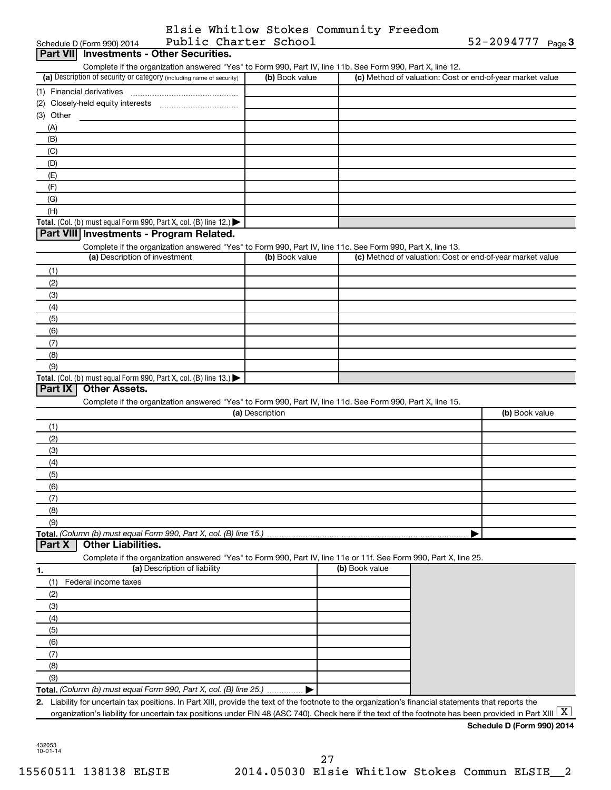|                       | Elsie Whitlow Stokes Community Freedom |                       |  |
|-----------------------|----------------------------------------|-----------------------|--|
| Public Charter School |                                        | $52 - 2094777$ Page 3 |  |

| Public Charter School<br>Schedule D (Form 990) 2014                                                                                                      |                 |                | $52 - 2094777$ Page 3                                     |
|----------------------------------------------------------------------------------------------------------------------------------------------------------|-----------------|----------------|-----------------------------------------------------------|
| Part VII Investments - Other Securities.                                                                                                                 |                 |                |                                                           |
| Complete if the organization answered "Yes" to Form 990, Part IV, line 11b. See Form 990, Part X, line 12.                                               |                 |                |                                                           |
| (a) Description of security or category (including name of security)                                                                                     | (b) Book value  |                | (c) Method of valuation: Cost or end-of-year market value |
|                                                                                                                                                          |                 |                |                                                           |
|                                                                                                                                                          |                 |                |                                                           |
| (3) Other                                                                                                                                                |                 |                |                                                           |
| (A)                                                                                                                                                      |                 |                |                                                           |
| (B)                                                                                                                                                      |                 |                |                                                           |
| (C)                                                                                                                                                      |                 |                |                                                           |
| (D)                                                                                                                                                      |                 |                |                                                           |
| (E)                                                                                                                                                      |                 |                |                                                           |
| (F)                                                                                                                                                      |                 |                |                                                           |
| (G)                                                                                                                                                      |                 |                |                                                           |
| (H)                                                                                                                                                      |                 |                |                                                           |
|                                                                                                                                                          |                 |                |                                                           |
| Total. (Col. (b) must equal Form 990, Part X, col. (B) line 12.) $\blacktriangleright$<br>Part VIII Investments - Program Related.                       |                 |                |                                                           |
|                                                                                                                                                          |                 |                |                                                           |
| Complete if the organization answered "Yes" to Form 990, Part IV, line 11c. See Form 990, Part X, line 13.<br>(a) Description of investment              | (b) Book value  |                | (c) Method of valuation: Cost or end-of-year market value |
|                                                                                                                                                          |                 |                |                                                           |
| (1)                                                                                                                                                      |                 |                |                                                           |
| (2)                                                                                                                                                      |                 |                |                                                           |
| (3)                                                                                                                                                      |                 |                |                                                           |
| (4)                                                                                                                                                      |                 |                |                                                           |
| (5)                                                                                                                                                      |                 |                |                                                           |
| (6)                                                                                                                                                      |                 |                |                                                           |
| (7)                                                                                                                                                      |                 |                |                                                           |
| (8)                                                                                                                                                      |                 |                |                                                           |
| (9)                                                                                                                                                      |                 |                |                                                           |
| Total. (Col. (b) must equal Form 990, Part X, col. (B) line 13.)                                                                                         |                 |                |                                                           |
| Part IX<br><b>Other Assets.</b>                                                                                                                          |                 |                |                                                           |
| Complete if the organization answered "Yes" to Form 990, Part IV, line 11d. See Form 990, Part X, line 15.                                               |                 |                |                                                           |
|                                                                                                                                                          | (a) Description |                | (b) Book value                                            |
| (1)                                                                                                                                                      |                 |                |                                                           |
| (2)                                                                                                                                                      |                 |                |                                                           |
| (3)                                                                                                                                                      |                 |                |                                                           |
| (4)                                                                                                                                                      |                 |                |                                                           |
| (5)                                                                                                                                                      |                 |                |                                                           |
| (6)                                                                                                                                                      |                 |                |                                                           |
| (7)                                                                                                                                                      |                 |                |                                                           |
| (8)                                                                                                                                                      |                 |                |                                                           |
| (9)                                                                                                                                                      |                 |                |                                                           |
| Total. (Column (b) must equal Form 990, Part X, col. (B) line 15.)                                                                                       |                 |                |                                                           |
| <b>Other Liabilities.</b><br>Part X                                                                                                                      |                 |                |                                                           |
| Complete if the organization answered "Yes" to Form 990, Part IV, line 11e or 11f. See Form 990, Part X, line 25.                                        |                 |                |                                                           |
| (a) Description of liability<br>1.                                                                                                                       |                 | (b) Book value |                                                           |
| (1)<br>Federal income taxes                                                                                                                              |                 |                |                                                           |
| (2)                                                                                                                                                      |                 |                |                                                           |
| (3)                                                                                                                                                      |                 |                |                                                           |
|                                                                                                                                                          |                 |                |                                                           |
| (4)                                                                                                                                                      |                 |                |                                                           |
| (5)                                                                                                                                                      |                 |                |                                                           |
| (6)                                                                                                                                                      |                 |                |                                                           |
| (7)                                                                                                                                                      |                 |                |                                                           |
| (8)                                                                                                                                                      |                 |                |                                                           |
| (9)                                                                                                                                                      |                 |                |                                                           |
| Total. (Column (b) must equal Form 990, Part X, col. (B) line 25.)                                                                                       |                 |                |                                                           |
| 2. Liability for uncertain tax positions. In Part XIII, provide the text of the footnote to the organization's financial statements that reports the     |                 |                |                                                           |
| organization's liability for uncertain tax positions under FIN 48 (ASC 740). Check here if the text of the footnote has been provided in Part XIII $ X $ |                 |                |                                                           |
|                                                                                                                                                          |                 |                | Schedule D (Form 990) 2014                                |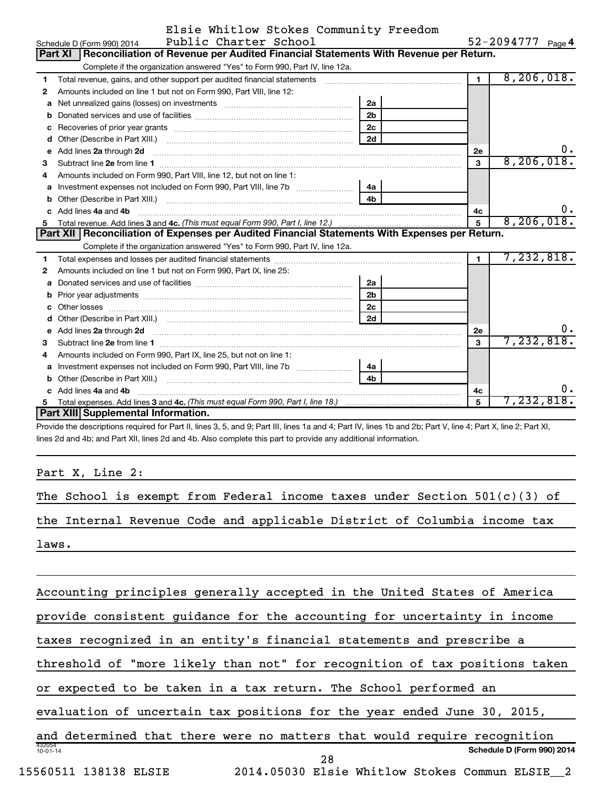|  | Elsie Whitlow Stokes Community Freedom |  |
|--|----------------------------------------|--|
|  |                                        |  |

|    | Public Charter School<br>Schedule D (Form 990) 2014                                                                                                                                                                                  |                |                | 52-2094777<br>Page 4 |
|----|--------------------------------------------------------------------------------------------------------------------------------------------------------------------------------------------------------------------------------------|----------------|----------------|----------------------|
|    | Reconciliation of Revenue per Audited Financial Statements With Revenue per Return.<br><b>Part XI</b>                                                                                                                                |                |                |                      |
|    | Complete if the organization answered "Yes" to Form 990, Part IV, line 12a.                                                                                                                                                          |                |                |                      |
| 1  | Total revenue, gains, and other support per audited financial statements                                                                                                                                                             |                | $\blacksquare$ | 8, 206, 018.         |
| 2  | Amounts included on line 1 but not on Form 990, Part VIII, line 12:                                                                                                                                                                  |                |                |                      |
| a  |                                                                                                                                                                                                                                      | 2a             |                |                      |
| b  |                                                                                                                                                                                                                                      | 2 <sub>b</sub> |                |                      |
| C  |                                                                                                                                                                                                                                      | 2 <sub>c</sub> |                |                      |
| d  |                                                                                                                                                                                                                                      | 2d             |                |                      |
| e  | Add lines 2a through 2d                                                                                                                                                                                                              |                | 2е             | 0.                   |
| 3  |                                                                                                                                                                                                                                      |                | 3              | 8, 206, 018.         |
| 4  | Amounts included on Form 990. Part VIII. line 12, but not on line 1:                                                                                                                                                                 |                |                |                      |
|    |                                                                                                                                                                                                                                      | 4a             |                |                      |
| b  |                                                                                                                                                                                                                                      | 4 <sub>b</sub> |                |                      |
|    | c Add lines 4a and 4b                                                                                                                                                                                                                |                | 4c             | υ.                   |
| 5. |                                                                                                                                                                                                                                      |                | 5              | 8, 206, 018.         |
|    |                                                                                                                                                                                                                                      |                |                |                      |
|    | Part XII Reconciliation of Expenses per Audited Financial Statements With Expenses per Return.                                                                                                                                       |                |                |                      |
|    | Complete if the organization answered "Yes" to Form 990, Part IV, line 12a.                                                                                                                                                          |                |                |                      |
| 1. |                                                                                                                                                                                                                                      |                | $\mathbf{1}$   | 7,232,818.           |
| 2  | Amounts included on line 1 but not on Form 990, Part IX, line 25:                                                                                                                                                                    |                |                |                      |
| a  |                                                                                                                                                                                                                                      | 2a             |                |                      |
| b  | Prior year adjustments [ www.communications of the contract of the contract of the contract of the contract of                                                                                                                       | 2 <sub>b</sub> |                |                      |
| C  |                                                                                                                                                                                                                                      | 2 <sub>c</sub> |                |                      |
| d  |                                                                                                                                                                                                                                      | 2d             |                |                      |
| е  |                                                                                                                                                                                                                                      |                | 2e             | 0.                   |
| 3  | Add lines 2a through 2d <b>continuum continuum contract and all the contract of the contract of the contract of the contract of the contract of the contract of the contract of the contract of the contract of the contract of </b> |                | 3              | 7,232,818.           |
| 4  | Amounts included on Form 990, Part IX, line 25, but not on line 1:                                                                                                                                                                   |                |                |                      |
| a  |                                                                                                                                                                                                                                      | 4a             |                |                      |
| b  |                                                                                                                                                                                                                                      | 4 <sub>h</sub> |                |                      |
|    | Add lines 4a and 4b                                                                                                                                                                                                                  |                | 4c             | ο.                   |
| 5. | <b>Part XIII</b> Supplemental Information.                                                                                                                                                                                           |                | $5\phantom{1}$ | 7,232,818.           |

Provide the descriptions required for Part II, lines 3, 5, and 9; Part III, lines 1a and 4; Part IV, lines 1b and 2b; Part V, line 4; Part X, line 2; Part XI, lines 2d and 4b; and Part XII, lines 2d and 4b. Also complete this part to provide any additional information.

Part X, Line 2:

|       |  |  |  |  |  | The School is exempt from Federal income taxes under Section $501(c)(3)$ of |  |
|-------|--|--|--|--|--|-----------------------------------------------------------------------------|--|
|       |  |  |  |  |  | the Internal Revenue Code and applicable District of Columbia income tax    |  |
| laws. |  |  |  |  |  |                                                                             |  |
|       |  |  |  |  |  |                                                                             |  |

| Accounting principles generally accepted in the United States of America   |  |
|----------------------------------------------------------------------------|--|
| provide consistent guidance for the accounting for uncertainty in income   |  |
| taxes recognized in an entity's financial statements and prescribe a       |  |
| threshold of "more likely than not" for recognition of tax positions taken |  |
| or expected to be taken in a tax return. The School performed an           |  |
| evaluation of uncertain tax positions for the year ended June 30, 2015,    |  |
| and determined that there were no matters that would require recognition   |  |
| 432054<br>Schedule D (Form 990) 2014<br>$10 - 01 - 14$<br>28               |  |
| 15560511 138138 ELSIE<br>2014.05030 Elsie Whitlow Stokes Commun ELSIE 2    |  |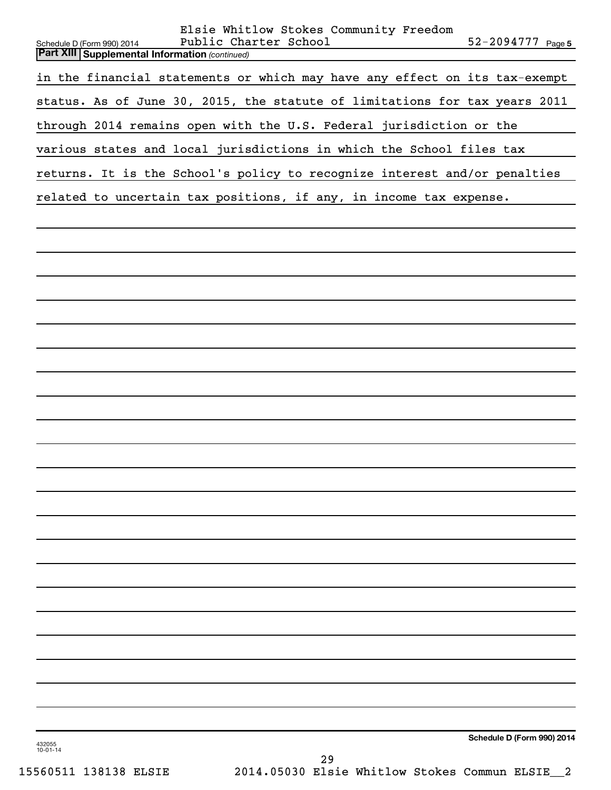| Elsie Whitlow Stokes Community Freedom<br>Public Charter School<br>Schedule D (Form 990) 2014<br><b>Part XIII   Supplemental Information (continued)</b> | 52-2094777 Page 5          |
|----------------------------------------------------------------------------------------------------------------------------------------------------------|----------------------------|
| in the financial statements or which may have any effect on its tax-exempt                                                                               |                            |
| status. As of June 30, 2015, the statute of limitations for tax years 2011                                                                               |                            |
| through 2014 remains open with the U.S. Federal jurisdiction or the                                                                                      |                            |
| various states and local jurisdictions in which the School files tax                                                                                     |                            |
| returns. It is the School's policy to recognize interest and/or penalties                                                                                |                            |
| related to uncertain tax positions, if any, in income tax expense.                                                                                       |                            |
|                                                                                                                                                          |                            |
|                                                                                                                                                          |                            |
|                                                                                                                                                          |                            |
|                                                                                                                                                          |                            |
|                                                                                                                                                          |                            |
|                                                                                                                                                          |                            |
|                                                                                                                                                          |                            |
|                                                                                                                                                          |                            |
|                                                                                                                                                          |                            |
|                                                                                                                                                          |                            |
|                                                                                                                                                          |                            |
|                                                                                                                                                          |                            |
|                                                                                                                                                          |                            |
|                                                                                                                                                          |                            |
|                                                                                                                                                          |                            |
|                                                                                                                                                          |                            |
|                                                                                                                                                          |                            |
|                                                                                                                                                          |                            |
|                                                                                                                                                          |                            |
|                                                                                                                                                          |                            |
|                                                                                                                                                          |                            |
|                                                                                                                                                          |                            |
| 432055<br>$10 - 01 - 14$                                                                                                                                 | Schedule D (Form 990) 2014 |

15560511 138138 ELSIE 2014.05030 Elsie Whitlow Stokes Commun ELSIE\_\_2 29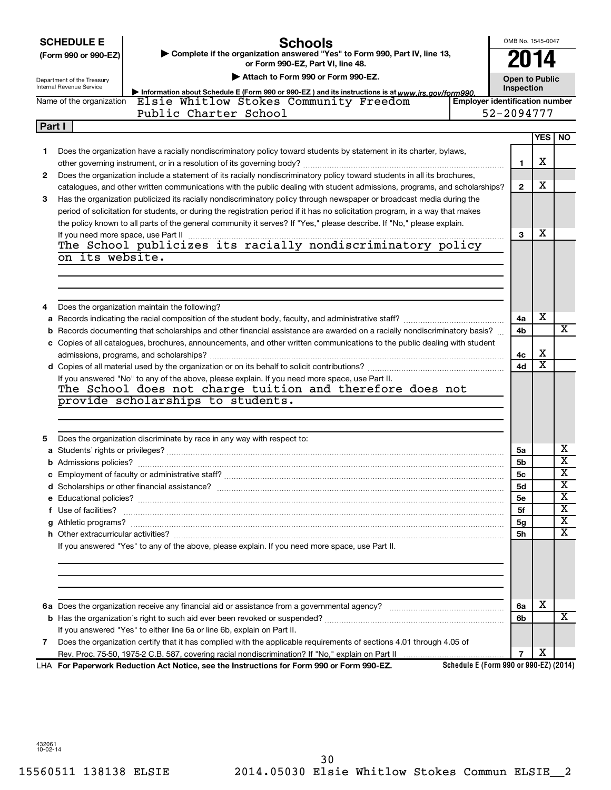### **Schools**

OMB No. 1545-0047 **2014**

| (Form 990 or 990-EZ) | ► Complete if the organization answered "Yes" to Form 990, Part IV, line 13, |
|----------------------|------------------------------------------------------------------------------|
|                      | or Form 990-EZ. Part VI. line 48.                                            |

| Department of the Treasury |  |  |  |
|----------------------------|--|--|--|
| Internal Revenue Service   |  |  |  |

### **| Attach to Form 990 or Form 990-EZ.**

**| Information about Schedule E (Form 990 or 990-EZ ) and its instructions is at**

| <b>Open to Public</b> |  |
|-----------------------|--|
| Inspection            |  |

|                          | Information about Schedule E (Form 990 or 990-EZ) and its instructions is at www irs <i>nov/form990</i> |                                       |
|--------------------------|---------------------------------------------------------------------------------------------------------|---------------------------------------|
| Name of the organization | Elsie Whitlow Stokes Community Freedom                                                                  | <b>Employer identification number</b> |
|                          | Public Charter School                                                                                   | 52-2094777                            |
| <b>Part I</b>            |                                                                                                         |                                       |
|                          |                                                                                                         | <b>IYES I NO</b>                      |

| 1. | Does the organization have a racially nondiscriminatory policy toward students by statement in its charter, bylaws,                                                                                                                | 1              | x                       |                              |
|----|------------------------------------------------------------------------------------------------------------------------------------------------------------------------------------------------------------------------------------|----------------|-------------------------|------------------------------|
| 2  | Does the organization include a statement of its racially nondiscriminatory policy toward students in all its brochures,                                                                                                           |                |                         |                              |
|    | catalogues, and other written communications with the public dealing with student admissions, programs, and scholarships?                                                                                                          | $\mathbf{2}$   | х                       |                              |
| 3  | Has the organization publicized its racially nondiscriminatory policy through newspaper or broadcast media during the                                                                                                              |                |                         |                              |
|    | period of solicitation for students, or during the registration period if it has no solicitation program, in a way that makes                                                                                                      |                |                         |                              |
|    | the policy known to all parts of the general community it serves? If "Yes," please describe. If "No," please explain.                                                                                                              |                |                         |                              |
|    | If you need more space, use Part II                                                                                                                                                                                                | 3              | x                       |                              |
|    | If you need more space, use Part II manufactured in the School publicizes its racially nondiscriminatory policy                                                                                                                    |                |                         |                              |
|    | on its website.                                                                                                                                                                                                                    |                |                         |                              |
|    |                                                                                                                                                                                                                                    |                |                         |                              |
|    |                                                                                                                                                                                                                                    |                |                         |                              |
|    |                                                                                                                                                                                                                                    |                |                         |                              |
|    | Does the organization maintain the following?                                                                                                                                                                                      |                |                         |                              |
|    |                                                                                                                                                                                                                                    | 4a             | х                       |                              |
|    | b Records documenting that scholarships and other financial assistance are awarded on a racially nondiscriminatory basis?                                                                                                          | 4b             |                         | х                            |
|    | c Copies of all catalogues, brochures, announcements, and other written communications to the public dealing with student                                                                                                          |                |                         |                              |
|    |                                                                                                                                                                                                                                    | 4с             | х                       |                              |
|    |                                                                                                                                                                                                                                    | 4d             | $\overline{\textbf{x}}$ |                              |
|    | If you answered "No" to any of the above, please explain. If you need more space, use Part II.                                                                                                                                     |                |                         |                              |
|    | The School does not charge tuition and therefore does not                                                                                                                                                                          |                |                         |                              |
|    | provide scholarships to students.                                                                                                                                                                                                  |                |                         |                              |
|    |                                                                                                                                                                                                                                    |                |                         |                              |
|    |                                                                                                                                                                                                                                    |                |                         |                              |
| 5  | Does the organization discriminate by race in any way with respect to:                                                                                                                                                             |                |                         |                              |
|    |                                                                                                                                                                                                                                    | 5a             |                         | х                            |
|    |                                                                                                                                                                                                                                    | 5b             |                         | $\overline{\textbf{x}}$      |
|    |                                                                                                                                                                                                                                    | 5 <sub>c</sub> |                         | $\overline{\textbf{x}}$      |
|    |                                                                                                                                                                                                                                    | 5d             |                         | $\overline{\textbf{x}}$      |
|    |                                                                                                                                                                                                                                    | 5e             |                         | $\overline{\textbf{x}}$      |
|    | f Use of facilities? <b>www.communities.</b> We can be a series of the contract of the contract of the contract of the contract of the contract of the contract of the contract of the contract of the contract of the contract of | 5f             |                         | $\overline{\textbf{x}}$      |
|    |                                                                                                                                                                                                                                    | 5g             |                         | $\overline{\textbf{x}}$<br>X |
|    |                                                                                                                                                                                                                                    | 5h             |                         |                              |
|    | If you answered "Yes" to any of the above, please explain. If you need more space, use Part II.                                                                                                                                    |                |                         |                              |
|    |                                                                                                                                                                                                                                    |                |                         |                              |
|    |                                                                                                                                                                                                                                    |                |                         |                              |
|    |                                                                                                                                                                                                                                    |                |                         |                              |
|    |                                                                                                                                                                                                                                    | 6a             | x                       |                              |
|    |                                                                                                                                                                                                                                    | 6b             |                         | X                            |
|    | If you answered "Yes" to either line 6a or line 6b, explain on Part II.                                                                                                                                                            |                |                         |                              |
| 7  | Does the organization certify that it has complied with the applicable requirements of sections 4.01 through 4.05 of                                                                                                               |                |                         |                              |
|    |                                                                                                                                                                                                                                    | 7              | х                       |                              |
|    | Schedule E (Form 990 or 990-EZ) (2014)<br>LHA For Paperwork Reduction Act Notice, see the Instructions for Form 990 or Form 990-EZ.                                                                                                |                |                         |                              |
|    |                                                                                                                                                                                                                                    |                |                         |                              |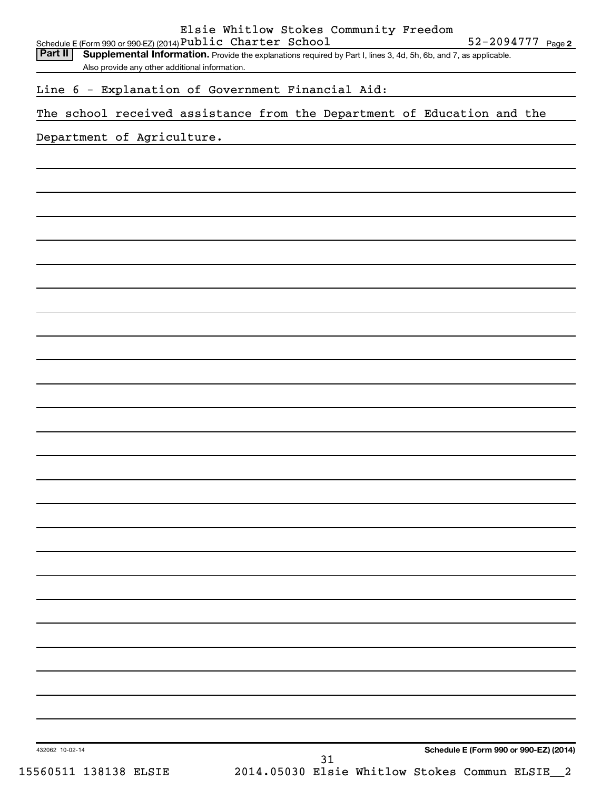432062 10-02-14 **Schedule E (Form 990 or 990-EZ) (2014)** Schedule E (Form 990 or 990-EZ) (2014) ${\bf Public ~Charter~School} \hspace{1.5cm} 52-2094777 \hspace{1.5cm} \textsf{Page}$ Part II | Supplemental Information. Provide the explanations required by Part I, lines 3, 4d, 5h, 6b, and 7, as applicable. Also provide any other additional information. Line 6 - Explanation of Government Financial Aid: The school received assistance from the Department of Education and the Department of Agriculture. 15560511 138138 ELSIE 2014.05030 Elsie Whitlow Stokes Commun ELSIE\_\_2 31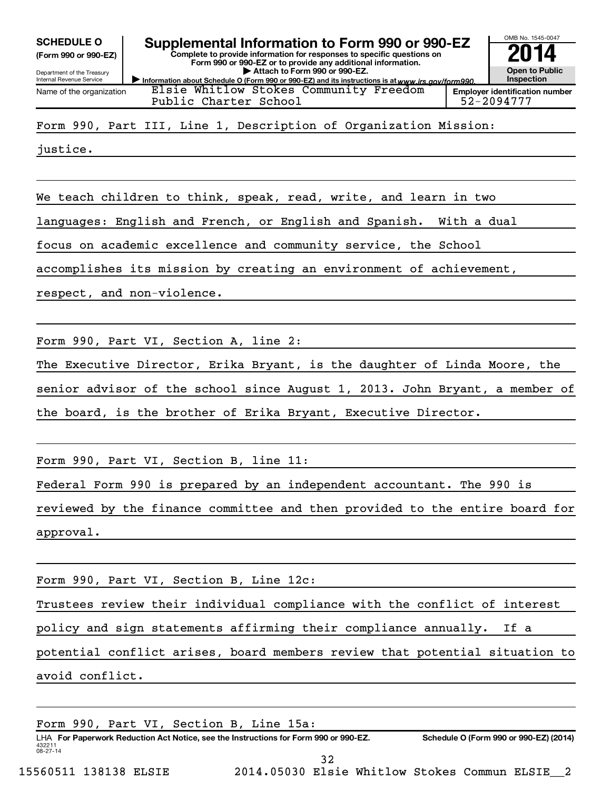**(Form 990 or 990-EZ)**

Department of the Treasury Internal Revenue Service Name of the organization

Elsie Whitlow Stokes Community Freedom



**Employer identification number** Public Charter School 52-2094777

Form 990, Part III, Line 1, Description of Organization Mission:

justice.

We teach children to think, speak, read, write, and learn in two

languages: English and French, or English and Spanish. With a dual

focus on academic excellence and community service, the School

accomplishes its mission by creating an environment of achievement,

respect, and non-violence.

Form 990, Part VI, Section A, line 2:

The Executive Director, Erika Bryant, is the daughter of Linda Moore, the senior advisor of the school since August 1, 2013. John Bryant, a member of the board, is the brother of Erika Bryant, Executive Director.

Form 990, Part VI, Section B, line 11:

Federal Form 990 is prepared by an independent accountant. The 990 is

reviewed by the finance committee and then provided to the entire board for approval.

Form 990, Part VI, Section B, Line 12c:

Trustees review their individual compliance with the conflict of interest policy and sign statements affirming their compliance annually. If a potential conflict arises, board members review that potential situation to avoid conflict.

432211 08-27-14 LHA For Paperwork Reduction Act Notice, see the Instructions for Form 990 or 990-EZ. Schedule O (Form 990 or 990-EZ) (2014) Form 990, Part VI, Section B, Line 15a: 32